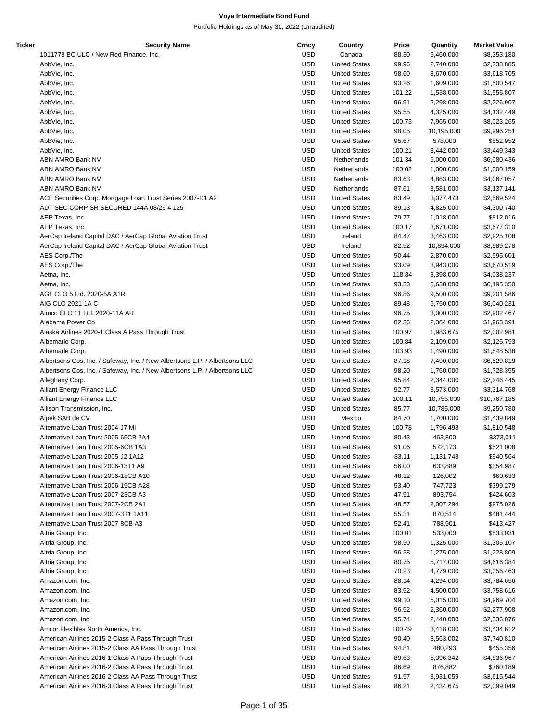| Ticker | <b>Security Name</b>                                                        | Crncy      | Country              | Price  | Quantity   | <b>Market Value</b> |
|--------|-----------------------------------------------------------------------------|------------|----------------------|--------|------------|---------------------|
|        | 1011778 BC ULC / New Red Finance, Inc.                                      | <b>USD</b> | Canada               | 88.30  | 9,460,000  | \$8,353,180         |
|        | AbbVie, Inc.                                                                | <b>USD</b> | <b>United States</b> | 99.96  | 2,740,000  | \$2,738,885         |
|        | AbbVie, Inc.                                                                | <b>USD</b> | <b>United States</b> | 98.60  | 3,670,000  | \$3,618,705         |
|        |                                                                             | <b>USD</b> | <b>United States</b> | 93.26  |            |                     |
|        | AbbVie, Inc.                                                                |            |                      |        | 1,609,000  | \$1,500,547         |
|        | AbbVie, Inc.                                                                | <b>USD</b> | <b>United States</b> | 101.22 | 1,538,000  | \$1,556,807         |
|        | AbbVie, Inc.                                                                | <b>USD</b> | <b>United States</b> | 96.91  | 2,298,000  | \$2,226,907         |
|        | AbbVie, Inc.                                                                | <b>USD</b> | <b>United States</b> | 95.55  | 4,325,000  | \$4,132,449         |
|        | AbbVie, Inc.                                                                | <b>USD</b> | <b>United States</b> | 100.73 | 7,965,000  | \$8,023,265         |
|        | AbbVie, Inc.                                                                | <b>USD</b> | <b>United States</b> | 98.05  | 10,195,000 | \$9,996,251         |
|        | AbbVie, Inc.                                                                | <b>USD</b> | <b>United States</b> | 95.67  | 578,000    | \$552,952           |
|        | AbbVie, Inc.                                                                | <b>USD</b> | <b>United States</b> | 100.21 | 3,442,000  | \$3,449,343         |
|        | ABN AMRO Bank NV                                                            | <b>USD</b> | Netherlands          | 101.34 | 6,000,000  | \$6,080,436         |
|        | ABN AMRO Bank NV                                                            | <b>USD</b> | Netherlands          | 100.02 | 1,000,000  | \$1,000,159         |
|        |                                                                             |            |                      |        |            |                     |
|        | ABN AMRO Bank NV                                                            | <b>USD</b> | Netherlands          | 83.63  | 4,863,000  | \$4,067,057         |
|        | ABN AMRO Bank NV                                                            | <b>USD</b> | Netherlands          | 87.61  | 3,581,000  | \$3,137,141         |
|        | ACE Securities Corp. Mortgage Loan Trust Series 2007-D1 A2                  | <b>USD</b> | <b>United States</b> | 83.49  | 3,077,473  | \$2,569,524         |
|        | ADT SEC CORP SR SECURED 144A 08/29 4.125                                    | <b>USD</b> | <b>United States</b> | 89.13  | 4,825,000  | \$4,300,740         |
|        | AEP Texas, Inc.                                                             | <b>USD</b> | <b>United States</b> | 79.77  | 1,018,000  | \$812,016           |
|        | AEP Texas, Inc.                                                             | <b>USD</b> | <b>United States</b> | 100.17 | 3,671,000  | \$3,677,310         |
|        | AerCap Ireland Capital DAC / AerCap Global Aviation Trust                   | <b>USD</b> | Ireland              | 84.47  | 3,463,000  | \$2,925,108         |
|        | AerCap Ireland Capital DAC / AerCap Global Aviation Trust                   | <b>USD</b> | Ireland              | 82.52  | 10,894,000 | \$8,989,278         |
|        | AES Corp./The                                                               | <b>USD</b> | <b>United States</b> | 90.44  | 2,870,000  | \$2,595,601         |
|        |                                                                             |            |                      |        |            |                     |
|        | AES Corp./The                                                               | <b>USD</b> | <b>United States</b> | 93.09  | 3,943,000  | \$3,670,519         |
|        | Aetna, Inc.                                                                 | <b>USD</b> | <b>United States</b> | 118.84 | 3,398,000  | \$4,038,237         |
|        | Aetna, Inc.                                                                 | <b>USD</b> | <b>United States</b> | 93.33  | 6,638,000  | \$6,195,350         |
|        | AGL CLO 5 Ltd. 2020-5A A1R                                                  | <b>USD</b> | <b>United States</b> | 96.86  | 9,500,000  | \$9,201,586         |
|        | AIG CLO 2021-1A C                                                           | <b>USD</b> | <b>United States</b> | 89.48  | 6,750,000  | \$6,040,231         |
|        | Aimco CLO 11 Ltd. 2020-11A AR                                               | <b>USD</b> | <b>United States</b> | 96.75  | 3,000,000  | \$2,902,467         |
|        | Alabama Power Co.                                                           | <b>USD</b> | <b>United States</b> | 82.36  | 2,384,000  | \$1,963,391         |
|        | Alaska Airlines 2020-1 Class A Pass Through Trust                           | <b>USD</b> | <b>United States</b> | 100.97 | 1,983,675  | \$2,002,981         |
|        | Albemarle Corp.                                                             | <b>USD</b> | <b>United States</b> | 100.84 |            |                     |
|        |                                                                             |            |                      |        | 2,109,000  | \$2,126,793         |
|        | Albemarle Corp.                                                             | <b>USD</b> | <b>United States</b> | 103.93 | 1,490,000  | \$1,548,538         |
|        | Albertsons Cos, Inc. / Safeway, Inc. / New Albertsons L.P. / Albertsons LLC | <b>USD</b> | <b>United States</b> | 87.18  | 7,490,000  | \$6,529,819         |
|        | Albertsons Cos, Inc. / Safeway, Inc. / New Albertsons L.P. / Albertsons LLC | <b>USD</b> | <b>United States</b> | 98.20  | 1,760,000  | \$1,728,355         |
|        | Alleghany Corp.                                                             | <b>USD</b> | <b>United States</b> | 95.84  | 2,344,000  | \$2,246,445         |
|        | Alliant Energy Finance LLC                                                  | <b>USD</b> | <b>United States</b> | 92.77  | 3,573,000  | \$3,314,768         |
|        | Alliant Energy Finance LLC                                                  | <b>USD</b> | <b>United States</b> | 100.11 | 10,755,000 | \$10,767,185        |
|        | Allison Transmission, Inc.                                                  | <b>USD</b> | <b>United States</b> | 85.77  | 10,785,000 | \$9,250,780         |
|        | Alpek SAB de CV                                                             | <b>USD</b> | Mexico               | 84.70  | 1,700,000  | \$1,439,849         |
|        | Alternative Loan Trust 2004-J7 MI                                           | <b>USD</b> | <b>United States</b> | 100.78 | 1,796,498  | \$1,810,548         |
|        | Alternative Loan Trust 2005-65CB 2A4                                        | <b>USD</b> | <b>United States</b> |        |            |                     |
|        |                                                                             |            |                      | 80.43  | 463,800    | \$373,011           |
|        | Alternative Loan Trust 2005-6CB 1A3                                         | <b>USD</b> | <b>United States</b> | 91.06  | 572,173    | \$521,008           |
|        | Alternative Loan Trust 2005-J2 1A12                                         | USD        | <b>United States</b> | 83.11  | 1,131,748  | \$940,564           |
|        | Alternative Loan Trust 2006-13T1 A9                                         | USD        | <b>United States</b> | 56.00  | 633,889    | \$354,987           |
|        | Alternative Loan Trust 2006-18CB A10                                        | USD        | <b>United States</b> | 48.12  | 126,002    | \$60,633            |
|        | Alternative Loan Trust 2006-19CB A28                                        | <b>USD</b> | <b>United States</b> | 53.40  | 747,723    | \$399,279           |
|        | Alternative Loan Trust 2007-23CB A3                                         | <b>USD</b> | <b>United States</b> | 47.51  | 893,754    | \$424,603           |
|        | Alternative Loan Trust 2007-2CB 2A1                                         | USD        | <b>United States</b> | 48.57  | 2,007,294  | \$975,026           |
|        | Alternative Loan Trust 2007-3T1 1A11                                        | USD        | <b>United States</b> | 55.31  | 870,514    | \$481,444           |
|        | Alternative Loan Trust 2007-8CB A3                                          | <b>USD</b> | <b>United States</b> | 52.41  | 788,901    | \$413,427           |
|        |                                                                             |            |                      |        |            |                     |
|        | Altria Group, Inc.                                                          | <b>USD</b> | <b>United States</b> | 100.01 | 533,000    | \$533,031           |
|        | Altria Group, Inc.                                                          | USD        | <b>United States</b> | 98.50  | 1,325,000  | \$1,305,107         |
|        | Altria Group, Inc.                                                          | USD        | <b>United States</b> | 96.38  | 1,275,000  | \$1,228,809         |
|        | Altria Group, Inc.                                                          | USD        | <b>United States</b> | 80.75  | 5,717,000  | \$4,616,384         |
|        | Altria Group, Inc.                                                          | <b>USD</b> | <b>United States</b> | 70.23  | 4,779,000  | \$3,356,463         |
|        | Amazon.com, Inc.                                                            | USD        | <b>United States</b> | 88.14  | 4,294,000  | \$3,784,656         |
|        | Amazon.com, Inc.                                                            | USD        | <b>United States</b> | 83.52  | 4,500,000  | \$3,758,616         |
|        | Amazon.com, Inc.                                                            | <b>USD</b> | <b>United States</b> | 99.10  | 5,015,000  | \$4,969,704         |
|        |                                                                             | <b>USD</b> | <b>United States</b> | 96.52  |            |                     |
|        | Amazon.com, Inc.                                                            |            |                      |        | 2,360,000  | \$2,277,908         |
|        | Amazon.com, Inc.                                                            | USD        | <b>United States</b> | 95.74  | 2,440,000  | \$2,336,076         |
|        | Amcor Flexibles North America, Inc.                                         | USD        | <b>United States</b> | 100.49 | 3,418,000  | \$3,434,812         |
|        | American Airlines 2015-2 Class A Pass Through Trust                         | USD        | <b>United States</b> | 90.40  | 8,563,002  | \$7,740,810         |
|        | American Airlines 2015-2 Class AA Pass Through Trust                        | <b>USD</b> | <b>United States</b> | 94.81  | 480,293    | \$455,356           |
|        | American Airlines 2016-1 Class A Pass Through Trust                         | USD        | <b>United States</b> | 89.63  | 5,396,342  | \$4,836,967         |
|        | American Airlines 2016-2 Class A Pass Through Trust                         | USD        | <b>United States</b> | 86.69  | 876,882    | \$760,189           |
|        | American Airlines 2016-2 Class AA Pass Through Trust                        | <b>USD</b> | <b>United States</b> | 91.97  | 3,931,059  | \$3,615,544         |
|        | American Airlines 2016-3 Class A Pass Through Trust                         | <b>USD</b> | <b>United States</b> | 86.21  | 2,434,675  | \$2,099,049         |
|        |                                                                             |            |                      |        |            |                     |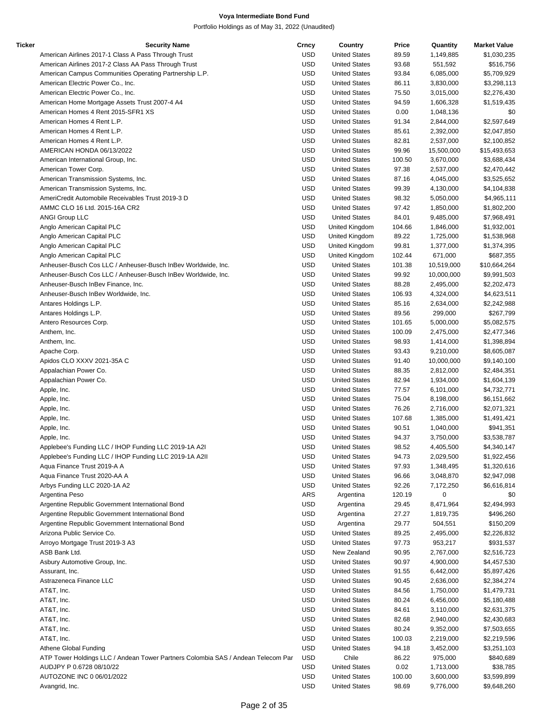| Ticker | <b>Security Name</b>                                                             | Crncy      | Country              | Price  | Quantity   | <b>Market Value</b> |
|--------|----------------------------------------------------------------------------------|------------|----------------------|--------|------------|---------------------|
|        | American Airlines 2017-1 Class A Pass Through Trust                              | <b>USD</b> | <b>United States</b> | 89.59  | 1,149,885  | \$1,030,235         |
|        | American Airlines 2017-2 Class AA Pass Through Trust                             | USD        | <b>United States</b> | 93.68  | 551,592    | \$516,756           |
|        | American Campus Communities Operating Partnership L.P.                           | <b>USD</b> | <b>United States</b> | 93.84  | 6,085,000  | \$5,709,929         |
|        | American Electric Power Co., Inc.                                                | <b>USD</b> | <b>United States</b> | 86.11  | 3,830,000  | \$3,298,113         |
|        | American Electric Power Co., Inc.                                                | <b>USD</b> | <b>United States</b> | 75.50  | 3,015,000  | \$2,276,430         |
|        | American Home Mortgage Assets Trust 2007-4 A4                                    | <b>USD</b> | <b>United States</b> | 94.59  | 1,606,328  | \$1,519,435         |
|        | American Homes 4 Rent 2015-SFR1 XS                                               | <b>USD</b> | <b>United States</b> | 0.00   | 1,048,136  | \$0                 |
|        | American Homes 4 Rent L.P.                                                       | <b>USD</b> | <b>United States</b> | 91.34  | 2,844,000  | \$2,597,649         |
|        | American Homes 4 Rent L.P.                                                       | <b>USD</b> | <b>United States</b> | 85.61  | 2,392,000  | \$2,047,850         |
|        | American Homes 4 Rent L.P.                                                       | USD        | <b>United States</b> | 82.81  | 2,537,000  | \$2,100,852         |
|        | AMERICAN HONDA 06/13/2022                                                        | <b>USD</b> | <b>United States</b> | 99.96  | 15,500,000 | \$15,493,653        |
|        |                                                                                  |            |                      |        |            |                     |
|        | American International Group, Inc.                                               | <b>USD</b> | <b>United States</b> | 100.50 | 3,670,000  | \$3,688,434         |
|        | American Tower Corp.                                                             | <b>USD</b> | <b>United States</b> | 97.38  | 2,537,000  | \$2,470,442         |
|        | American Transmission Systems, Inc.                                              | <b>USD</b> | <b>United States</b> | 87.16  | 4,045,000  | \$3,525,652         |
|        | American Transmission Systems, Inc.                                              | <b>USD</b> | <b>United States</b> | 99.39  | 4,130,000  | \$4,104,838         |
|        | AmeriCredit Automobile Receivables Trust 2019-3 D                                | <b>USD</b> | <b>United States</b> | 98.32  | 5,050,000  | \$4,965,111         |
|        | AMMC CLO 16 Ltd. 2015-16A CR2                                                    | <b>USD</b> | <b>United States</b> | 97.42  | 1,850,000  | \$1,802,200         |
|        | <b>ANGI Group LLC</b>                                                            | <b>USD</b> | <b>United States</b> | 84.01  | 9,485,000  | \$7,968,491         |
|        | Anglo American Capital PLC                                                       | <b>USD</b> | United Kingdom       | 104.66 | 1,846,000  | \$1,932,001         |
|        | Anglo American Capital PLC                                                       | <b>USD</b> | United Kingdom       | 89.22  | 1,725,000  | \$1,538,968         |
|        | Anglo American Capital PLC                                                       | <b>USD</b> | United Kingdom       | 99.81  | 1,377,000  | \$1,374,395         |
|        | Anglo American Capital PLC                                                       | <b>USD</b> | United Kingdom       | 102.44 | 671,000    | \$687,355           |
|        | Anheuser-Busch Cos LLC / Anheuser-Busch InBev Worldwide, Inc.                    | <b>USD</b> | <b>United States</b> | 101.38 | 10,519,000 | \$10,664,264        |
|        | Anheuser-Busch Cos LLC / Anheuser-Busch InBev Worldwide, Inc.                    | <b>USD</b> | <b>United States</b> | 99.92  | 10,000,000 | \$9,991,503         |
|        | Anheuser-Busch InBev Finance, Inc.                                               | <b>USD</b> | <b>United States</b> | 88.28  | 2,495,000  | \$2,202,473         |
|        | Anheuser-Busch InBev Worldwide, Inc.                                             | USD        | <b>United States</b> | 106.93 | 4,324,000  | \$4,623,511         |
|        | Antares Holdings L.P.                                                            | <b>USD</b> | <b>United States</b> | 85.16  | 2,634,000  | \$2,242,988         |
|        | Antares Holdings L.P.                                                            | <b>USD</b> | <b>United States</b> | 89.56  | 299,000    | \$267,799           |
|        |                                                                                  | <b>USD</b> |                      |        |            |                     |
|        | Antero Resources Corp.                                                           |            | <b>United States</b> | 101.65 | 5,000,000  | \$5,082,575         |
|        | Anthem, Inc.                                                                     | <b>USD</b> | <b>United States</b> | 100.09 | 2,475,000  | \$2,477,346         |
|        | Anthem, Inc.                                                                     | <b>USD</b> | <b>United States</b> | 98.93  | 1,414,000  | \$1,398,894         |
|        | Apache Corp.                                                                     | <b>USD</b> | <b>United States</b> | 93.43  | 9,210,000  | \$8,605,087         |
|        | Apidos CLO XXXV 2021-35A C                                                       | <b>USD</b> | <b>United States</b> | 91.40  | 10,000,000 | \$9,140,100         |
|        | Appalachian Power Co.                                                            | USD        | <b>United States</b> | 88.35  | 2,812,000  | \$2,484,351         |
|        | Appalachian Power Co.                                                            | <b>USD</b> | <b>United States</b> | 82.94  | 1,934,000  | \$1,604,139         |
|        | Apple, Inc.                                                                      | <b>USD</b> | <b>United States</b> | 77.57  | 6,101,000  | \$4,732,771         |
|        | Apple, Inc.                                                                      | <b>USD</b> | <b>United States</b> | 75.04  | 8,198,000  | \$6,151,662         |
|        | Apple, Inc.                                                                      | USD        | <b>United States</b> | 76.26  | 2,716,000  | \$2,071,321         |
|        | Apple, Inc.                                                                      | <b>USD</b> | <b>United States</b> | 107.68 | 1,385,000  | \$1,491,421         |
|        | Apple, Inc.                                                                      | <b>USD</b> | <b>United States</b> | 90.51  | 1,040,000  | \$941,351           |
|        | Apple, Inc.                                                                      | <b>USD</b> | <b>United States</b> | 94.37  | 3,750,000  | \$3,538,787         |
|        | Applebee's Funding LLC / IHOP Funding LLC 2019-1A A2I                            | <b>USD</b> | <b>United States</b> | 98.52  | 4,405,500  | \$4,340,147         |
|        | Applebee's Funding LLC / IHOP Funding LLC 2019-1A A2II                           | USD        | <b>United States</b> | 94.73  | 2,029,500  | \$1,922,456         |
|        | Aqua Finance Trust 2019-A A                                                      | <b>USD</b> | <b>United States</b> | 97.93  | 1,348,495  | \$1,320,616         |
|        | Aqua Finance Trust 2020-AA A                                                     | <b>USD</b> | <b>United States</b> | 96.66  | 3,048,870  | \$2,947,098         |
|        | Arbys Funding LLC 2020-1A A2                                                     | USD        | <b>United States</b> | 92.26  | 7,172,250  | \$6,616,814         |
|        | Argentina Peso                                                                   | ARS        | Argentina            | 120.19 | 0          | \$0                 |
|        | Argentine Republic Government International Bond                                 | <b>USD</b> | Argentina            | 29.45  | 8,471,964  | \$2,494,993         |
|        | Argentine Republic Government International Bond                                 | <b>USD</b> | Argentina            | 27.27  |            | \$496,260           |
|        |                                                                                  |            |                      |        | 1,819,735  |                     |
|        | Argentine Republic Government International Bond                                 | <b>USD</b> | Argentina            | 29.77  | 504,551    | \$150,209           |
|        | Arizona Public Service Co.                                                       | <b>USD</b> | <b>United States</b> | 89.25  | 2,495,000  | \$2,226,832         |
|        | Arroyo Mortgage Trust 2019-3 A3                                                  | <b>USD</b> | <b>United States</b> | 97.73  | 953,217    | \$931,537           |
|        | ASB Bank Ltd.                                                                    | <b>USD</b> | New Zealand          | 90.95  | 2,767,000  | \$2,516,723         |
|        | Asbury Automotive Group, Inc.                                                    | USD        | <b>United States</b> | 90.97  | 4,900,000  | \$4,457,530         |
|        | Assurant, Inc.                                                                   | <b>USD</b> | <b>United States</b> | 91.55  | 6,442,000  | \$5,897,426         |
|        | Astrazeneca Finance LLC                                                          | <b>USD</b> | <b>United States</b> | 90.45  | 2,636,000  | \$2,384,274         |
|        | AT&T, Inc.                                                                       | <b>USD</b> | <b>United States</b> | 84.56  | 1,750,000  | \$1,479,731         |
|        | AT&T, Inc.                                                                       | USD        | <b>United States</b> | 80.24  | 6,456,000  | \$5,180,488         |
|        | AT&T, Inc.                                                                       | <b>USD</b> | <b>United States</b> | 84.61  | 3,110,000  | \$2,631,375         |
|        | AT&T, Inc.                                                                       | <b>USD</b> | <b>United States</b> | 82.68  | 2,940,000  | \$2,430,683         |
|        | AT&T, Inc.                                                                       | <b>USD</b> | <b>United States</b> | 80.24  | 9,352,000  | \$7,503,655         |
|        | AT&T, Inc.                                                                       | USD        | <b>United States</b> | 100.03 | 2,219,000  | \$2,219,596         |
|        | Athene Global Funding                                                            | <b>USD</b> | <b>United States</b> | 94.18  | 3,452,000  | \$3,251,103         |
|        | ATP Tower Holdings LLC / Andean Tower Partners Colombia SAS / Andean Telecom Par | USD        | Chile                | 86.22  | 975,000    | \$840,689           |
|        | AUDJPY P 0.6728 08/10/22                                                         | USD        | <b>United States</b> |        |            |                     |
|        |                                                                                  |            |                      | 0.02   | 1,713,000  | \$38,785            |
|        | AUTOZONE INC 0 06/01/2022                                                        | USD        | <b>United States</b> | 100.00 | 3,600,000  | \$3,599,899         |
|        | Avangrid, Inc.                                                                   | <b>USD</b> | <b>United States</b> | 98.69  | 9,776,000  | \$9,648,260         |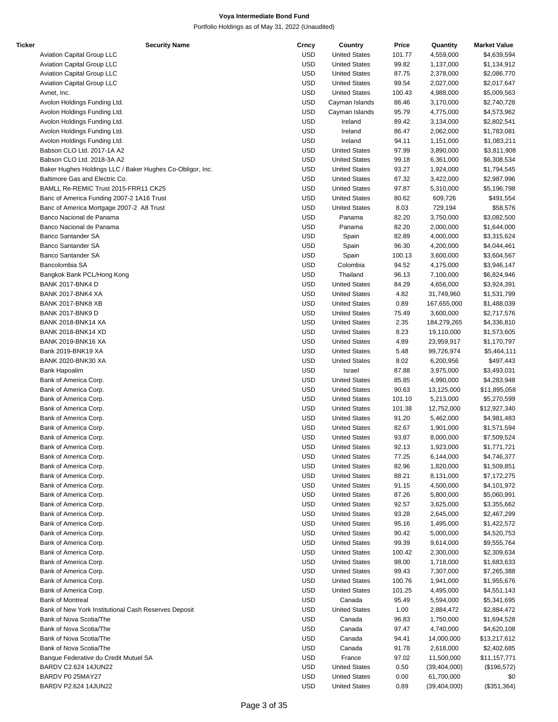| Ticker | <b>Security Name</b>                                      | Crncy      | Country              | Price  | Quantity       | <b>Market Value</b> |
|--------|-----------------------------------------------------------|------------|----------------------|--------|----------------|---------------------|
|        | Aviation Capital Group LLC                                | <b>USD</b> | <b>United States</b> | 101.77 | 4,559,000      | \$4,639,594         |
|        | Aviation Capital Group LLC                                | <b>USD</b> | <b>United States</b> | 99.82  | 1,137,000      | \$1,134,912         |
|        | Aviation Capital Group LLC                                | <b>USD</b> | <b>United States</b> | 87.75  | 2,378,000      | \$2,086,770         |
|        | Aviation Capital Group LLC                                | <b>USD</b> | <b>United States</b> | 99.54  | 2,027,000      | \$2,017,647         |
|        | Avnet, Inc.                                               | <b>USD</b> | <b>United States</b> | 100.43 | 4,988,000      | \$5,009,563         |
|        | Avolon Holdings Funding Ltd.                              | <b>USD</b> | Cayman Islands       | 86.46  | 3,170,000      | \$2,740,728         |
|        | Avolon Holdings Funding Ltd.                              | <b>USD</b> | Cayman Islands       | 95.79  | 4,775,000      | \$4,573,962         |
|        | Avolon Holdings Funding Ltd.                              | <b>USD</b> | Ireland              | 89.42  | 3,134,000      | \$2,802,541         |
|        | Avolon Holdings Funding Ltd.                              | <b>USD</b> | Ireland              | 86.47  | 2,062,000      | \$1,783,081         |
|        | Avolon Holdings Funding Ltd.                              | <b>USD</b> | Ireland              | 94.11  | 1,151,000      | \$1,083,211         |
|        | Babson CLO Ltd. 2017-1A A2                                | <b>USD</b> | <b>United States</b> | 97.99  | 3,890,000      | \$3,811,908         |
|        | Babson CLO Ltd. 2018-3A A2                                | <b>USD</b> | <b>United States</b> | 99.18  | 6,361,000      | \$6,308,534         |
|        | Baker Hughes Holdings LLC / Baker Hughes Co-Obligor, Inc. | <b>USD</b> | <b>United States</b> | 93.27  | 1,924,000      | \$1,794,545         |
|        | Baltimore Gas and Electric Co.                            | <b>USD</b> | <b>United States</b> | 87.32  | 3,422,000      | \$2,987,996         |
|        | BAMLL Re-REMIC Trust 2015-FRR11 CK25                      | <b>USD</b> | <b>United States</b> | 97.87  | 5,310,000      | \$5,196,798         |
|        | Banc of America Funding 2007-2 1A16 Trust                 | <b>USD</b> | <b>United States</b> | 80.62  | 609,726        | \$491,554           |
|        | Banc of America Mortgage 2007-2 A8 Trust                  | <b>USD</b> | <b>United States</b> | 8.03   | 729,194        | \$58,576            |
|        | Banco Nacional de Panama                                  | <b>USD</b> | Panama               | 82.20  | 3,750,000      | \$3,082,500         |
|        | Banco Nacional de Panama                                  | <b>USD</b> | Panama               | 82.20  | 2,000,000      | \$1,644,000         |
|        | <b>Banco Santander SA</b>                                 | <b>USD</b> | Spain                | 82.89  | 4,000,000      | \$3,315,624         |
|        | <b>Banco Santander SA</b>                                 | <b>USD</b> | Spain                | 96.30  | 4,200,000      | \$4,044,461         |
|        | Banco Santander SA                                        | <b>USD</b> | Spain                | 100.13 | 3,600,000      | \$3,604,567         |
|        | Bancolombia SA                                            | <b>USD</b> | Colombia             | 94.52  | 4,175,000      | \$3,946,147         |
|        | Bangkok Bank PCL/Hong Kong                                | <b>USD</b> | Thailand             | 96.13  | 7,100,000      | \$6,824,946         |
|        | <b>BANK 2017-BNK4 D</b>                                   | <b>USD</b> | <b>United States</b> | 84.29  | 4,656,000      | \$3,924,391         |
|        | BANK 2017-BNK4 XA                                         | <b>USD</b> | <b>United States</b> | 4.82   | 31,749,960     | \$1,531,799         |
|        | BANK 2017-BNK8 XB                                         | <b>USD</b> | <b>United States</b> | 0.89   | 167,655,000    | \$1,488,039         |
|        | <b>BANK 2017-BNK9 D</b>                                   | <b>USD</b> | <b>United States</b> | 75.49  | 3,600,000      | \$2,717,576         |
|        | <b>BANK 2018-BNK14 XA</b>                                 | <b>USD</b> | <b>United States</b> | 2.35   | 184,279,265    | \$4,336,810         |
|        | <b>BANK 2018-BNK14 XD</b>                                 | <b>USD</b> | <b>United States</b> | 8.23   | 19,110,000     | \$1,573,605         |
|        | <b>BANK 2019-BNK16 XA</b>                                 | <b>USD</b> | <b>United States</b> | 4.89   | 23,959,917     | \$1,170,797         |
|        | Bank 2019-BNK19 XA                                        | <b>USD</b> | <b>United States</b> | 5.48   | 99,726,974     | \$5,464,111         |
|        | <b>BANK 2020-BNK30 XA</b>                                 | <b>USD</b> | <b>United States</b> | 8.02   | 6,200,956      | \$497,443           |
|        | <b>Bank Hapoalim</b>                                      | <b>USD</b> | Israel               | 87.88  | 3,975,000      | \$3,493,031         |
|        | Bank of America Corp.                                     | <b>USD</b> | <b>United States</b> | 85.85  | 4,990,000      | \$4,283,948         |
|        | Bank of America Corp.                                     | <b>USD</b> | <b>United States</b> | 90.63  | 13,125,000     | \$11,895,058        |
|        | Bank of America Corp.                                     | <b>USD</b> | <b>United States</b> | 101.10 | 5,213,000      | \$5,270,599         |
|        | Bank of America Corp.                                     | <b>USD</b> | <b>United States</b> | 101.38 | 12,752,000     | \$12,927,340        |
|        | Bank of America Corp.                                     | <b>USD</b> | <b>United States</b> | 91.20  | 5,462,000      | \$4,981,483         |
|        | Bank of America Corp.                                     | <b>USD</b> | <b>United States</b> | 82.67  | 1,901,000      | \$1,571,594         |
|        | Bank of America Corp.                                     | <b>USD</b> | <b>United States</b> | 93.87  | 8,000,000      | \$7,509,524         |
|        | Bank of America Corp.                                     | <b>USD</b> | <b>United States</b> | 92.13  | 1,923,000      | \$1,771,721         |
|        | Bank of America Corp.                                     | <b>USD</b> | <b>United States</b> | 77.25  | 6,144,000      | \$4,746,377         |
|        | Bank of America Corp.                                     | <b>USD</b> | <b>United States</b> | 82.96  | 1,820,000      | \$1,509,851         |
|        | Bank of America Corp.                                     | <b>USD</b> | <b>United States</b> | 88.21  | 8,131,000      | \$7,172,275         |
|        | Bank of America Corp.                                     | <b>USD</b> | <b>United States</b> | 91.15  | 4,500,000      | \$4,101,972         |
|        | Bank of America Corp.                                     | <b>USD</b> | <b>United States</b> | 87.26  | 5,800,000      | \$5,060,991         |
|        | Bank of America Corp.                                     | <b>USD</b> | <b>United States</b> | 92.57  | 3,625,000      | \$3,355,662         |
|        | Bank of America Corp.                                     | <b>USD</b> | <b>United States</b> | 93.28  | 2,645,000      | \$2,467,299         |
|        | Bank of America Corp.                                     | <b>USD</b> | <b>United States</b> | 95.16  |                |                     |
|        | Bank of America Corp.                                     | <b>USD</b> | <b>United States</b> | 90.42  | 1,495,000      | \$1,422,572         |
|        | Bank of America Corp.                                     | <b>USD</b> | <b>United States</b> | 99.39  | 5,000,000      | \$4,520,753         |
|        | Bank of America Corp.                                     |            | <b>United States</b> |        | 9,614,000      | \$9,555,764         |
|        |                                                           | <b>USD</b> |                      | 100.42 | 2,300,000      | \$2,309,634         |
|        | Bank of America Corp.                                     | <b>USD</b> | <b>United States</b> | 98.00  | 1,718,000      | \$1,683,633         |
|        | Bank of America Corp.                                     | <b>USD</b> | <b>United States</b> | 99.43  | 7,307,000      | \$7,265,388         |
|        | Bank of America Corp.                                     | <b>USD</b> | <b>United States</b> | 100.76 | 1,941,000      | \$1,955,676         |
|        | Bank of America Corp.                                     | <b>USD</b> | <b>United States</b> | 101.25 | 4,495,000      | \$4,551,143         |
|        | <b>Bank of Montreal</b>                                   | <b>USD</b> | Canada               | 95.49  | 5,594,000      | \$5,341,695         |
|        | Bank of New York Institutional Cash Reserves Deposit      | <b>USD</b> | <b>United States</b> | 1.00   | 2,884,472      | \$2,884,472         |
|        | Bank of Nova Scotia/The                                   | <b>USD</b> | Canada               | 96.83  | 1,750,000      | \$1,694,528         |
|        | Bank of Nova Scotia/The                                   | <b>USD</b> | Canada               | 97.47  | 4,740,000      | \$4,620,108         |
|        | Bank of Nova Scotia/The                                   | <b>USD</b> | Canada               | 94.41  | 14,000,000     | \$13,217,612        |
|        | Bank of Nova Scotia/The                                   | <b>USD</b> | Canada               | 91.78  | 2,618,000      | \$2,402,685         |
|        | Banque Federative du Credit Mutuel SA                     | <b>USD</b> | France               | 97.02  | 11,500,000     | \$11,157,771        |
|        | BARDV C2.624 14JUN22                                      | <b>USD</b> | <b>United States</b> | 0.50   | (39, 404, 000) | (\$196,572)         |
|        | BARDV P0 25MAY27                                          | <b>USD</b> | <b>United States</b> | 0.00   | 61,700,000     | \$0                 |
|        | BARDV P2.624 14JUN22                                      | <b>USD</b> | <b>United States</b> | 0.89   | (39, 404, 000) | (\$351,364)         |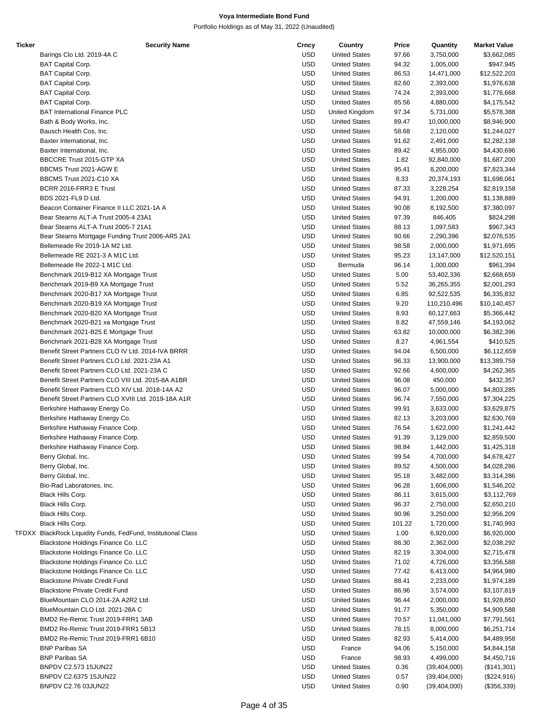| <b>Ticker</b> | <b>Security Name</b>                                          | Crncy      | Country              | Price  | Quantity       | <b>Market Value</b> |
|---------------|---------------------------------------------------------------|------------|----------------------|--------|----------------|---------------------|
|               | Barings Clo Ltd. 2019-4A C                                    | <b>USD</b> | <b>United States</b> | 97.66  | 3,750,000      | \$3,662,085         |
|               | <b>BAT Capital Corp.</b>                                      | <b>USD</b> | <b>United States</b> | 94.32  | 1,005,000      | \$947,945           |
|               |                                                               |            |                      |        |                |                     |
|               | <b>BAT Capital Corp.</b>                                      | <b>USD</b> | <b>United States</b> | 86.53  | 14,471,000     | \$12,522,203        |
|               | <b>BAT Capital Corp.</b>                                      | <b>USD</b> | <b>United States</b> | 82.60  | 2,393,000      | \$1,976,638         |
|               | <b>BAT Capital Corp.</b>                                      | <b>USD</b> | <b>United States</b> | 74.24  | 2,393,000      | \$1,776,668         |
|               | <b>BAT Capital Corp.</b>                                      | <b>USD</b> | <b>United States</b> | 85.56  | 4,880,000      | \$4,175,542         |
|               |                                                               |            |                      |        |                |                     |
|               | <b>BAT International Finance PLC</b>                          | <b>USD</b> | United Kingdom       | 97.34  | 5,731,000      | \$5,578,388         |
|               | Bath & Body Works, Inc.                                       | <b>USD</b> | <b>United States</b> | 89.47  | 10,000,000     | \$8,946,900         |
|               | Bausch Health Cos, Inc.                                       | <b>USD</b> | <b>United States</b> | 58.68  | 2,120,000      | \$1,244,027         |
|               | Baxter International, Inc.                                    | <b>USD</b> | <b>United States</b> | 91.62  | 2,491,000      | \$2,282,138         |
|               |                                                               |            |                      |        |                |                     |
|               | Baxter International, Inc.                                    | <b>USD</b> | <b>United States</b> | 89.42  | 4,955,000      | \$4,430,696         |
|               | BBCCRE Trust 2015-GTP XA                                      | <b>USD</b> | <b>United States</b> | 1.82   | 92,840,000     | \$1,687,200         |
|               | BBCMS Trust 2021-AGW E                                        | <b>USD</b> | <b>United States</b> | 95.41  | 8,200,000      | \$7,823,344         |
|               | BBCMS Trust 2021-C10 XA                                       | <b>USD</b> | <b>United States</b> | 8.33   | 20,374,193     | \$1,698,061         |
|               |                                                               |            |                      |        |                |                     |
|               | BCRR 2016-FRR3 E Trust                                        | <b>USD</b> | <b>United States</b> | 87.33  | 3,228,254      | \$2,819,158         |
|               | BDS 2021-FL9 D Ltd.                                           | <b>USD</b> | <b>United States</b> | 94.91  | 1,200,000      | \$1,138,889         |
|               | Beacon Container Finance II LLC 2021-1A A                     | <b>USD</b> | <b>United States</b> | 90.08  | 8,192,500      | \$7,380,097         |
|               | Bear Stearns ALT-A Trust 2005-4 23A1                          | <b>USD</b> | <b>United States</b> | 97.39  | 846,405        |                     |
|               |                                                               |            |                      |        |                | \$824,298           |
|               | Bear Stearns ALT-A Trust 2005-7 21A1                          | <b>USD</b> | <b>United States</b> | 88.13  | 1,097,583      | \$967,343           |
|               | Bear Stearns Mortgage Funding Trust 2006-AR5 2A1              | <b>USD</b> | <b>United States</b> | 90.66  | 2,290,396      | \$2,076,535         |
|               | Bellemeade Re 2019-1A M2 Ltd.                                 | <b>USD</b> | <b>United States</b> | 98.58  | 2,000,000      | \$1,971,695         |
|               | Bellemeade RE 2021-3 A M1C Ltd.                               | <b>USD</b> |                      |        |                |                     |
|               |                                                               |            | <b>United States</b> | 95.23  | 13,147,000     | \$12,520,151        |
|               | Bellemeade Re 2022-1 M1C Ltd.                                 | <b>USD</b> | Bermuda              | 96.14  | 1,000,000      | \$961,394           |
|               | Benchmark 2019-B12 XA Mortgage Trust                          | <b>USD</b> | <b>United States</b> | 5.00   | 53,402,336     | \$2,668,659         |
|               | Benchmark 2019-B9 XA Mortgage Trust                           | <b>USD</b> | <b>United States</b> | 5.52   | 36,265,355     | \$2,001,293         |
|               |                                                               |            |                      |        |                |                     |
|               | Benchmark 2020-B17 XA Mortgage Trust                          | <b>USD</b> | <b>United States</b> | 6.85   | 92,522,535     | \$6,335,832         |
|               | Benchmark 2020-B19 XA Mortgage Trust                          | <b>USD</b> | <b>United States</b> | 9.20   | 110,210,496    | \$10,140,457        |
|               | Benchmark 2020-B20 XA Mortgage Trust                          | <b>USD</b> | <b>United States</b> | 8.93   | 60,127,663     | \$5,366,442         |
|               | Benchmark 2020-B21 xa Mortgage Trust                          | <b>USD</b> | <b>United States</b> | 8.82   | 47,559,146     | \$4,193,062         |
|               |                                                               |            |                      |        |                |                     |
|               | Benchmark 2021-B25 E Mortgage Trust                           | <b>USD</b> | <b>United States</b> | 63.82  | 10,000,000     | \$6,382,396         |
|               | Benchmark 2021-B28 XA Mortgage Trust                          | <b>USD</b> | <b>United States</b> | 8.27   | 4,961,554      | \$410,525           |
|               | Benefit Street Partners CLO IV Ltd. 2014-IVA BRRR             | <b>USD</b> | <b>United States</b> | 94.04  | 6,500,000      | \$6,112,659         |
|               | Benefit Street Partners CLO Ltd. 2021-23A A1                  | <b>USD</b> | <b>United States</b> | 96.33  | 13,900,000     | \$13,389,759        |
|               |                                                               |            |                      |        |                |                     |
|               | Benefit Street Partners CLO Ltd. 2021-23A C                   | <b>USD</b> | <b>United States</b> | 92.66  | 4,600,000      | \$4,262,365         |
|               | Benefit Street Partners CLO VIII Ltd. 2015-8A A1BR            | <b>USD</b> | <b>United States</b> | 96.08  | 450,000        | \$432,357           |
|               | Benefit Street Partners CLO XIV Ltd. 2018-14A A2              | <b>USD</b> | <b>United States</b> | 96.07  | 5,000,000      | \$4,803,285         |
|               | Benefit Street Partners CLO XVIII Ltd. 2019-18A A1R           | <b>USD</b> | <b>United States</b> | 96.74  | 7,550,000      | \$7,304,225         |
|               |                                                               |            |                      |        |                |                     |
|               | Berkshire Hathaway Energy Co.                                 | <b>USD</b> | <b>United States</b> | 99.91  | 3,633,000      | \$3,629,875         |
|               | Berkshire Hathaway Energy Co.                                 | <b>USD</b> | <b>United States</b> | 82.13  | 3,203,000      | \$2,630,769         |
|               | Berkshire Hathaway Finance Corp.                              | <b>USD</b> | <b>United States</b> | 76.54  | 1,622,000      | \$1,241,442         |
|               | Berkshire Hathaway Finance Corp.                              | <b>USD</b> | <b>United States</b> | 91.39  | 3,129,000      | \$2,859,500         |
|               |                                                               |            |                      |        |                |                     |
|               | Berkshire Hathaway Finance Corp.                              | <b>USD</b> | <b>United States</b> | 98.84  | 1,442,000      | \$1,425,318         |
|               | Berry Global, Inc.                                            | <b>USD</b> | <b>United States</b> | 99.54  | 4,700,000      | \$4,678,427         |
|               | Berry Global, Inc.                                            | <b>USD</b> | <b>United States</b> | 89.52  | 4,500,000      | \$4,028,286         |
|               | Berry Global, Inc.                                            | <b>USD</b> | <b>United States</b> | 95.18  | 3,482,000      | \$3,314,286         |
|               |                                                               |            |                      |        |                |                     |
|               | Bio-Rad Laboratories, Inc.                                    | <b>USD</b> | <b>United States</b> | 96.28  | 1,606,000      | \$1,546,202         |
|               | Black Hills Corp.                                             | <b>USD</b> | <b>United States</b> | 86.11  | 3,615,000      | \$3,112,769         |
|               | Black Hills Corp.                                             | <b>USD</b> | <b>United States</b> | 96.37  | 2,750,000      | \$2,650,210         |
|               | Black Hills Corp.                                             | <b>USD</b> | <b>United States</b> | 90.96  | 3,250,000      | \$2,956,209         |
|               |                                                               |            |                      |        |                |                     |
|               | Black Hills Corp.                                             | <b>USD</b> | <b>United States</b> | 101.22 | 1,720,000      | \$1,740,993         |
|               | TFDXX BlackRock Liquidity Funds, FedFund, Institutional Class | <b>USD</b> | <b>United States</b> | 1.00   | 6,920,000      | \$6,920,000         |
|               | Blackstone Holdings Finance Co. LLC                           | <b>USD</b> | <b>United States</b> | 86.30  | 2,362,000      | \$2,038,292         |
|               | Blackstone Holdings Finance Co. LLC                           | <b>USD</b> | <b>United States</b> | 82.19  | 3,304,000      | \$2,715,478         |
|               |                                                               |            |                      |        |                |                     |
|               | Blackstone Holdings Finance Co. LLC                           | <b>USD</b> | <b>United States</b> | 71.02  | 4,726,000      | \$3,356,588         |
|               | Blackstone Holdings Finance Co. LLC                           | <b>USD</b> | <b>United States</b> | 77.42  | 6,413,000      | \$4,964,980         |
|               | <b>Blackstone Private Credit Fund</b>                         | <b>USD</b> | <b>United States</b> | 88.41  | 2,233,000      | \$1,974,189         |
|               | <b>Blackstone Private Credit Fund</b>                         | <b>USD</b> | <b>United States</b> | 86.96  | 3,574,000      | \$3,107,819         |
|               |                                                               |            |                      |        |                |                     |
|               | BlueMountain CLO 2014-2A A2R2 Ltd.                            | <b>USD</b> | <b>United States</b> | 96.44  | 2,000,000      | \$1,928,850         |
|               | BlueMountain CLO Ltd. 2021-28A C                              | <b>USD</b> | <b>United States</b> | 91.77  | 5,350,000      | \$4,909,588         |
|               | BMD2 Re-Remic Trust 2019-FRR1 3AB                             | <b>USD</b> | <b>United States</b> | 70.57  | 11,041,000     | \$7,791,561         |
|               |                                                               | <b>USD</b> |                      |        |                |                     |
|               | BMD2 Re-Remic Trust 2019-FRR1 5B13                            |            | <b>United States</b> | 78.15  | 8,000,000      | \$6,251,714         |
|               | BMD2 Re-Remic Trust 2019-FRR1 6B10                            | <b>USD</b> | <b>United States</b> | 82.93  | 5,414,000      | \$4,489,958         |
|               | <b>BNP Paribas SA</b>                                         | <b>USD</b> | France               | 94.06  | 5,150,000      | \$4,844,158         |
|               | <b>BNP Paribas SA</b>                                         | <b>USD</b> | France               | 98.93  | 4,499,000      | \$4,450,716         |
|               |                                                               |            |                      |        |                |                     |
|               | BNPDV C2.573 15JUN22                                          | <b>USD</b> | <b>United States</b> | 0.36   | (39, 404, 000) | (\$141,301)         |
|               | BNPDV C2.6375 15JUN22                                         | <b>USD</b> | <b>United States</b> | 0.57   | (39, 404, 000) | (\$224,916)         |
|               | BNPDV C2.76 03JUN22                                           | <b>USD</b> | <b>United States</b> | 0.90   | (39, 404, 000) | (\$356,339)         |
|               |                                                               |            |                      |        |                |                     |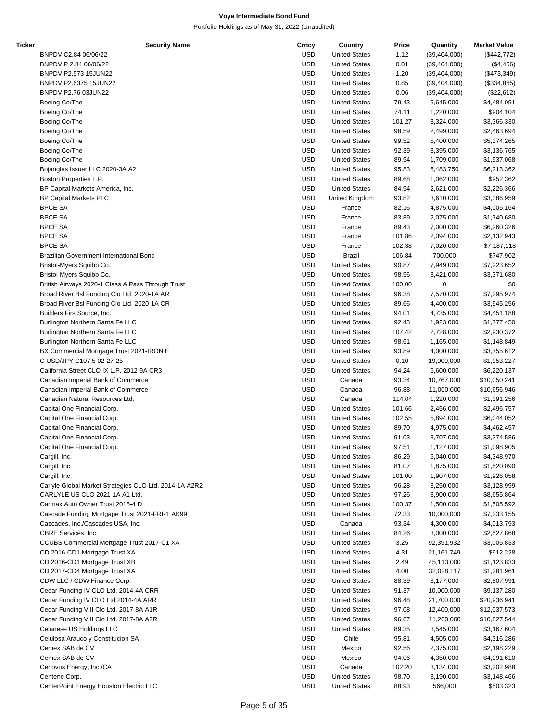| Ticker | <b>Security Name</b>                                   | Crncy      | Country              | Price  | Quantity       | <b>Market Value</b> |
|--------|--------------------------------------------------------|------------|----------------------|--------|----------------|---------------------|
|        | BNPDV C2.84 06/06/22                                   | <b>USD</b> | <b>United States</b> | 1.12   | (39, 404, 000) | (\$442,772)         |
|        | BNPDV P 2.84 06/06/22                                  | <b>USD</b> | <b>United States</b> | 0.01   | (39, 404, 000) | (\$4,466)           |
|        | BNPDV P2.573 15JUN22                                   | <b>USD</b> | <b>United States</b> | 1.20   | (39, 404, 000) | (\$473,349)         |
|        | BNPDV P2.6375 15JUN22                                  | <b>USD</b> | <b>United States</b> | 0.85   | (39, 404, 000) | (\$334,865)         |
|        | BNPDV P2.76 03JUN22                                    | <b>USD</b> | <b>United States</b> | 0.06   | (39, 404, 000) | (\$22,612)          |
|        | Boeing Co/The                                          | <b>USD</b> | <b>United States</b> | 79.43  | 5,645,000      | \$4,484,091         |
|        | Boeing Co/The                                          | <b>USD</b> | <b>United States</b> | 74.11  | 1,220,000      | \$904,104           |
|        | Boeing Co/The                                          | <b>USD</b> | <b>United States</b> | 101.27 | 3,324,000      | \$3,366,330         |
|        | Boeing Co/The                                          | <b>USD</b> | <b>United States</b> | 98.59  | 2,499,000      | \$2,463,694         |
|        | Boeing Co/The                                          | <b>USD</b> | <b>United States</b> | 99.52  | 5,400,000      | \$5,374,265         |
|        | Boeing Co/The                                          | <b>USD</b> | <b>United States</b> | 92.39  | 3,395,000      | \$3,136,765         |
|        | Boeing Co/The                                          | <b>USD</b> | <b>United States</b> | 89.94  | 1,709,000      | \$1,537,068         |
|        | Bojangles Issuer LLC 2020-3A A2                        | <b>USD</b> | <b>United States</b> | 95.83  | 6,483,750      | \$6,213,362         |
|        | Boston Properties L.P.                                 | <b>USD</b> | <b>United States</b> | 89.68  | 1,062,000      | \$952,362           |
|        | BP Capital Markets America, Inc.                       | <b>USD</b> | <b>United States</b> | 84.94  | 2,621,000      | \$2,226,366         |
|        | <b>BP Capital Markets PLC</b>                          | <b>USD</b> | United Kingdom       | 93.82  | 3,610,000      | \$3,386,959         |
|        | <b>BPCE SA</b>                                         | <b>USD</b> | France               | 82.16  | 4,875,000      | \$4,005,164         |
|        | <b>BPCE SA</b>                                         | <b>USD</b> | France               | 83.89  | 2,075,000      | \$1,740,680         |
|        | <b>BPCE SA</b>                                         | <b>USD</b> | France               | 89.43  | 7,000,000      | \$6,260,326         |
|        | <b>BPCE SA</b>                                         | <b>USD</b> | France               | 101.86 | 2,094,000      | \$2,132,943         |
|        | <b>BPCE SA</b>                                         | <b>USD</b> | France               | 102.38 | 7,020,000      | \$7,187,118         |
|        | Brazilian Government International Bond                | <b>USD</b> | <b>Brazil</b>        | 106.84 | 700,000        | \$747,902           |
|        | Bristol-Myers Squibb Co.                               | <b>USD</b> | <b>United States</b> | 90.87  | 7,949,000      | \$7,223,652         |
|        | Bristol-Myers Squibb Co.                               | <b>USD</b> | <b>United States</b> | 98.56  | 3,421,000      | \$3,371,680         |
|        | British Airways 2020-1 Class A Pass Through Trust      | <b>USD</b> | <b>United States</b> | 100.00 | 0              | \$0                 |
|        | Broad River BsI Funding Clo Ltd. 2020-1A AR            | <b>USD</b> | <b>United States</b> | 96.38  | 7,570,000      | \$7,295,974         |
|        | Broad River BsI Funding Clo Ltd. 2020-1A CR            | <b>USD</b> | <b>United States</b> | 89.66  | 4,400,000      | \$3,945,256         |
|        | Builders FirstSource, Inc.                             | <b>USD</b> | <b>United States</b> | 94.01  | 4,735,000      | \$4,451,188         |
|        | Burlington Northern Santa Fe LLC                       | <b>USD</b> | <b>United States</b> | 92.43  | 1,923,000      | \$1,777,450         |
|        | Burlington Northern Santa Fe LLC                       | <b>USD</b> | <b>United States</b> | 107.42 | 2,728,000      | \$2,930,372         |
|        | Burlington Northern Santa Fe LLC                       | <b>USD</b> | <b>United States</b> | 98.61  | 1,165,000      | \$1,148,849         |
|        | BX Commercial Mortgage Trust 2021-IRON E               | <b>USD</b> | <b>United States</b> | 93.89  | 4,000,000      | \$3,755,612         |
|        | C USD/JPY C107.5 02-27-25                              | <b>USD</b> | <b>United States</b> | 0.10   | 19,009,000     | \$1,953,227         |
|        | California Street CLO IX L.P. 2012-9A CR3              | <b>USD</b> | <b>United States</b> | 94.24  | 6,600,000      | \$6,220,137         |
|        | Canadian Imperial Bank of Commerce                     | <b>USD</b> | Canada               | 93.34  | 10,767,000     | \$10,050,241        |
|        | Canadian Imperial Bank of Commerce                     | <b>USD</b> | Canada               | 96.88  | 11,000,000     | \$10,656,946        |
|        | Canadian Natural Resources Ltd.                        | <b>USD</b> | Canada               | 114.04 | 1,220,000      | \$1,391,256         |
|        | Capital One Financial Corp.                            | <b>USD</b> | <b>United States</b> | 101.66 | 2,456,000      | \$2,496,757         |
|        | Capital One Financial Corp.                            | <b>USD</b> | <b>United States</b> | 102.55 | 5,894,000      | \$6,044,052         |
|        | Capital One Financial Corp.                            | <b>USD</b> | <b>United States</b> | 89.70  | 4,975,000      | \$4,462,457         |
|        | Capital One Financial Corp.                            | <b>USD</b> | <b>United States</b> | 91.03  | 3,707,000      | \$3,374,586         |
|        | Capital One Financial Corp.                            | <b>USD</b> | <b>United States</b> | 97.51  | 1,127,000      | \$1,098,905         |
|        | Cargill, Inc.                                          | <b>USD</b> | <b>United States</b> | 86.29  | 5,040,000      | \$4,348,970         |
|        | Cargill, Inc.                                          | <b>USD</b> | <b>United States</b> | 81.07  | 1,875,000      | \$1,520,090         |
|        | Cargill, Inc.                                          | <b>USD</b> | <b>United States</b> | 101.00 | 1,907,000      | \$1,926,058         |
|        | Carlyle Global Market Strategies CLO Ltd. 2014-1A A2R2 | <b>USD</b> | <b>United States</b> | 96.28  | 3,250,000      | \$3,128,999         |
|        | CARLYLE US CLO 2021-1A A1 Ltd.                         | <b>USD</b> | <b>United States</b> | 97.26  | 8,900,000      | \$8,655,864         |
|        | Carmax Auto Owner Trust 2018-4 D                       | <b>USD</b> | <b>United States</b> | 100.37 | 1,500,000      | \$1,505,592         |
|        | Cascade Funding Mortgage Trust 2021-FRR1 AK99          | <b>USD</b> | <b>United States</b> | 72.33  | 10,000,000     | \$7,233,155         |
|        | Cascades, Inc./Cascades USA, Inc.                      | <b>USD</b> | Canada               | 93.34  | 4,300,000      | \$4,013,793         |
|        | CBRE Services, Inc.                                    | <b>USD</b> | <b>United States</b> | 84.26  | 3,000,000      | \$2,527,868         |
|        | CCUBS Commercial Mortgage Trust 2017-C1 XA             | <b>USD</b> | <b>United States</b> | 3.25   | 92,391,932     | \$3,005,833         |
|        | CD 2016-CD1 Mortgage Trust XA                          | <b>USD</b> | <b>United States</b> | 4.31   | 21, 161, 749   | \$912,228           |
|        | CD 2016-CD1 Mortgage Trust XB                          | <b>USD</b> | <b>United States</b> | 2.49   | 45,113,000     | \$1,123,833         |
|        | CD 2017-CD4 Mortgage Trust XA                          | <b>USD</b> | <b>United States</b> | 4.00   | 32,028,117     | \$1,281,961         |
|        | CDW LLC / CDW Finance Corp.                            | <b>USD</b> | <b>United States</b> | 88.39  | 3,177,000      | \$2,807,991         |
|        | Cedar Funding IV CLO Ltd. 2014-4A CRR                  | <b>USD</b> | <b>United States</b> | 91.37  | 10,000,000     | \$9,137,280         |
|        | Cedar Funding IV CLO Ltd.2014-4A ARR                   | <b>USD</b> | <b>United States</b> | 96.48  | 21,700,000     | \$20,936,941        |
|        | Cedar Funding VIII Clo Ltd. 2017-8A A1R                | <b>USD</b> | <b>United States</b> | 97.08  | 12,400,000     | \$12,037,573        |
|        | Cedar Funding VIII Clo Ltd. 2017-8A A2R                | <b>USD</b> | <b>United States</b> | 96.67  | 11,200,000     | \$10,827,544        |
|        | Celanese US Holdings LLC                               | <b>USD</b> | <b>United States</b> | 89.35  | 3,545,000      | \$3,167,604         |
|        | Celulosa Arauco y Constitucion SA                      | <b>USD</b> | Chile                | 95.81  | 4,505,000      | \$4,316,286         |
|        | Cemex SAB de CV                                        | <b>USD</b> | Mexico               | 92.56  | 2,375,000      | \$2,198,229         |
|        | Cemex SAB de CV                                        | <b>USD</b> | Mexico               | 94.06  | 4,350,000      | \$4,091,610         |
|        | Cenovus Energy, Inc./CA                                | <b>USD</b> | Canada               | 102.20 | 3,134,000      | \$3,202,988         |
|        | Centene Corp.                                          | <b>USD</b> | <b>United States</b> | 98.70  | 3,190,000      | \$3,148,466         |
|        | CenterPoint Energy Houston Electric LLC                | <b>USD</b> | <b>United States</b> | 88.93  | 566,000        | \$503,323           |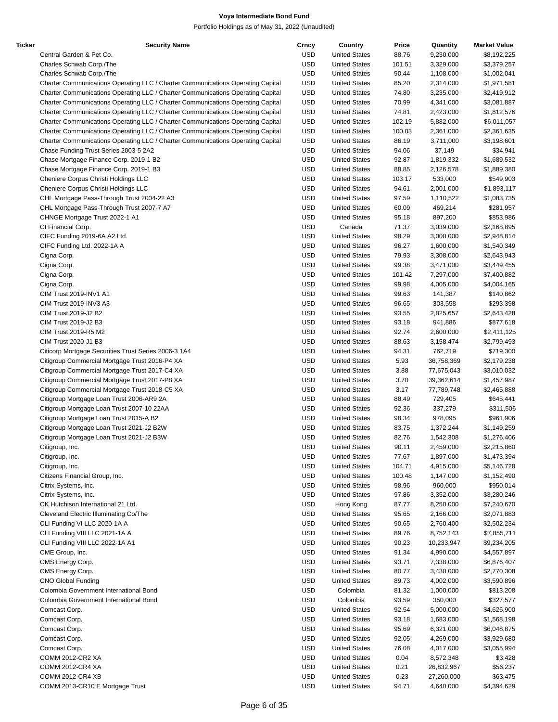| Ticker | <b>Security Name</b>                                                            | Crncy      | Country              | Price  | Quantity   | <b>Market Value</b> |
|--------|---------------------------------------------------------------------------------|------------|----------------------|--------|------------|---------------------|
|        | Central Garden & Pet Co.                                                        | <b>USD</b> | <b>United States</b> | 88.76  | 9,230,000  | \$8,192,225         |
|        | Charles Schwab Corp./The                                                        | <b>USD</b> | <b>United States</b> | 101.51 | 3,329,000  | \$3,379,257         |
|        | Charles Schwab Corp./The                                                        | <b>USD</b> | <b>United States</b> | 90.44  | 1,108,000  | \$1,002,041         |
|        | Charter Communications Operating LLC / Charter Communications Operating Capital | <b>USD</b> | <b>United States</b> | 85.20  | 2,314,000  | \$1,971,581         |
|        | Charter Communications Operating LLC / Charter Communications Operating Capital | <b>USD</b> | <b>United States</b> | 74.80  | 3,235,000  | \$2,419,912         |
|        | Charter Communications Operating LLC / Charter Communications Operating Capital | <b>USD</b> | <b>United States</b> | 70.99  | 4,341,000  | \$3,081,887         |
|        | Charter Communications Operating LLC / Charter Communications Operating Capital | <b>USD</b> | <b>United States</b> | 74.81  | 2,423,000  | \$1,812,576         |
|        | Charter Communications Operating LLC / Charter Communications Operating Capital | <b>USD</b> | <b>United States</b> | 102.19 | 5,882,000  | \$6,011,057         |
|        | Charter Communications Operating LLC / Charter Communications Operating Capital | <b>USD</b> | <b>United States</b> | 100.03 | 2,361,000  | \$2,361,635         |
|        | Charter Communications Operating LLC / Charter Communications Operating Capital | <b>USD</b> | <b>United States</b> | 86.19  | 3,711,000  | \$3,198,601         |
|        | Chase Funding Trust Series 2003-5 2A2                                           | <b>USD</b> | <b>United States</b> | 94.06  | 37,149     | \$34,941            |
|        | Chase Mortgage Finance Corp. 2019-1 B2                                          | <b>USD</b> | <b>United States</b> | 92.87  | 1,819,332  | \$1,689,532         |
|        | Chase Mortgage Finance Corp. 2019-1 B3                                          | <b>USD</b> | <b>United States</b> | 88.85  | 2,126,578  | \$1,889,380         |
|        | Cheniere Corpus Christi Holdings LLC                                            | <b>USD</b> | <b>United States</b> | 103.17 | 533,000    | \$549,903           |
|        | Cheniere Corpus Christi Holdings LLC                                            | <b>USD</b> | <b>United States</b> | 94.61  | 2,001,000  | \$1,893,117         |
|        | CHL Mortgage Pass-Through Trust 2004-22 A3                                      | <b>USD</b> | <b>United States</b> | 97.59  | 1,110,522  | \$1,083,735         |
|        | CHL Mortgage Pass-Through Trust 2007-7 A7                                       | <b>USD</b> | <b>United States</b> | 60.09  | 469,214    | \$281,957           |
|        | CHNGE Mortgage Trust 2022-1 A1                                                  | <b>USD</b> | <b>United States</b> | 95.18  | 897,200    | \$853,986           |
|        | CI Financial Corp.                                                              | <b>USD</b> | Canada               | 71.37  | 3,039,000  | \$2,168,895         |
|        | CIFC Funding 2019-6A A2 Ltd.                                                    | <b>USD</b> | <b>United States</b> | 98.29  | 3,000,000  | \$2,948,814         |
|        | CIFC Funding Ltd. 2022-1A A                                                     | <b>USD</b> | <b>United States</b> | 96.27  | 1,600,000  | \$1,540,349         |
|        |                                                                                 | <b>USD</b> |                      |        | 3,308,000  |                     |
|        | Cigna Corp.                                                                     |            | <b>United States</b> | 79.93  |            | \$2,643,943         |
|        | Cigna Corp.                                                                     | <b>USD</b> | <b>United States</b> | 99.38  | 3,471,000  | \$3,449,455         |
|        | Cigna Corp.                                                                     | <b>USD</b> | <b>United States</b> | 101.42 | 7,297,000  | \$7,400,882         |
|        | Cigna Corp.                                                                     | <b>USD</b> | <b>United States</b> | 99.98  | 4,005,000  | \$4,004,165         |
|        | CIM Trust 2019-INV1 A1                                                          | <b>USD</b> | <b>United States</b> | 99.63  | 141,387    | \$140,862           |
|        | CIM Trust 2019-INV3 A3                                                          | <b>USD</b> | <b>United States</b> | 96.65  | 303,558    | \$293,398           |
|        | CIM Trust 2019-J2 B2                                                            | <b>USD</b> | <b>United States</b> | 93.55  | 2,825,657  | \$2,643,428         |
|        | CIM Trust 2019-J2 B3                                                            | <b>USD</b> | <b>United States</b> | 93.18  | 941,886    | \$877,618           |
|        | CIM Trust 2019-R5 M2                                                            | <b>USD</b> | <b>United States</b> | 92.74  | 2,600,000  | \$2,411,125         |
|        | CIM Trust 2020-J1 B3                                                            | <b>USD</b> | <b>United States</b> | 88.63  | 3,158,474  | \$2,799,493         |
|        | Citicorp Mortgage Securities Trust Series 2006-3 1A4                            | <b>USD</b> | <b>United States</b> | 94.31  | 762,719    | \$719,300           |
|        | Citigroup Commercial Mortgage Trust 2016-P4 XA                                  | <b>USD</b> | <b>United States</b> | 5.93   | 36,758,369 | \$2,179,238         |
|        | Citigroup Commercial Mortgage Trust 2017-C4 XA                                  | <b>USD</b> | <b>United States</b> | 3.88   | 77,675,043 | \$3,010,032         |
|        | Citigroup Commercial Mortgage Trust 2017-P8 XA                                  | <b>USD</b> | <b>United States</b> | 3.70   | 39,362,614 | \$1,457,987         |
|        | Citigroup Commercial Mortgage Trust 2018-C5 XA                                  | <b>USD</b> | <b>United States</b> | 3.17   | 77,789,748 | \$2,465,888         |
|        | Citigroup Mortgage Loan Trust 2006-AR9 2A                                       | <b>USD</b> | <b>United States</b> | 88.49  | 729,405    | \$645,441           |
|        | Citigroup Mortgage Loan Trust 2007-10 22AA                                      | <b>USD</b> | <b>United States</b> | 92.36  | 337,279    | \$311,506           |
|        | Citigroup Mortgage Loan Trust 2015-A B2                                         | <b>USD</b> | <b>United States</b> | 98.34  | 978,095    | \$961,906           |
|        | Citigroup Mortgage Loan Trust 2021-J2 B2W                                       | <b>USD</b> | <b>United States</b> | 83.75  | 1,372,244  | \$1,149,259         |
|        | Citigroup Mortgage Loan Trust 2021-J2 B3W                                       | <b>USD</b> | <b>United States</b> | 82.76  | 1,542,308  | \$1,276,406         |
|        | Citigroup, Inc.                                                                 | <b>USD</b> | <b>United States</b> | 90.11  | 2,459,000  | \$2,215,860         |
|        | Citigroup, Inc.                                                                 | <b>USD</b> | <b>United States</b> | 77.67  | 1,897,000  | \$1,473,394         |
|        | Citigroup, Inc.                                                                 | <b>USD</b> | <b>United States</b> | 104.71 | 4,915,000  | \$5,146,728         |
|        | Citizens Financial Group, Inc.                                                  | <b>USD</b> | <b>United States</b> | 100.48 | 1,147,000  | \$1,152,490         |
|        | Citrix Systems, Inc.                                                            | <b>USD</b> | <b>United States</b> | 98.96  | 960,000    | \$950,014           |
|        | Citrix Systems, Inc.                                                            | <b>USD</b> | <b>United States</b> | 97.86  | 3,352,000  | \$3,280,246         |
|        | CK Hutchison International 21 Ltd.                                              | <b>USD</b> | Hong Kong            | 87.77  | 8,250,000  | \$7,240,670         |
|        | Cleveland Electric Illuminating Co/The                                          | <b>USD</b> | <b>United States</b> | 95.65  | 2,166,000  | \$2,071,883         |
|        | CLI Funding VI LLC 2020-1A A                                                    | <b>USD</b> | <b>United States</b> | 90.65  | 2,760,400  | \$2,502,234         |
|        | CLI Funding VIII LLC 2021-1A A                                                  | <b>USD</b> | <b>United States</b> | 89.76  | 8,752,143  | \$7,855,711         |
|        | CLI Funding VIII LLC 2022-1A A1                                                 | <b>USD</b> | <b>United States</b> | 90.23  |            | \$9,234,205         |
|        |                                                                                 |            |                      |        | 10,233,947 |                     |
|        | CME Group, Inc.                                                                 | <b>USD</b> | <b>United States</b> | 91.34  | 4,990,000  | \$4,557,897         |
|        | CMS Energy Corp.                                                                | <b>USD</b> | <b>United States</b> | 93.71  | 7,338,000  | \$6,876,407         |
|        | CMS Energy Corp.                                                                | <b>USD</b> | <b>United States</b> | 80.77  | 3,430,000  | \$2,770,308         |
|        | <b>CNO Global Funding</b>                                                       | <b>USD</b> | <b>United States</b> | 89.73  | 4,002,000  | \$3,590,896         |
|        | Colombia Government International Bond                                          | <b>USD</b> | Colombia             | 81.32  | 1,000,000  | \$813,208           |
|        | Colombia Government International Bond                                          | <b>USD</b> | Colombia             | 93.59  | 350,000    | \$327,577           |
|        | Comcast Corp.                                                                   | <b>USD</b> | <b>United States</b> | 92.54  | 5,000,000  | \$4,626,900         |
|        | Comcast Corp.                                                                   | <b>USD</b> | <b>United States</b> | 93.18  | 1,683,000  | \$1,568,198         |
|        | Comcast Corp.                                                                   | <b>USD</b> | <b>United States</b> | 95.69  | 6,321,000  | \$6,048,875         |
|        | Comcast Corp.                                                                   | <b>USD</b> | <b>United States</b> | 92.05  | 4,269,000  | \$3,929,680         |
|        | Comcast Corp.                                                                   | <b>USD</b> | <b>United States</b> | 76.08  | 4,017,000  | \$3,055,994         |
|        | COMM 2012-CR2 XA                                                                | <b>USD</b> | <b>United States</b> | 0.04   | 8,572,348  | \$3,428             |
|        | COMM 2012-CR4 XA                                                                | <b>USD</b> | <b>United States</b> | 0.21   | 26,832,967 | \$56,237            |
|        | <b>COMM 2012-CR4 XB</b>                                                         | <b>USD</b> | <b>United States</b> | 0.23   | 27,260,000 | \$63,475            |
|        | COMM 2013-CR10 E Mortgage Trust                                                 | <b>USD</b> | <b>United States</b> | 94.71  | 4,640,000  | \$4,394,629         |
|        |                                                                                 |            |                      |        |            |                     |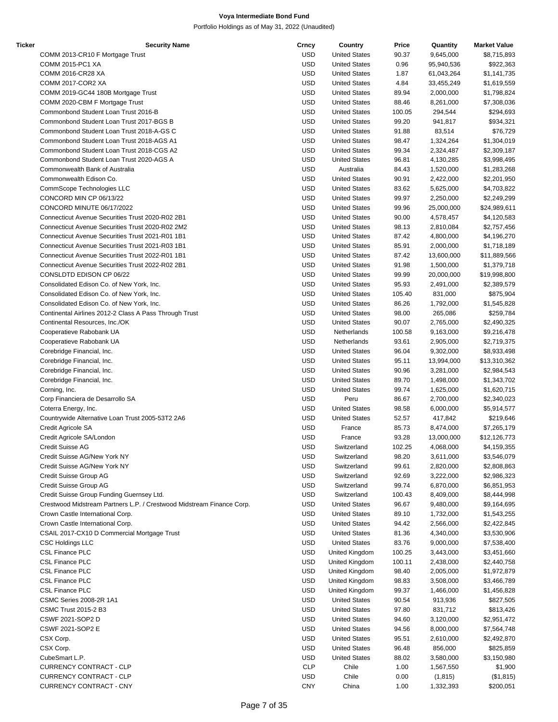| Ticker | <b>Security Name</b>                                                  | Crncy      | Country              | Price  | Quantity   | <b>Market Value</b> |
|--------|-----------------------------------------------------------------------|------------|----------------------|--------|------------|---------------------|
|        | COMM 2013-CR10 F Mortgage Trust                                       | <b>USD</b> | <b>United States</b> | 90.37  | 9,645,000  | \$8,715,893         |
|        | <b>COMM 2015-PC1 XA</b>                                               | <b>USD</b> | <b>United States</b> | 0.96   | 95,940,536 | \$922,363           |
|        | COMM 2016-CR28 XA                                                     | <b>USD</b> | <b>United States</b> | 1.87   | 61,043,264 | \$1,141,735         |
|        | COMM 2017-COR2 XA                                                     | <b>USD</b> | <b>United States</b> | 4.84   | 33,455,249 | \$1,619,559         |
|        | COMM 2019-GC44 180B Mortgage Trust                                    | <b>USD</b> | <b>United States</b> | 89.94  | 2,000,000  | \$1,798,824         |
|        |                                                                       |            |                      |        |            |                     |
|        | COMM 2020-CBM F Mortgage Trust                                        | <b>USD</b> | <b>United States</b> | 88.46  | 8,261,000  | \$7,308,036         |
|        | Commonbond Student Loan Trust 2016-B                                  | <b>USD</b> | <b>United States</b> | 100.05 | 294,544    | \$294,693           |
|        | Commonbond Student Loan Trust 2017-BGS B                              | <b>USD</b> | <b>United States</b> | 99.20  | 941,817    | \$934,321           |
|        | Commonbond Student Loan Trust 2018-A-GS C                             | <b>USD</b> | <b>United States</b> | 91.88  | 83,514     | \$76,729            |
|        | Commonbond Student Loan Trust 2018-AGS A1                             | <b>USD</b> | <b>United States</b> | 98.47  | 1,324,264  | \$1,304,019         |
|        | Commonbond Student Loan Trust 2018-CGS A2                             | <b>USD</b> | <b>United States</b> | 99.34  | 2,324,487  | \$2,309,187         |
|        | Commonbond Student Loan Trust 2020-AGS A                              | <b>USD</b> | <b>United States</b> | 96.81  | 4,130,285  | \$3,998,495         |
|        | Commonwealth Bank of Australia                                        | <b>USD</b> | Australia            | 84.43  | 1,520,000  | \$1,283,268         |
|        | Commonwealth Edison Co.                                               | <b>USD</b> | <b>United States</b> |        |            |                     |
|        |                                                                       |            |                      | 90.91  | 2,422,000  | \$2,201,950         |
|        | CommScope Technologies LLC                                            | <b>USD</b> | <b>United States</b> | 83.62  | 5,625,000  | \$4,703,822         |
|        | CONCORD MIN CP 06/13/22                                               | <b>USD</b> | <b>United States</b> | 99.97  | 2,250,000  | \$2,249,299         |
|        | CONCORD MINUTE 06/17/2022                                             | <b>USD</b> | <b>United States</b> | 99.96  | 25,000,000 | \$24,989,611        |
|        | Connecticut Avenue Securities Trust 2020-R02 2B1                      | <b>USD</b> | <b>United States</b> | 90.00  | 4,578,457  | \$4,120,583         |
|        | Connecticut Avenue Securities Trust 2020-R02 2M2                      | <b>USD</b> | <b>United States</b> | 98.13  | 2,810,084  | \$2,757,456         |
|        | Connecticut Avenue Securities Trust 2021-R01 1B1                      | <b>USD</b> | <b>United States</b> | 87.42  | 4,800,000  | \$4,196,270         |
|        | Connecticut Avenue Securities Trust 2021-R03 1B1                      | <b>USD</b> | <b>United States</b> | 85.91  | 2,000,000  | \$1,718,189         |
|        |                                                                       |            |                      |        |            |                     |
|        | Connecticut Avenue Securities Trust 2022-R01 1B1                      | <b>USD</b> | <b>United States</b> | 87.42  | 13,600,000 | \$11,889,566        |
|        | Connecticut Avenue Securities Trust 2022-R02 2B1                      | <b>USD</b> | <b>United States</b> | 91.98  | 1,500,000  | \$1,379,718         |
|        | CONSLDTD EDISON CP 06/22                                              | <b>USD</b> | <b>United States</b> | 99.99  | 20,000,000 | \$19,998,800        |
|        | Consolidated Edison Co. of New York, Inc.                             | <b>USD</b> | <b>United States</b> | 95.93  | 2,491,000  | \$2,389,579         |
|        | Consolidated Edison Co. of New York, Inc.                             | <b>USD</b> | <b>United States</b> | 105.40 | 831,000    | \$875,904           |
|        | Consolidated Edison Co. of New York, Inc.                             | <b>USD</b> | <b>United States</b> | 86.26  | 1,792,000  | \$1,545,828         |
|        | Continental Airlines 2012-2 Class A Pass Through Trust                | <b>USD</b> | <b>United States</b> | 98.00  | 265,086    | \$259,784           |
|        | Continental Resources, Inc./OK                                        | <b>USD</b> | <b>United States</b> | 90.07  | 2,765,000  | \$2,490,325         |
|        |                                                                       |            |                      |        |            |                     |
|        | Cooperatieve Rabobank UA                                              | <b>USD</b> | Netherlands          | 100.58 | 9,163,000  | \$9,216,478         |
|        | Cooperatieve Rabobank UA                                              | <b>USD</b> | Netherlands          | 93.61  | 2,905,000  | \$2,719,375         |
|        | Corebridge Financial, Inc.                                            | <b>USD</b> | <b>United States</b> | 96.04  | 9,302,000  | \$8,933,498         |
|        | Corebridge Financial, Inc.                                            | <b>USD</b> | <b>United States</b> | 95.11  | 13,994,000 | \$13,310,362        |
|        | Corebridge Financial, Inc.                                            | <b>USD</b> | <b>United States</b> | 90.96  | 3,281,000  | \$2,984,543         |
|        | Corebridge Financial, Inc.                                            | <b>USD</b> | <b>United States</b> | 89.70  | 1,498,000  | \$1,343,702         |
|        | Corning, Inc.                                                         | <b>USD</b> | <b>United States</b> | 99.74  | 1,625,000  | \$1,620,715         |
|        |                                                                       | <b>USD</b> | Peru                 |        |            |                     |
|        | Corp Financiera de Desarrollo SA                                      |            |                      | 86.67  | 2,700,000  | \$2,340,023         |
|        | Coterra Energy, Inc.                                                  | <b>USD</b> | <b>United States</b> | 98.58  | 6,000,000  | \$5,914,577         |
|        | Countrywide Alternative Loan Trust 2005-53T2 2A6                      | <b>USD</b> | <b>United States</b> | 52.57  | 417,842    | \$219,646           |
|        | Credit Agricole SA                                                    | <b>USD</b> | France               | 85.73  | 8,474,000  | \$7,265,179         |
|        | Credit Agricole SA/London                                             | <b>USD</b> | France               | 93.28  | 13,000,000 | \$12,126,773        |
|        | Credit Suisse AG                                                      | <b>USD</b> | Switzerland          | 102.25 | 4,068,000  | \$4,159,355         |
|        | Credit Suisse AG/New York NY                                          | <b>USD</b> | Switzerland          | 98.20  | 3,611,000  | \$3,546,079         |
|        | Credit Suisse AG/New York NY                                          | <b>USD</b> | Switzerland          | 99.61  | 2,820,000  | \$2,808,863         |
|        | Credit Suisse Group AG                                                | <b>USD</b> | Switzerland          |        | 3,222,000  | \$2,986,323         |
|        |                                                                       |            |                      | 92.69  |            |                     |
|        | Credit Suisse Group AG                                                | <b>USD</b> | Switzerland          | 99.74  | 6,870,000  | \$6,851,953         |
|        | Credit Suisse Group Funding Guernsey Ltd.                             | <b>USD</b> | Switzerland          | 100.43 | 8,409,000  | \$8,444,998         |
|        | Crestwood Midstream Partners L.P. / Crestwood Midstream Finance Corp. | <b>USD</b> | <b>United States</b> | 96.67  | 9,480,000  | \$9,164,695         |
|        | Crown Castle International Corp.                                      | <b>USD</b> | <b>United States</b> | 89.10  | 1,732,000  | \$1,543,255         |
|        | Crown Castle International Corp.                                      | <b>USD</b> | <b>United States</b> | 94.42  | 2,566,000  | \$2,422,845         |
|        | CSAIL 2017-CX10 D Commercial Mortgage Trust                           | <b>USD</b> | <b>United States</b> | 81.36  | 4,340,000  | \$3,530,906         |
|        | <b>CSC Holdings LLC</b>                                               | <b>USD</b> | <b>United States</b> | 83.76  | 9,000,000  | \$7,538,400         |
|        |                                                                       |            |                      |        |            |                     |
|        | <b>CSL Finance PLC</b>                                                | <b>USD</b> | United Kingdom       | 100.25 | 3,443,000  | \$3,451,660         |
|        | <b>CSL Finance PLC</b>                                                | <b>USD</b> | United Kingdom       | 100.11 | 2,438,000  | \$2,440,758         |
|        | <b>CSL Finance PLC</b>                                                | <b>USD</b> | United Kingdom       | 98.40  | 2,005,000  | \$1,972,879         |
|        | <b>CSL Finance PLC</b>                                                | <b>USD</b> | United Kingdom       | 98.83  | 3,508,000  | \$3,466,789         |
|        | <b>CSL Finance PLC</b>                                                | <b>USD</b> | United Kingdom       | 99.37  | 1,466,000  | \$1,456,828         |
|        | CSMC Series 2008-2R 1A1                                               | <b>USD</b> | <b>United States</b> | 90.54  | 913,936    | \$827,505           |
|        | <b>CSMC Trust 2015-2 B3</b>                                           | <b>USD</b> | <b>United States</b> | 97.80  | 831,712    | \$813,426           |
|        | CSWF 2021-SOP2 D                                                      | <b>USD</b> | <b>United States</b> | 94.60  | 3,120,000  | \$2,951,472         |
|        |                                                                       |            |                      |        |            |                     |
|        | CSWF 2021-SOP2 E                                                      | <b>USD</b> | <b>United States</b> | 94.56  | 8,000,000  | \$7,564,748         |
|        | CSX Corp.                                                             | <b>USD</b> | <b>United States</b> | 95.51  | 2,610,000  | \$2,492,870         |
|        | CSX Corp.                                                             | <b>USD</b> | <b>United States</b> | 96.48  | 856,000    | \$825,859           |
|        | CubeSmart L.P.                                                        | <b>USD</b> | <b>United States</b> | 88.02  | 3,580,000  | \$3,150,980         |
|        | CURRENCY CONTRACT - CLP                                               | <b>CLP</b> | Chile                | 1.00   | 1,567,550  | \$1,900             |
|        | <b>CURRENCY CONTRACT - CLP</b>                                        | <b>USD</b> | Chile                | 0.00   | (1, 815)   | (\$1,815)           |
|        | CURRENCY CONTRACT - CNY                                               | <b>CNY</b> | China                | 1.00   | 1,332,393  | \$200,051           |
|        |                                                                       |            |                      |        |            |                     |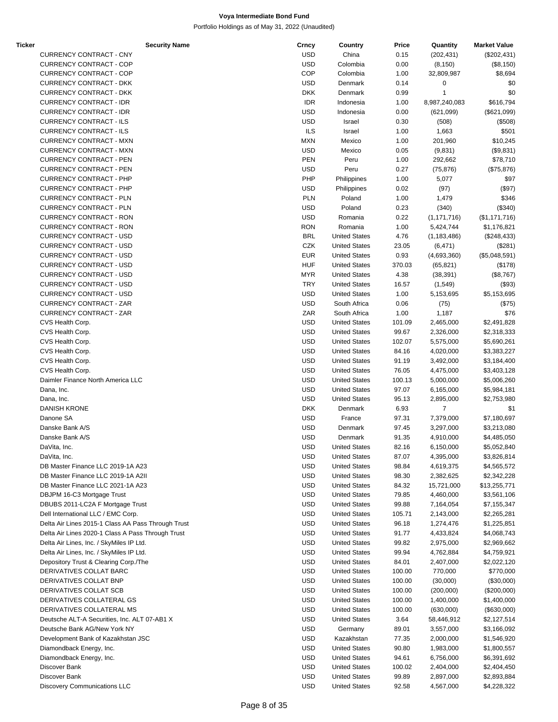| Ticker | <b>Security Name</b>                               | Crncy      | Country              | Price  | Quantity       | <b>Market Value</b> |
|--------|----------------------------------------------------|------------|----------------------|--------|----------------|---------------------|
|        | CURRENCY CONTRACT - CNY                            | <b>USD</b> | China                | 0.15   | (202, 431)     | $(\$202,431)$       |
|        | <b>CURRENCY CONTRACT - COP</b>                     | <b>USD</b> | Colombia             | 0.00   | (8, 150)       | (\$8,150)           |
|        | <b>CURRENCY CONTRACT - COP</b>                     | COP        | Colombia             | 1.00   | 32,809,987     | \$8,694             |
|        | <b>CURRENCY CONTRACT - DKK</b>                     | <b>USD</b> | Denmark              | 0.14   | 0              | \$0                 |
|        | <b>CURRENCY CONTRACT - DKK</b>                     | <b>DKK</b> | Denmark              | 0.99   | 1              | \$0                 |
|        |                                                    |            |                      |        |                |                     |
|        | <b>CURRENCY CONTRACT - IDR</b>                     | <b>IDR</b> | Indonesia            | 1.00   | 8,987,240,083  | \$616,794           |
|        | <b>CURRENCY CONTRACT - IDR</b>                     | <b>USD</b> | Indonesia            | 0.00   | (621,099)      | (\$621,099)         |
|        | <b>CURRENCY CONTRACT - ILS</b>                     | <b>USD</b> | Israel               | 0.30   | (508)          | (\$508)             |
|        | CURRENCY CONTRACT - ILS                            | <b>ILS</b> | Israel               | 1.00   | 1,663          | \$501               |
|        | <b>CURRENCY CONTRACT - MXN</b>                     | <b>MXN</b> | Mexico               | 1.00   | 201,960        | \$10,245            |
|        | <b>CURRENCY CONTRACT - MXN</b>                     | <b>USD</b> | Mexico               | 0.05   | (9,831)        | (\$9,831)           |
|        |                                                    |            |                      |        |                |                     |
|        | <b>CURRENCY CONTRACT - PEN</b>                     | <b>PEN</b> | Peru                 | 1.00   | 292,662        | \$78,710            |
|        | <b>CURRENCY CONTRACT - PEN</b>                     | <b>USD</b> | Peru                 | 0.27   | (75, 876)      | (\$75,876)          |
|        | CURRENCY CONTRACT - PHP                            | PHP        | Philippines          | 1.00   | 5,077          | \$97                |
|        | CURRENCY CONTRACT - PHP                            | <b>USD</b> | Philippines          | 0.02   | (97)           | (\$97)              |
|        | <b>CURRENCY CONTRACT - PLN</b>                     | <b>PLN</b> | Poland               | 1.00   | 1,479          | \$346               |
|        | <b>CURRENCY CONTRACT - PLN</b>                     | <b>USD</b> | Poland               | 0.23   | (340)          | (\$340)             |
|        |                                                    |            |                      |        |                |                     |
|        | <b>CURRENCY CONTRACT - RON</b>                     | <b>USD</b> | Romania              | 0.22   | (1, 171, 716)  | (\$1,171,716)       |
|        | <b>CURRENCY CONTRACT - RON</b>                     | <b>RON</b> | Romania              | 1.00   | 5,424,744      | \$1,176,821         |
|        | <b>CURRENCY CONTRACT - USD</b>                     | <b>BRL</b> | <b>United States</b> | 4.76   | (1, 183, 486)  | (\$248,433)         |
|        | <b>CURRENCY CONTRACT - USD</b>                     | CZK        | <b>United States</b> | 23.05  | (6, 471)       | (\$281)             |
|        | <b>CURRENCY CONTRACT - USD</b>                     | <b>EUR</b> | <b>United States</b> | 0.93   | (4,693,360)    | (\$5,048,591)       |
|        | <b>CURRENCY CONTRACT - USD</b>                     | <b>HUF</b> | <b>United States</b> | 370.03 | (65, 821)      | (\$178)             |
|        | <b>CURRENCY CONTRACT - USD</b>                     | <b>MYR</b> | <b>United States</b> |        |                |                     |
|        |                                                    |            |                      | 4.38   | (38, 391)      | (\$8,767)           |
|        | <b>CURRENCY CONTRACT - USD</b>                     | <b>TRY</b> | <b>United States</b> | 16.57  | (1,549)        | (\$93)              |
|        | <b>CURRENCY CONTRACT - USD</b>                     | <b>USD</b> | <b>United States</b> | 1.00   | 5,153,695      | \$5,153,695         |
|        | <b>CURRENCY CONTRACT - ZAR</b>                     | <b>USD</b> | South Africa         | 0.06   | (75)           | (\$75)              |
|        | <b>CURRENCY CONTRACT - ZAR</b>                     | ZAR        | South Africa         | 1.00   | 1,187          | \$76                |
|        | CVS Health Corp.                                   | <b>USD</b> | <b>United States</b> | 101.09 | 2,465,000      | \$2,491,828         |
|        | CVS Health Corp.                                   | <b>USD</b> | <b>United States</b> | 99.67  | 2,326,000      | \$2,318,333         |
|        |                                                    |            |                      |        |                |                     |
|        | CVS Health Corp.                                   | <b>USD</b> | <b>United States</b> | 102.07 | 5,575,000      | \$5,690,261         |
|        | CVS Health Corp.                                   | <b>USD</b> | <b>United States</b> | 84.16  | 4,020,000      | \$3,383,227         |
|        | CVS Health Corp.                                   | <b>USD</b> | <b>United States</b> | 91.19  | 3,492,000      | \$3,184,400         |
|        | CVS Health Corp.                                   | <b>USD</b> | <b>United States</b> | 76.05  | 4,475,000      | \$3,403,128         |
|        | Daimler Finance North America LLC                  | <b>USD</b> | <b>United States</b> | 100.13 | 5,000,000      | \$5,006,260         |
|        | Dana, Inc.                                         | <b>USD</b> | <b>United States</b> | 97.07  | 6,165,000      | \$5,984,181         |
|        |                                                    | <b>USD</b> | <b>United States</b> |        |                |                     |
|        | Dana, Inc.                                         |            |                      | 95.13  | 2,895,000      | \$2,753,980         |
|        | <b>DANISH KRONE</b>                                | <b>DKK</b> | Denmark              | 6.93   | $\overline{7}$ | \$1                 |
|        | Danone SA                                          | <b>USD</b> | France               | 97.31  | 7,379,000      | \$7,180,697         |
|        | Danske Bank A/S                                    | <b>USD</b> | Denmark              | 97.45  | 3,297,000      | \$3,213,080         |
|        | Danske Bank A/S                                    | <b>USD</b> | Denmark              | 91.35  | 4,910,000      | \$4,485,050         |
|        | DaVita, Inc.                                       | <b>USD</b> | <b>United States</b> | 82.16  | 6,150,000      | \$5,052,840         |
|        |                                                    |            |                      |        |                |                     |
|        | DaVita, Inc.                                       | <b>USD</b> | <b>United States</b> | 87.07  | 4,395,000      | \$3,826,814         |
|        | DB Master Finance LLC 2019-1A A23                  | <b>USD</b> | <b>United States</b> | 98.84  | 4,619,375      | \$4,565,572         |
|        | DB Master Finance LLC 2019-1A A2II                 | USD        | <b>United States</b> | 98.30  | 2,382,625      | \$2,342,228         |
|        | DB Master Finance LLC 2021-1A A23                  | <b>USD</b> | <b>United States</b> | 84.32  | 15,721,000     | \$13,255,771        |
|        | DBJPM 16-C3 Mortgage Trust                         | <b>USD</b> | <b>United States</b> | 79.85  | 4,460,000      | \$3,561,106         |
|        | DBUBS 2011-LC2A F Mortgage Trust                   | USD        | <b>United States</b> | 99.88  | 7,164,054      | \$7,155,347         |
|        | Dell International LLC / EMC Corp.                 | USD        | <b>United States</b> | 105.71 |                | \$2,265,281         |
|        |                                                    |            |                      |        | 2,143,000      |                     |
|        | Delta Air Lines 2015-1 Class AA Pass Through Trust | <b>USD</b> | <b>United States</b> | 96.18  | 1,274,476      | \$1,225,851         |
|        | Delta Air Lines 2020-1 Class A Pass Through Trust  | <b>USD</b> | <b>United States</b> | 91.77  | 4,433,824      | \$4,068,743         |
|        | Delta Air Lines, Inc. / SkyMiles IP Ltd.           | USD        | <b>United States</b> | 99.82  | 2,975,000      | \$2,969,662         |
|        | Delta Air Lines, Inc. / SkyMiles IP Ltd.           | USD        | <b>United States</b> | 99.94  | 4,762,884      | \$4,759,921         |
|        | Depository Trust & Clearing Corp./The              | <b>USD</b> | <b>United States</b> | 84.01  | 2,407,000      | \$2,022,120         |
|        |                                                    |            |                      |        |                |                     |
|        | DERIVATIVES COLLAT BARC                            | <b>USD</b> | <b>United States</b> | 100.00 | 770,000        | \$770,000           |
|        | DERIVATIVES COLLAT BNP                             | USD        | <b>United States</b> | 100.00 | (30,000)       | (\$30,000)          |
|        | DERIVATIVES COLLAT SCB                             | USD        | <b>United States</b> | 100.00 | (200,000)      | $(\$200,000)$       |
|        | DERIVATIVES COLLATERAL GS                          | <b>USD</b> | <b>United States</b> | 100.00 | 1,400,000      | \$1,400,000         |
|        | DERIVATIVES COLLATERAL MS                          | <b>USD</b> | <b>United States</b> | 100.00 | (630,000)      | (\$630,000)         |
|        | Deutsche ALT-A Securities, Inc. ALT 07-AB1 X       | USD        | <b>United States</b> | 3.64   | 58,446,912     | \$2,127,514         |
|        | Deutsche Bank AG/New York NY                       | USD        | Germany              |        |                |                     |
|        |                                                    |            |                      | 89.01  | 3,557,000      | \$3,166,092         |
|        | Development Bank of Kazakhstan JSC                 | USD        | Kazakhstan           | 77.35  | 2,000,000      | \$1,546,920         |
|        | Diamondback Energy, Inc.                           | <b>USD</b> | <b>United States</b> | 90.80  | 1,983,000      | \$1,800,557         |
|        | Diamondback Energy, Inc.                           | <b>USD</b> | <b>United States</b> | 94.61  | 6,756,000      | \$6,391,692         |
|        | Discover Bank                                      | USD        | <b>United States</b> | 100.02 | 2,404,000      | \$2,404,450         |
|        | Discover Bank                                      | <b>USD</b> | <b>United States</b> | 99.89  | 2,897,000      | \$2,893,884         |
|        | Discovery Communications LLC                       | <b>USD</b> |                      |        |                |                     |
|        |                                                    |            | <b>United States</b> | 92.58  | 4,567,000      | \$4,228,322         |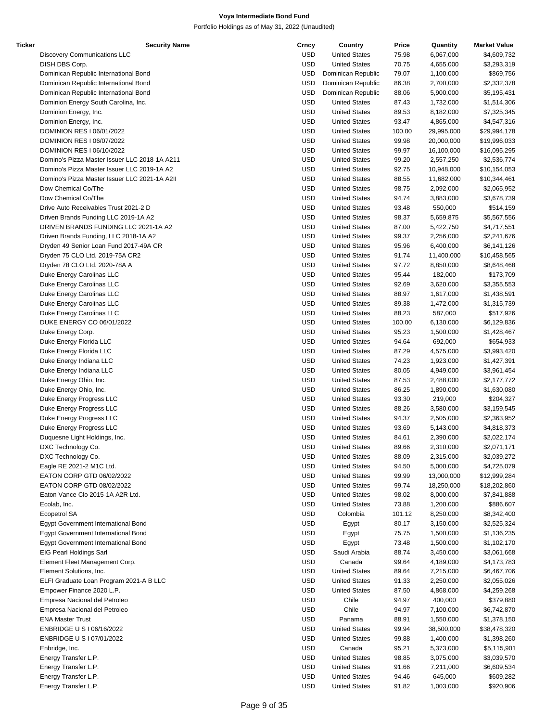| Ticker | <b>Security Name</b>                          | Crncy      | Country              | Price  | Quantity   | <b>Market Value</b> |
|--------|-----------------------------------------------|------------|----------------------|--------|------------|---------------------|
|        | <b>Discovery Communications LLC</b>           | <b>USD</b> | <b>United States</b> | 75.98  | 6,067,000  | \$4,609,732         |
|        | DISH DBS Corp.                                | <b>USD</b> | <b>United States</b> | 70.75  | 4,655,000  | \$3,293,319         |
|        | Dominican Republic International Bond         | <b>USD</b> | Dominican Republic   | 79.07  | 1,100,000  | \$869,756           |
|        | Dominican Republic International Bond         | <b>USD</b> | Dominican Republic   | 86.38  | 2,700,000  | \$2,332,378         |
|        | Dominican Republic International Bond         | <b>USD</b> | Dominican Republic   | 88.06  | 5,900,000  | \$5,195,431         |
|        | Dominion Energy South Carolina, Inc.          | <b>USD</b> | <b>United States</b> | 87.43  | 1,732,000  | \$1,514,306         |
|        | Dominion Energy, Inc.                         | <b>USD</b> | <b>United States</b> | 89.53  | 8,182,000  | \$7,325,345         |
|        | Dominion Energy, Inc.                         | <b>USD</b> | <b>United States</b> | 93.47  | 4,865,000  | \$4,547,316         |
|        | DOMINION RES I 06/01/2022                     | <b>USD</b> | <b>United States</b> | 100.00 | 29,995,000 | \$29,994,178        |
|        | DOMINION RES I 06/07/2022                     | <b>USD</b> | <b>United States</b> | 99.98  | 20,000,000 | \$19,996,033        |
|        | DOMINION RES I 06/10/2022                     | <b>USD</b> | <b>United States</b> | 99.97  | 16,100,000 | \$16,095,295        |
|        | Domino's Pizza Master Issuer LLC 2018-1A A211 | <b>USD</b> | <b>United States</b> | 99.20  | 2,557,250  | \$2,536,774         |
|        |                                               |            |                      |        |            | \$10,154,053        |
|        | Domino's Pizza Master Issuer LLC 2019-1A A2   | <b>USD</b> | <b>United States</b> | 92.75  | 10,948,000 |                     |
|        | Domino's Pizza Master Issuer LLC 2021-1A A2II | <b>USD</b> | <b>United States</b> | 88.55  | 11,682,000 | \$10,344,461        |
|        | Dow Chemical Co/The                           | <b>USD</b> | <b>United States</b> | 98.75  | 2,092,000  | \$2,065,952         |
|        | Dow Chemical Co/The                           | <b>USD</b> | <b>United States</b> | 94.74  | 3,883,000  | \$3,678,739         |
|        | Drive Auto Receivables Trust 2021-2 D         | <b>USD</b> | <b>United States</b> | 93.48  | 550,000    | \$514,159           |
|        | Driven Brands Funding LLC 2019-1A A2          | <b>USD</b> | <b>United States</b> | 98.37  | 5,659,875  | \$5,567,556         |
|        | DRIVEN BRANDS FUNDING LLC 2021-1A A2          | <b>USD</b> | <b>United States</b> | 87.00  | 5,422,750  | \$4,717,551         |
|        | Driven Brands Funding, LLC 2018-1A A2         | <b>USD</b> | <b>United States</b> | 99.37  | 2,256,000  | \$2,241,676         |
|        | Dryden 49 Senior Loan Fund 2017-49A CR        | <b>USD</b> | <b>United States</b> | 95.96  | 6,400,000  | \$6,141,126         |
|        | Dryden 75 CLO Ltd. 2019-75A CR2               | <b>USD</b> | <b>United States</b> | 91.74  | 11,400,000 | \$10,458,565        |
|        | Dryden 78 CLO Ltd. 2020-78A A                 | <b>USD</b> | <b>United States</b> | 97.72  | 8,850,000  | \$8,648,468         |
|        | Duke Energy Carolinas LLC                     | <b>USD</b> | <b>United States</b> | 95.44  | 182,000    | \$173,709           |
|        | Duke Energy Carolinas LLC                     | <b>USD</b> | <b>United States</b> | 92.69  | 3,620,000  | \$3,355,553         |
|        | Duke Energy Carolinas LLC                     | <b>USD</b> | <b>United States</b> | 88.97  | 1,617,000  | \$1,438,591         |
|        | Duke Energy Carolinas LLC                     | <b>USD</b> | <b>United States</b> | 89.38  | 1,472,000  | \$1,315,739         |
|        | Duke Energy Carolinas LLC                     | <b>USD</b> | <b>United States</b> | 88.23  | 587,000    | \$517,926           |
|        | DUKE ENERGY CO 06/01/2022                     | <b>USD</b> | <b>United States</b> | 100.00 | 6,130,000  | \$6,129,836         |
|        | Duke Energy Corp.                             | <b>USD</b> | <b>United States</b> | 95.23  | 1,500,000  | \$1,428,467         |
|        | Duke Energy Florida LLC                       | <b>USD</b> | <b>United States</b> | 94.64  | 692,000    | \$654,933           |
|        | Duke Energy Florida LLC                       | <b>USD</b> | <b>United States</b> | 87.29  | 4,575,000  | \$3,993,420         |
|        | Duke Energy Indiana LLC                       | <b>USD</b> | <b>United States</b> | 74.23  | 1,923,000  | \$1,427,391         |
|        | Duke Energy Indiana LLC                       | <b>USD</b> | <b>United States</b> | 80.05  | 4,949,000  | \$3,961,454         |
|        | Duke Energy Ohio, Inc.                        | <b>USD</b> | <b>United States</b> | 87.53  | 2,488,000  | \$2,177,772         |
|        | Duke Energy Ohio, Inc.                        | <b>USD</b> | <b>United States</b> | 86.25  | 1,890,000  | \$1,630,080         |
|        | Duke Energy Progress LLC                      | <b>USD</b> | <b>United States</b> | 93.30  | 219,000    | \$204,327           |
|        |                                               | <b>USD</b> |                      |        |            |                     |
|        | Duke Energy Progress LLC                      |            | <b>United States</b> | 88.26  | 3,580,000  | \$3,159,545         |
|        | Duke Energy Progress LLC                      | <b>USD</b> | <b>United States</b> | 94.37  | 2,505,000  | \$2,363,952         |
|        | Duke Energy Progress LLC                      | <b>USD</b> | <b>United States</b> | 93.69  | 5,143,000  | \$4,818,373         |
|        | Duquesne Light Holdings, Inc.                 | <b>USD</b> | <b>United States</b> | 84.61  | 2,390,000  | \$2,022,174         |
|        | DXC Technology Co.                            | <b>USD</b> | <b>United States</b> | 89.66  | 2,310,000  | \$2,071,171         |
|        | DXC Technology Co.                            | <b>USD</b> | <b>United States</b> | 88.09  | 2,315,000  | \$2,039,272         |
|        | Eagle RE 2021-2 M1C Ltd.                      | <b>USD</b> | <b>United States</b> | 94.50  | 5,000,000  | \$4,725,079         |
|        | EATON CORP GTD 06/02/2022                     | <b>USD</b> | <b>United States</b> | 99.99  | 13,000,000 | \$12,999,284        |
|        | EATON CORP GTD 08/02/2022                     | <b>USD</b> | <b>United States</b> | 99.74  | 18,250,000 | \$18,202,860        |
|        | Eaton Vance Clo 2015-1A A2R Ltd.              | <b>USD</b> | <b>United States</b> | 98.02  | 8,000,000  | \$7,841,888         |
|        | Ecolab, Inc.                                  | <b>USD</b> | <b>United States</b> | 73.88  | 1,200,000  | \$886,607           |
|        | Ecopetrol SA                                  | <b>USD</b> | Colombia             | 101.12 | 8,250,000  | \$8,342,400         |
|        | Egypt Government International Bond           | <b>USD</b> | Egypt                | 80.17  | 3,150,000  | \$2,525,324         |
|        | Egypt Government International Bond           | <b>USD</b> | Egypt                | 75.75  | 1,500,000  | \$1,136,235         |
|        | Egypt Government International Bond           | <b>USD</b> | Egypt                | 73.48  | 1,500,000  | \$1,102,170         |
|        | EIG Pearl Holdings Sarl                       | <b>USD</b> | Saudi Arabia         | 88.74  | 3,450,000  | \$3,061,668         |
|        | Element Fleet Management Corp.                | <b>USD</b> | Canada               | 99.64  | 4,189,000  | \$4,173,783         |
|        | Element Solutions, Inc.                       | <b>USD</b> | <b>United States</b> | 89.64  | 7,215,000  | \$6,467,706         |
|        | ELFI Graduate Loan Program 2021-A B LLC       | <b>USD</b> | <b>United States</b> | 91.33  | 2,250,000  | \$2,055,026         |
|        | Empower Finance 2020 L.P.                     | <b>USD</b> | <b>United States</b> | 87.50  | 4,868,000  | \$4,259,268         |
|        | Empresa Nacional del Petroleo                 | <b>USD</b> | Chile                | 94.97  | 400,000    | \$379,880           |
|        | Empresa Nacional del Petroleo                 | <b>USD</b> | Chile                | 94.97  | 7,100,000  | \$6,742,870         |
|        | <b>ENA Master Trust</b>                       | <b>USD</b> | Panama               | 88.91  | 1,550,000  | \$1,378,150         |
|        | ENBRIDGE U S I 06/16/2022                     | <b>USD</b> | <b>United States</b> | 99.94  |            |                     |
|        |                                               |            |                      |        | 38,500,000 | \$38,478,320        |
|        | ENBRIDGE U S   07/01/2022                     | <b>USD</b> | <b>United States</b> | 99.88  | 1,400,000  | \$1,398,260         |
|        | Enbridge, Inc.                                | <b>USD</b> | Canada               | 95.21  | 5,373,000  | \$5,115,901         |
|        | Energy Transfer L.P.                          | <b>USD</b> | <b>United States</b> | 98.85  | 3,075,000  | \$3,039,570         |
|        | Energy Transfer L.P.                          | <b>USD</b> | <b>United States</b> | 91.66  | 7,211,000  | \$6,609,534         |
|        | Energy Transfer L.P.                          | <b>USD</b> | <b>United States</b> | 94.46  | 645,000    | \$609,282           |
|        | Energy Transfer L.P.                          | <b>USD</b> | <b>United States</b> | 91.82  | 1,003,000  | \$920,906           |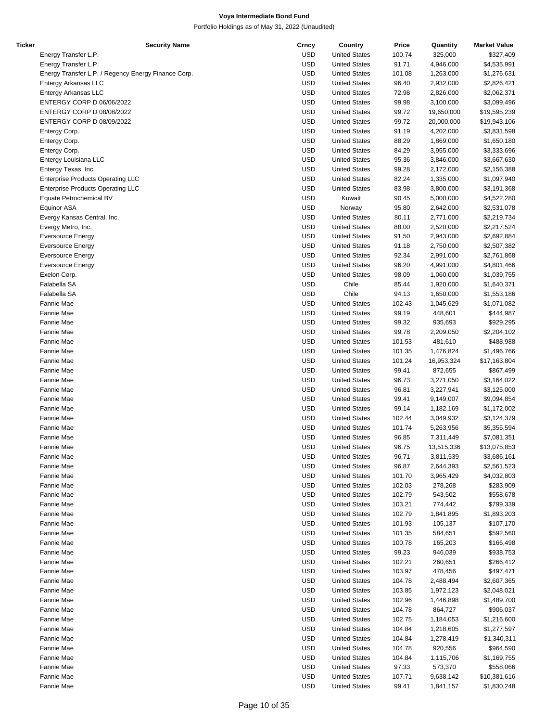| Ticker | <b>Security Name</b>                                | Crncy      | Country              | Price  | Quantity   | <b>Market Value</b> |
|--------|-----------------------------------------------------|------------|----------------------|--------|------------|---------------------|
|        | Energy Transfer L.P.                                | <b>USD</b> | <b>United States</b> | 100.74 | 325,000    | \$327,409           |
|        | Energy Transfer L.P.                                | <b>USD</b> | <b>United States</b> | 91.71  | 4,946,000  | \$4,535,991         |
|        | Energy Transfer L.P. / Regency Energy Finance Corp. | <b>USD</b> | <b>United States</b> | 101.08 | 1,263,000  | \$1,276,631         |
|        | Entergy Arkansas LLC                                | <b>USD</b> | <b>United States</b> | 96.40  | 2,932,000  | \$2,826,421         |
|        | Entergy Arkansas LLC                                | <b>USD</b> | <b>United States</b> | 72.98  | 2,826,000  | \$2,062,371         |
|        | ENTERGY CORP D 06/06/2022                           | <b>USD</b> | <b>United States</b> | 99.98  | 3,100,000  | \$3,099,496         |
|        | ENTERGY CORP D 08/08/2022                           | <b>USD</b> |                      |        |            |                     |
|        |                                                     |            | <b>United States</b> | 99.72  | 19,650,000 | \$19,595,239        |
|        | ENTERGY CORP D 08/09/2022                           | <b>USD</b> | <b>United States</b> | 99.72  | 20,000,000 | \$19,943,106        |
|        | Entergy Corp.                                       | <b>USD</b> | <b>United States</b> | 91.19  | 4,202,000  | \$3,831,598         |
|        | Entergy Corp.                                       | <b>USD</b> | <b>United States</b> | 88.29  | 1,869,000  | \$1,650,180         |
|        | Entergy Corp.                                       | <b>USD</b> | <b>United States</b> | 84.29  | 3,955,000  | \$3,333,696         |
|        | Entergy Louisiana LLC                               | <b>USD</b> | <b>United States</b> | 95.36  | 3,846,000  | \$3,667,630         |
|        | Entergy Texas, Inc.                                 | <b>USD</b> | <b>United States</b> | 99.28  | 2,172,000  | \$2,156,388         |
|        | <b>Enterprise Products Operating LLC</b>            | <b>USD</b> | <b>United States</b> | 82.24  | 1,335,000  | \$1,097,940         |
|        | <b>Enterprise Products Operating LLC</b>            | <b>USD</b> | <b>United States</b> | 83.98  | 3,800,000  | \$3,191,368         |
|        | Equate Petrochemical BV                             | <b>USD</b> | Kuwait               | 90.45  | 5,000,000  | \$4,522,280         |
|        | <b>Equinor ASA</b>                                  | <b>USD</b> | Norway               | 95.80  | 2,642,000  | \$2,531,078         |
|        | Evergy Kansas Central, Inc.                         | <b>USD</b> | <b>United States</b> | 80.11  | 2,771,000  | \$2,219,734         |
|        | Evergy Metro, Inc.                                  | <b>USD</b> | <b>United States</b> | 88.00  | 2,520,000  | \$2,217,524         |
|        |                                                     | <b>USD</b> |                      |        |            |                     |
|        | <b>Eversource Energy</b>                            |            | <b>United States</b> | 91.50  | 2,943,000  | \$2,692,884         |
|        | <b>Eversource Energy</b>                            | <b>USD</b> | <b>United States</b> | 91.18  | 2,750,000  | \$2,507,382         |
|        | <b>Eversource Energy</b>                            | <b>USD</b> | <b>United States</b> | 92.34  | 2,991,000  | \$2,761,868         |
|        | <b>Eversource Energy</b>                            | <b>USD</b> | <b>United States</b> | 96.20  | 4,991,000  | \$4,801,466         |
|        | Exelon Corp.                                        | <b>USD</b> | <b>United States</b> | 98.09  | 1,060,000  | \$1,039,755         |
|        | Falabella SA                                        | <b>USD</b> | Chile                | 85.44  | 1,920,000  | \$1,640,371         |
|        | Falabella SA                                        | <b>USD</b> | Chile                | 94.13  | 1,650,000  | \$1,553,186         |
|        | Fannie Mae                                          | <b>USD</b> | <b>United States</b> | 102.43 | 1,045,629  | \$1,071,082         |
|        | Fannie Mae                                          | <b>USD</b> | <b>United States</b> | 99.19  | 448,601    | \$444,987           |
|        | Fannie Mae                                          | <b>USD</b> | <b>United States</b> | 99.32  | 935,693    | \$929,295           |
|        | Fannie Mae                                          | <b>USD</b> | <b>United States</b> | 99.78  | 2,209,050  | \$2,204,102         |
|        | Fannie Mae                                          | <b>USD</b> | <b>United States</b> | 101.53 | 481,610    | \$488,988           |
|        | Fannie Mae                                          | <b>USD</b> | <b>United States</b> | 101.35 | 1,476,824  | \$1,496,766         |
|        |                                                     |            |                      |        |            |                     |
|        | Fannie Mae                                          | <b>USD</b> | <b>United States</b> | 101.24 | 16,953,324 | \$17,163,804        |
|        | Fannie Mae                                          | <b>USD</b> | <b>United States</b> | 99.41  | 872,655    | \$867,499           |
|        | Fannie Mae                                          | <b>USD</b> | <b>United States</b> | 96.73  | 3,271,050  | \$3,164,022         |
|        | Fannie Mae                                          | <b>USD</b> | <b>United States</b> | 96.81  | 3,227,941  | \$3,125,000         |
|        | Fannie Mae                                          | <b>USD</b> | <b>United States</b> | 99.41  | 9,149,007  | \$9,094,854         |
|        | Fannie Mae                                          | <b>USD</b> | <b>United States</b> | 99.14  | 1,182,169  | \$1,172,002         |
|        | Fannie Mae                                          | <b>USD</b> | <b>United States</b> | 102.44 | 3,049,932  | \$3,124,379         |
|        | Fannie Mae                                          | <b>USD</b> | <b>United States</b> | 101.74 | 5,263,956  | \$5,355,594         |
|        | Fannie Mae                                          | <b>USD</b> | <b>United States</b> | 96.85  | 7,311,449  | \$7,081,351         |
|        | Fannie Mae                                          | <b>USD</b> | <b>United States</b> | 96.75  | 13,515,336 | \$13,075,853        |
|        | Fannie Mae                                          | <b>USD</b> | <b>United States</b> | 96.71  | 3,811,539  | \$3,686,161         |
|        | Fannie Mae                                          | <b>USD</b> | <b>United States</b> | 96.87  |            | \$2,561,523         |
|        |                                                     |            |                      |        | 2,644,393  |                     |
|        | Fannie Mae                                          | <b>USD</b> | <b>United States</b> | 101.70 | 3,965,429  | \$4,032,803         |
|        | Fannie Mae                                          | <b>USD</b> | <b>United States</b> | 102.03 | 278,268    | \$283,909           |
|        | Fannie Mae                                          | <b>USD</b> | <b>United States</b> | 102.79 | 543,502    | \$558,678           |
|        | Fannie Mae                                          | <b>USD</b> | <b>United States</b> | 103.21 | 774,442    | \$799,339           |
|        | Fannie Mae                                          | <b>USD</b> | <b>United States</b> | 102.79 | 1,841,895  | \$1,893,203         |
|        | Fannie Mae                                          | <b>USD</b> | <b>United States</b> | 101.93 | 105,137    | \$107,170           |
|        | Fannie Mae                                          | <b>USD</b> | <b>United States</b> | 101.35 | 584,651    | \$592,560           |
|        | Fannie Mae                                          | <b>USD</b> | <b>United States</b> | 100.78 | 165,203    | \$166,498           |
|        | Fannie Mae                                          | <b>USD</b> | <b>United States</b> | 99.23  | 946,039    | \$938,753           |
|        | Fannie Mae                                          | <b>USD</b> | <b>United States</b> | 102.21 | 260,651    | \$266,412           |
|        | Fannie Mae                                          | <b>USD</b> | <b>United States</b> | 103.97 | 478,456    | \$497,471           |
|        | Fannie Mae                                          | <b>USD</b> | <b>United States</b> |        |            |                     |
|        |                                                     |            |                      | 104.78 | 2,488,494  | \$2,607,365         |
|        | Fannie Mae                                          | <b>USD</b> | <b>United States</b> | 103.85 | 1,972,123  | \$2,048,021         |
|        | Fannie Mae                                          | <b>USD</b> | <b>United States</b> | 102.96 | 1,446,898  | \$1,489,700         |
|        | Fannie Mae                                          | <b>USD</b> | <b>United States</b> | 104.78 | 864,727    | \$906,037           |
|        | Fannie Mae                                          | <b>USD</b> | <b>United States</b> | 102.75 | 1,184,053  | \$1,216,600         |
|        | Fannie Mae                                          | <b>USD</b> | <b>United States</b> | 104.84 | 1,218,605  | \$1,277,597         |
|        | Fannie Mae                                          | <b>USD</b> | <b>United States</b> | 104.84 | 1,278,419  | \$1,340,311         |
|        | Fannie Mae                                          | <b>USD</b> | <b>United States</b> | 104.78 | 920,556    | \$964,590           |
|        | Fannie Mae                                          | <b>USD</b> | <b>United States</b> | 104.84 | 1,115,706  | \$1,169,755         |
|        | Fannie Mae                                          | <b>USD</b> | <b>United States</b> | 97.33  | 573,370    | \$558,066           |
|        | Fannie Mae                                          | <b>USD</b> | <b>United States</b> | 107.71 | 9,638,142  | \$10,381,616        |
|        | Fannie Mae                                          | <b>USD</b> | <b>United States</b> | 99.41  | 1,841,157  | \$1,830,248         |
|        |                                                     |            |                      |        |            |                     |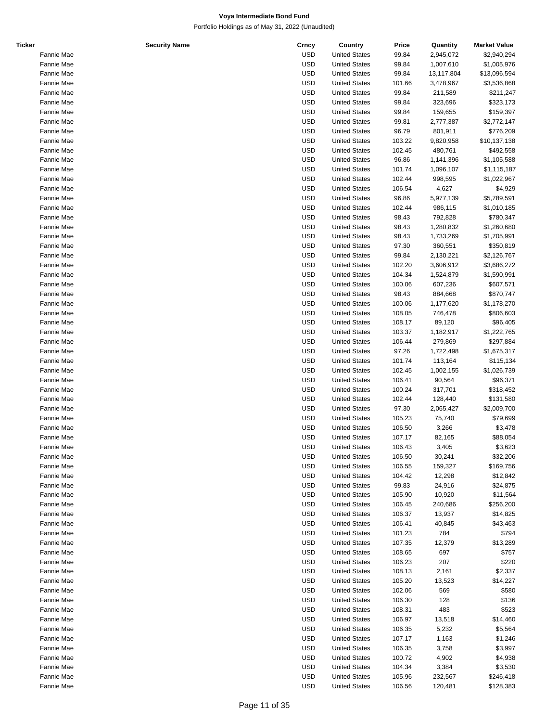| Ticker |            | <b>Security Name</b> | Crncy      | Country              | Price  | Quantity   | <b>Market Value</b> |
|--------|------------|----------------------|------------|----------------------|--------|------------|---------------------|
|        | Fannie Mae |                      | <b>USD</b> | <b>United States</b> | 99.84  | 2,945,072  | \$2,940,294         |
|        | Fannie Mae |                      | <b>USD</b> | <b>United States</b> | 99.84  | 1,007,610  | \$1,005,976         |
|        | Fannie Mae |                      | <b>USD</b> | <b>United States</b> | 99.84  | 13,117,804 | \$13,096,594        |
|        | Fannie Mae |                      | <b>USD</b> | <b>United States</b> | 101.66 | 3,478,967  | \$3,536,868         |
|        | Fannie Mae |                      | <b>USD</b> | <b>United States</b> | 99.84  | 211,589    | \$211,247           |
|        | Fannie Mae |                      | <b>USD</b> | <b>United States</b> | 99.84  | 323,696    | \$323,173           |
|        |            |                      |            |                      |        |            |                     |
|        | Fannie Mae |                      | <b>USD</b> | <b>United States</b> | 99.84  | 159,655    | \$159,397           |
|        | Fannie Mae |                      | <b>USD</b> | <b>United States</b> | 99.81  | 2,777,387  | \$2,772,147         |
|        | Fannie Mae |                      | <b>USD</b> | <b>United States</b> | 96.79  | 801,911    | \$776,209           |
|        | Fannie Mae |                      | <b>USD</b> | <b>United States</b> | 103.22 | 9,820,958  | \$10,137,138        |
|        | Fannie Mae |                      | <b>USD</b> | <b>United States</b> | 102.45 | 480,761    | \$492,558           |
|        | Fannie Mae |                      | <b>USD</b> | <b>United States</b> | 96.86  | 1,141,396  | \$1,105,588         |
|        | Fannie Mae |                      | <b>USD</b> | <b>United States</b> | 101.74 | 1,096,107  | \$1,115,187         |
|        | Fannie Mae |                      | <b>USD</b> | <b>United States</b> | 102.44 | 998,595    | \$1,022,967         |
|        | Fannie Mae |                      | <b>USD</b> | <b>United States</b> | 106.54 | 4,627      | \$4,929             |
|        | Fannie Mae |                      | <b>USD</b> | <b>United States</b> | 96.86  | 5,977,139  | \$5,789,591         |
|        | Fannie Mae |                      | <b>USD</b> | <b>United States</b> | 102.44 | 986,115    | \$1,010,185         |
|        | Fannie Mae |                      | <b>USD</b> | <b>United States</b> | 98.43  | 792,828    | \$780,347           |
|        |            |                      | <b>USD</b> |                      |        |            |                     |
|        | Fannie Mae |                      |            | <b>United States</b> | 98.43  | 1,280,832  | \$1,260,680         |
|        | Fannie Mae |                      | <b>USD</b> | <b>United States</b> | 98.43  | 1,733,269  | \$1,705,991         |
|        | Fannie Mae |                      | <b>USD</b> | <b>United States</b> | 97.30  | 360,551    | \$350,819           |
|        | Fannie Mae |                      | <b>USD</b> | <b>United States</b> | 99.84  | 2,130,221  | \$2,126,767         |
|        | Fannie Mae |                      | <b>USD</b> | <b>United States</b> | 102.20 | 3,606,912  | \$3,686,272         |
|        | Fannie Mae |                      | <b>USD</b> | <b>United States</b> | 104.34 | 1,524,879  | \$1,590,991         |
|        | Fannie Mae |                      | <b>USD</b> | <b>United States</b> | 100.06 | 607,236    | \$607,571           |
|        | Fannie Mae |                      | <b>USD</b> | <b>United States</b> | 98.43  | 884,668    | \$870,747           |
|        | Fannie Mae |                      | <b>USD</b> | <b>United States</b> | 100.06 | 1,177,620  | \$1,178,270         |
|        | Fannie Mae |                      | <b>USD</b> | <b>United States</b> | 108.05 | 746,478    | \$806,603           |
|        | Fannie Mae |                      | <b>USD</b> | <b>United States</b> | 108.17 | 89,120     | \$96,405            |
|        | Fannie Mae |                      | <b>USD</b> | <b>United States</b> | 103.37 | 1,182,917  | \$1,222,765         |
|        | Fannie Mae |                      | <b>USD</b> | <b>United States</b> | 106.44 | 279,869    | \$297,884           |
|        |            |                      |            |                      |        |            |                     |
|        | Fannie Mae |                      | <b>USD</b> | <b>United States</b> | 97.26  | 1,722,498  | \$1,675,317         |
|        | Fannie Mae |                      | <b>USD</b> | <b>United States</b> | 101.74 | 113,164    | \$115,134           |
|        | Fannie Mae |                      | <b>USD</b> | <b>United States</b> | 102.45 | 1,002,155  | \$1,026,739         |
|        | Fannie Mae |                      | <b>USD</b> | <b>United States</b> | 106.41 | 90,564     | \$96,371            |
|        | Fannie Mae |                      | <b>USD</b> | <b>United States</b> | 100.24 | 317,701    | \$318,452           |
|        | Fannie Mae |                      | <b>USD</b> | <b>United States</b> | 102.44 | 128,440    | \$131,580           |
|        | Fannie Mae |                      | <b>USD</b> | <b>United States</b> | 97.30  | 2,065,427  | \$2,009,700         |
|        | Fannie Mae |                      | <b>USD</b> | <b>United States</b> | 105.23 | 75,740     | \$79,699            |
|        | Fannie Mae |                      | <b>USD</b> | <b>United States</b> | 106.50 | 3,266      | \$3,478             |
|        | Fannie Mae |                      | <b>USD</b> | <b>United States</b> | 107.17 | 82,165     | \$88,054            |
|        | Fannie Mae |                      | <b>USD</b> | <b>United States</b> | 106.43 | 3,405      | \$3,623             |
|        |            |                      | USD        |                      | 106.50 | 30,241     | \$32,206            |
|        | Fannie Mae |                      |            | <b>United States</b> |        |            |                     |
|        | Fannie Mae |                      | <b>USD</b> | <b>United States</b> | 106.55 | 159,327    | \$169,756           |
|        | Fannie Mae |                      | <b>USD</b> | <b>United States</b> | 104.42 | 12,298     | \$12,842            |
|        | Fannie Mae |                      | <b>USD</b> | <b>United States</b> | 99.83  | 24,916     | \$24,875            |
|        | Fannie Mae |                      | <b>USD</b> | <b>United States</b> | 105.90 | 10,920     | \$11,564            |
|        | Fannie Mae |                      | <b>USD</b> | <b>United States</b> | 106.45 | 240,686    | \$256,200           |
|        | Fannie Mae |                      | <b>USD</b> | <b>United States</b> | 106.37 | 13,937     | \$14,825            |
|        | Fannie Mae |                      | <b>USD</b> | <b>United States</b> | 106.41 | 40,845     | \$43,463            |
|        | Fannie Mae |                      | <b>USD</b> | <b>United States</b> | 101.23 | 784        | \$794               |
|        | Fannie Mae |                      | <b>USD</b> | <b>United States</b> | 107.35 | 12,379     | \$13,289            |
|        | Fannie Mae |                      | <b>USD</b> | <b>United States</b> | 108.65 | 697        | \$757               |
|        | Fannie Mae |                      | <b>USD</b> | <b>United States</b> | 106.23 | 207        | \$220               |
|        | Fannie Mae |                      | USD        | <b>United States</b> | 108.13 |            | \$2,337             |
|        |            |                      |            |                      |        | 2,161      |                     |
|        | Fannie Mae |                      | USD        | <b>United States</b> | 105.20 | 13,523     | \$14,227            |
|        | Fannie Mae |                      | <b>USD</b> | <b>United States</b> | 102.06 | 569        | \$580               |
|        | Fannie Mae |                      | <b>USD</b> | <b>United States</b> | 106.30 | 128        | \$136               |
|        | Fannie Mae |                      | <b>USD</b> | <b>United States</b> | 108.31 | 483        | \$523               |
|        | Fannie Mae |                      | USD        | <b>United States</b> | 106.97 | 13,518     | \$14,460            |
|        | Fannie Mae |                      | <b>USD</b> | <b>United States</b> | 106.35 | 5,232      | \$5,564             |
|        | Fannie Mae |                      | <b>USD</b> | <b>United States</b> | 107.17 | 1,163      | \$1,246             |
|        | Fannie Mae |                      | USD        | <b>United States</b> | 106.35 | 3,758      | \$3,997             |
|        | Fannie Mae |                      | USD        | <b>United States</b> | 100.72 | 4,902      | \$4,938             |
|        | Fannie Mae |                      | <b>USD</b> | <b>United States</b> | 104.34 | 3,384      | \$3,530             |
|        |            |                      | <b>USD</b> |                      |        |            |                     |
|        | Fannie Mae |                      |            | <b>United States</b> | 105.96 | 232,567    | \$246,418           |
|        | Fannie Mae |                      | <b>USD</b> | <b>United States</b> | 106.56 | 120,481    | \$128,383           |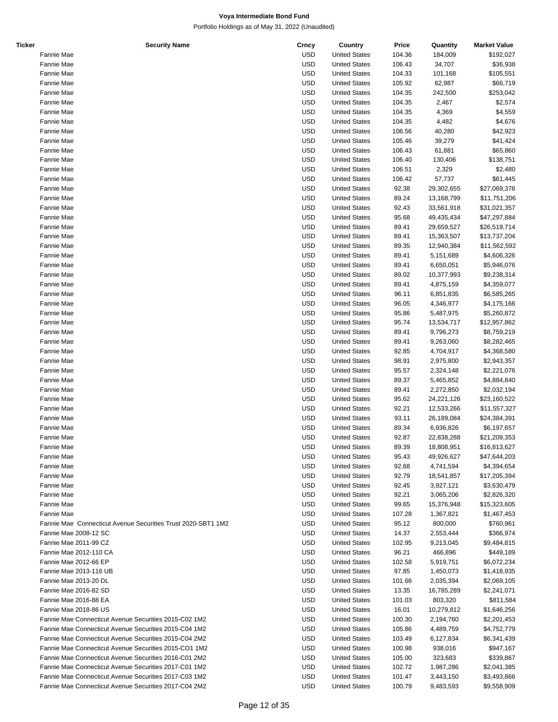| <b>Ticker</b> | <b>Security Name</b>                                         | Crncy      | Country              | Price  | Quantity   | <b>Market Value</b> |
|---------------|--------------------------------------------------------------|------------|----------------------|--------|------------|---------------------|
|               | Fannie Mae                                                   | <b>USD</b> | <b>United States</b> | 104.36 | 184,009    | \$192,027           |
|               | Fannie Mae                                                   | <b>USD</b> | <b>United States</b> | 106.43 | 34,707     | \$36,938            |
|               | Fannie Mae                                                   | <b>USD</b> | <b>United States</b> | 104.33 | 101,168    | \$105,551           |
|               | Fannie Mae                                                   | <b>USD</b> | <b>United States</b> | 105.92 | 62,987     | \$66,719            |
|               | Fannie Mae                                                   | <b>USD</b> | <b>United States</b> | 104.35 | 242,500    | \$253,042           |
|               | Fannie Mae                                                   | <b>USD</b> | <b>United States</b> | 104.35 | 2,467      | \$2,574             |
|               | Fannie Mae                                                   | <b>USD</b> | <b>United States</b> | 104.35 | 4,369      | \$4,559             |
|               | Fannie Mae                                                   | <b>USD</b> | <b>United States</b> | 104.35 | 4,482      | \$4,676             |
|               |                                                              |            |                      |        |            |                     |
|               | Fannie Mae                                                   | <b>USD</b> | <b>United States</b> | 106.56 | 40,280     | \$42,923            |
|               | Fannie Mae                                                   | <b>USD</b> | <b>United States</b> | 105.46 | 39,279     | \$41,424            |
|               | Fannie Mae                                                   | <b>USD</b> | <b>United States</b> | 106.43 | 61,881     | \$65,860            |
|               | Fannie Mae                                                   | <b>USD</b> | <b>United States</b> | 106.40 | 130,406    | \$138,751           |
|               | Fannie Mae                                                   | <b>USD</b> | <b>United States</b> | 106.51 | 2,329      | \$2,480             |
|               | Fannie Mae                                                   | <b>USD</b> | <b>United States</b> | 106.42 | 57,737     | \$61,445            |
|               | Fannie Mae                                                   | <b>USD</b> | <b>United States</b> | 92.38  | 29,302,655 | \$27,069,376        |
|               | Fannie Mae                                                   | <b>USD</b> | <b>United States</b> | 89.24  | 13,168,799 | \$11,751,206        |
|               | Fannie Mae                                                   | <b>USD</b> | <b>United States</b> | 92.43  | 33,561,918 | \$31,021,357        |
|               | Fannie Mae                                                   | <b>USD</b> | <b>United States</b> | 95.68  | 49,435,434 | \$47,297,884        |
|               | Fannie Mae                                                   | <b>USD</b> | <b>United States</b> | 89.41  | 29,659,527 | \$26,519,714        |
|               | Fannie Mae                                                   | <b>USD</b> | <b>United States</b> | 89.41  | 15,363,507 | \$13,737,204        |
|               | Fannie Mae                                                   | <b>USD</b> | <b>United States</b> | 89.35  | 12,940,384 | \$11,562,592        |
|               | Fannie Mae                                                   | <b>USD</b> | <b>United States</b> | 89.41  | 5,151,689  | \$4,606,326         |
|               |                                                              | <b>USD</b> |                      |        |            |                     |
|               | Fannie Mae                                                   |            | <b>United States</b> | 89.41  | 6,650,051  | \$5,946,076         |
|               | Fannie Mae                                                   | <b>USD</b> | <b>United States</b> | 89.02  | 10,377,993 | \$9,238,314         |
|               | Fannie Mae                                                   | <b>USD</b> | <b>United States</b> | 89.41  | 4,875,159  | \$4,359,077         |
|               | Fannie Mae                                                   | <b>USD</b> | <b>United States</b> | 96.11  | 6,851,835  | \$6,585,265         |
|               | Fannie Mae                                                   | <b>USD</b> | <b>United States</b> | 96.05  | 4,346,977  | \$4,175,166         |
|               | Fannie Mae                                                   | <b>USD</b> | <b>United States</b> | 95.86  | 5,487,975  | \$5,260,872         |
|               | Fannie Mae                                                   | <b>USD</b> | <b>United States</b> | 95.74  | 13,534,717 | \$12,957,862        |
|               | Fannie Mae                                                   | <b>USD</b> | <b>United States</b> | 89.41  | 9,796,273  | \$8,759,219         |
|               | Fannie Mae                                                   | <b>USD</b> | <b>United States</b> | 89.41  | 9,263,060  | \$8,282,465         |
|               | Fannie Mae                                                   | <b>USD</b> | <b>United States</b> | 92.85  | 4,704,917  | \$4,368,580         |
|               | Fannie Mae                                                   | <b>USD</b> | <b>United States</b> | 98.91  | 2,975,800  | \$2,943,357         |
|               | Fannie Mae                                                   | <b>USD</b> | <b>United States</b> | 95.57  | 2,324,148  | \$2,221,076         |
|               | Fannie Mae                                                   | <b>USD</b> | <b>United States</b> | 89.37  | 5,465,852  | \$4,884,840         |
|               | Fannie Mae                                                   | <b>USD</b> | <b>United States</b> | 89.41  | 2,272,850  | \$2,032,194         |
|               |                                                              |            | <b>United States</b> |        |            |                     |
|               | Fannie Mae                                                   | <b>USD</b> |                      | 95.62  | 24,221,126 | \$23,160,522        |
|               | Fannie Mae                                                   | <b>USD</b> | <b>United States</b> | 92.21  | 12,533,266 | \$11,557,327        |
|               | Fannie Mae                                                   | <b>USD</b> | <b>United States</b> | 93.11  | 26,189,084 | \$24,384,391        |
|               | Fannie Mae                                                   | <b>USD</b> | <b>United States</b> | 89.34  | 6,936,826  | \$6,197,657         |
|               | Fannie Mae                                                   | <b>USD</b> | <b>United States</b> | 92.87  | 22,838,288 | \$21,209,353        |
|               | Fannie Mae                                                   | USD        | <b>United States</b> | 89.39  | 18,808,951 | \$16,813,627        |
|               | Fannie Mae                                                   | USD        | <b>United States</b> | 95.43  | 49,926,627 | \$47,644,203        |
|               | Fannie Mae                                                   | <b>USD</b> | <b>United States</b> | 92.68  | 4,741,594  | \$4,394,654         |
|               | Fannie Mae                                                   | <b>USD</b> | <b>United States</b> | 92.79  | 18,541,857 | \$17,205,394        |
|               | <b>Fannie Mae</b>                                            | USD        | <b>United States</b> | 92.45  | 3,927,121  | \$3,630,479         |
|               | Fannie Mae                                                   | USD        | <b>United States</b> | 92.21  | 3,065,206  | \$2,826,320         |
|               | Fannie Mae                                                   | <b>USD</b> | <b>United States</b> | 99.65  | 15,376,948 | \$15,323,605        |
|               | Fannie Mae                                                   | <b>USD</b> | <b>United States</b> | 107.28 | 1,367,821  | \$1,467,453         |
|               | Fannie Mae Connecticut Avenue Securities Trust 2020-SBT1 1M2 |            |                      |        |            |                     |
|               |                                                              | <b>USD</b> | <b>United States</b> | 95.12  | 800,000    | \$760,961           |
|               | Fannie Mae 2008-12 SC                                        | <b>USD</b> | <b>United States</b> | 14.37  | 2,553,444  | \$366,974           |
|               | Fannie Mae 2011-99 CZ                                        | <b>USD</b> | <b>United States</b> | 102.95 | 9,213,045  | \$9,484,815         |
|               | Fannie Mae 2012-110 CA                                       | <b>USD</b> | <b>United States</b> | 96.21  | 466,896    | \$449,189           |
|               | Fannie Mae 2012-66 EP                                        | <b>USD</b> | <b>United States</b> | 102.58 | 5,919,751  | \$6,072,234         |
|               | Fannie Mae 2013-116 UB                                       | USD        | <b>United States</b> | 97.85  | 1,450,073  | \$1,418,935         |
|               | Fannie Mae 2013-20 DL                                        | <b>USD</b> | <b>United States</b> | 101.66 | 2,035,394  | \$2,069,105         |
|               | Fannie Mae 2016-82 SD                                        | <b>USD</b> | <b>United States</b> | 13.35  | 16,785,289 | \$2,241,071         |
|               | Fannie Mae 2016-88 EA                                        | <b>USD</b> | <b>United States</b> | 101.03 | 803,320    | \$811,584           |
|               | Fannie Mae 2018-86 US                                        | <b>USD</b> | <b>United States</b> | 16.01  | 10,279,812 | \$1,646,256         |
|               | Fannie Mae Connecticut Avenue Securities 2015-C02 1M2        | <b>USD</b> | <b>United States</b> | 100.30 | 2,194,760  | \$2,201,453         |
|               | Fannie Mae Connecticut Avenue Securities 2015-C04 1M2        | <b>USD</b> | <b>United States</b> | 105.86 | 4,489,759  | \$4,752,779         |
|               | Fannie Mae Connecticut Avenue Securities 2015-C04 2M2        | <b>USD</b> | <b>United States</b> | 103.49 | 6,127,834  | \$6,341,439         |
|               |                                                              |            |                      |        |            |                     |
|               | Fannie Mae Connecticut Avenue Securities 2015-CO1 1M2        | USD        | <b>United States</b> | 100.98 | 938,016    | \$947,167           |
|               | Fannie Mae Connecticut Avenue Securities 2016-C01 2M2        | <b>USD</b> | <b>United States</b> | 105.00 | 323,683    | \$339,867           |
|               | Fannie Mae Connecticut Avenue Securities 2017-C01 1M2        | <b>USD</b> | <b>United States</b> | 102.72 | 1,987,286  | \$2,041,385         |
|               | Fannie Mae Connecticut Avenue Securities 2017-C03 1M2        | <b>USD</b> | <b>United States</b> | 101.47 | 3,443,150  | \$3,493,866         |
|               | Fannie Mae Connecticut Avenue Securities 2017-C04 2M2        | <b>USD</b> | <b>United States</b> | 100.79 | 9,483,593  | \$9,558,909         |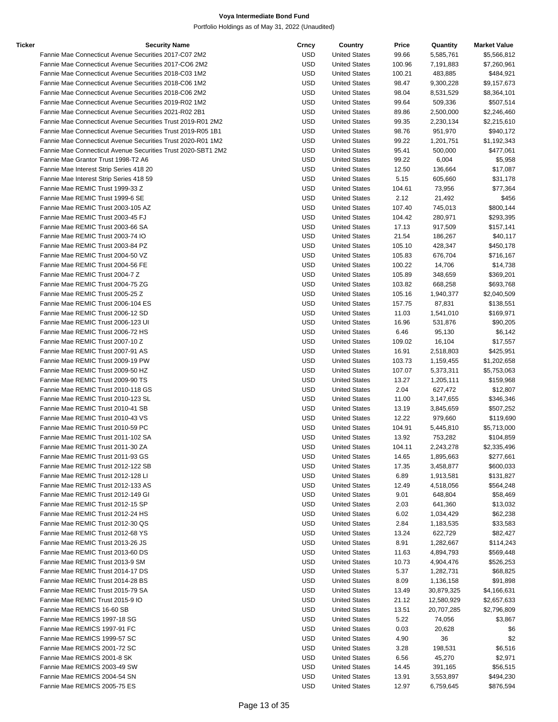| Ticker | <b>Security Name</b>                                         | Crncy      | Country              | Price  | Quantity   | <b>Market Value</b> |
|--------|--------------------------------------------------------------|------------|----------------------|--------|------------|---------------------|
|        | Fannie Mae Connecticut Avenue Securities 2017-C07 2M2        | <b>USD</b> | <b>United States</b> | 99.66  | 5,585,761  | \$5,566,812         |
|        | Fannie Mae Connecticut Avenue Securities 2017-CO6 2M2        | <b>USD</b> | <b>United States</b> | 100.96 | 7,191,883  | \$7,260,961         |
|        | Fannie Mae Connecticut Avenue Securities 2018-C03 1M2        | <b>USD</b> | <b>United States</b> | 100.21 | 483,885    | \$484,921           |
|        | Fannie Mae Connecticut Avenue Securities 2018-C06 1M2        | <b>USD</b> | <b>United States</b> | 98.47  | 9,300,228  | \$9,157,673         |
|        | Fannie Mae Connecticut Avenue Securities 2018-C06 2M2        | <b>USD</b> | <b>United States</b> | 98.04  | 8,531,529  | \$8,364,101         |
|        | Fannie Mae Connecticut Avenue Securities 2019-R02 1M2        | <b>USD</b> | <b>United States</b> | 99.64  | 509,336    | \$507,514           |
|        | Fannie Mae Connecticut Avenue Securities 2021-R02 2B1        | <b>USD</b> | <b>United States</b> | 89.86  | 2,500,000  | \$2,246,460         |
|        | Fannie Mae Connecticut Avenue Securities Trust 2019-R01 2M2  | <b>USD</b> | <b>United States</b> | 99.35  | 2,230,134  | \$2,215,610         |
|        | Fannie Mae Connecticut Avenue Securities Trust 2019-R05 1B1  | <b>USD</b> | <b>United States</b> | 98.76  | 951,970    | \$940,172           |
|        | Fannie Mae Connecticut Avenue Securities Trust 2020-R01 1M2  | <b>USD</b> | <b>United States</b> | 99.22  | 1,201,751  | \$1,192,343         |
|        | Fannie Mae Connecticut Avenue Securities Trust 2020-SBT1 2M2 | <b>USD</b> | <b>United States</b> | 95.41  | 500,000    | \$477,061           |
|        | Fannie Mae Grantor Trust 1998-T2 A6                          | <b>USD</b> | <b>United States</b> | 99.22  | 6,004      | \$5,958             |
|        |                                                              |            |                      |        |            |                     |
|        | Fannie Mae Interest Strip Series 418 20                      | <b>USD</b> | <b>United States</b> | 12.50  | 136,664    | \$17,087            |
|        | Fannie Mae Interest Strip Series 418 59                      | <b>USD</b> | <b>United States</b> | 5.15   | 605,660    | \$31,178            |
|        | Fannie Mae REMIC Trust 1999-33 Z                             | <b>USD</b> | <b>United States</b> | 104.61 | 73,956     | \$77,364            |
|        | Fannie Mae REMIC Trust 1999-6 SE                             | <b>USD</b> | <b>United States</b> | 2.12   | 21,492     | \$456               |
|        | Fannie Mae REMIC Trust 2003-105 AZ                           | <b>USD</b> | <b>United States</b> | 107.40 | 745,013    | \$800,144           |
|        | Fannie Mae REMIC Trust 2003-45 FJ                            | <b>USD</b> | <b>United States</b> | 104.42 | 280,971    | \$293,395           |
|        | Fannie Mae REMIC Trust 2003-66 SA                            | <b>USD</b> | <b>United States</b> | 17.13  | 917,509    | \$157,141           |
|        | Fannie Mae REMIC Trust 2003-74 IO                            | <b>USD</b> | <b>United States</b> | 21.54  | 186,267    | \$40,117            |
|        | Fannie Mae REMIC Trust 2003-84 PZ                            | <b>USD</b> | <b>United States</b> | 105.10 | 428,347    | \$450,178           |
|        | Fannie Mae REMIC Trust 2004-50 VZ                            | <b>USD</b> | <b>United States</b> | 105.83 | 676,704    | \$716,167           |
|        | Fannie Mae REMIC Trust 2004-56 FE                            | <b>USD</b> | <b>United States</b> | 100.22 | 14,706     | \$14,738            |
|        | Fannie Mae REMIC Trust 2004-7 Z                              | <b>USD</b> | <b>United States</b> | 105.89 | 348,659    | \$369,201           |
|        | Fannie Mae REMIC Trust 2004-75 ZG                            | USD        | <b>United States</b> | 103.82 | 668,258    | \$693,768           |
|        | Fannie Mae REMIC Trust 2005-25 Z                             | <b>USD</b> | <b>United States</b> | 105.16 | 1,940,377  | \$2,040,509         |
|        | Fannie Mae REMIC Trust 2006-104 ES                           | <b>USD</b> | <b>United States</b> | 157.75 | 87,831     | \$138,551           |
|        | Fannie Mae REMIC Trust 2006-12 SD                            | <b>USD</b> | <b>United States</b> | 11.03  | 1,541,010  | \$169,971           |
|        | Fannie Mae REMIC Trust 2006-123 UI                           | <b>USD</b> | <b>United States</b> | 16.96  | 531,876    | \$90,205            |
|        | Fannie Mae REMIC Trust 2006-72 HS                            | <b>USD</b> | <b>United States</b> | 6.46   | 95,130     | \$6,142             |
|        | Fannie Mae REMIC Trust 2007-10 Z                             | <b>USD</b> | <b>United States</b> | 109.02 | 16,104     | \$17,557            |
|        |                                                              | <b>USD</b> |                      |        |            |                     |
|        | Fannie Mae REMIC Trust 2007-91 AS                            |            | <b>United States</b> | 16.91  | 2,518,803  | \$425,951           |
|        | Fannie Mae REMIC Trust 2009-19 PW                            | <b>USD</b> | <b>United States</b> | 103.73 | 1,159,455  | \$1,202,658         |
|        | Fannie Mae REMIC Trust 2009-50 HZ                            | <b>USD</b> | <b>United States</b> | 107.07 | 5,373,311  | \$5,753,063         |
|        | Fannie Mae REMIC Trust 2009-90 TS                            | <b>USD</b> | <b>United States</b> | 13.27  | 1,205,111  | \$159,968           |
|        | Fannie Mae REMIC Trust 2010-118 GS                           | <b>USD</b> | <b>United States</b> | 2.04   | 627,472    | \$12,807            |
|        | Fannie Mae REMIC Trust 2010-123 SL                           | USD        | <b>United States</b> | 11.00  | 3,147,655  | \$346,346           |
|        | Fannie Mae REMIC Trust 2010-41 SB                            | <b>USD</b> | <b>United States</b> | 13.19  | 3,845,659  | \$507,252           |
|        | Fannie Mae REMIC Trust 2010-43 VS                            | <b>USD</b> | <b>United States</b> | 12.22  | 979,660    | \$119,690           |
|        | Fannie Mae REMIC Trust 2010-59 PC                            | <b>USD</b> | <b>United States</b> | 104.91 | 5,445,810  | \$5,713,000         |
|        | Fannie Mae REMIC Trust 2011-102 SA                           | USD        | <b>United States</b> | 13.92  | 753,282    | \$104,859           |
|        | Fannie Mae REMIC Trust 2011-30 ZA                            | <b>USD</b> | <b>United States</b> | 104.11 | 2,243,278  | \$2,335,496         |
|        | Fannie Mae REMIC Trust 2011-93 GS                            | <b>USD</b> | <b>United States</b> | 14.65  | 1,895,663  | \$277,661           |
|        | Fannie Mae REMIC Trust 2012-122 SB                           | <b>USD</b> | <b>United States</b> | 17.35  | 3,458,877  | \$600,033           |
|        | Fannie Mae REMIC Trust 2012-128 LI                           | <b>USD</b> | <b>United States</b> | 6.89   | 1,913,581  | \$131,827           |
|        | Fannie Mae REMIC Trust 2012-133 AS                           | <b>USD</b> | <b>United States</b> | 12.49  | 4,518,056  | \$564,248           |
|        | Fannie Mae REMIC Trust 2012-149 GI                           | <b>USD</b> | <b>United States</b> | 9.01   | 648,804    | \$58,469            |
|        | Fannie Mae REMIC Trust 2012-15 SP                            | <b>USD</b> | <b>United States</b> | 2.03   | 641,360    | \$13,032            |
|        | Fannie Mae REMIC Trust 2012-24 HS                            | <b>USD</b> | <b>United States</b> | 6.02   | 1,034,429  | \$62,238            |
|        | Fannie Mae REMIC Trust 2012-30 QS                            | <b>USD</b> | <b>United States</b> | 2.84   | 1,183,535  | \$33,583            |
|        | Fannie Mae REMIC Trust 2012-68 YS                            | <b>USD</b> | <b>United States</b> | 13.24  | 622,729    | \$82,427            |
|        | Fannie Mae REMIC Trust 2013-26 JS                            | <b>USD</b> | <b>United States</b> | 8.91   | 1,282,667  | \$114,243           |
|        | Fannie Mae REMIC Trust 2013-60 DS                            | <b>USD</b> |                      |        |            | \$569,448           |
|        | Fannie Mae REMIC Trust 2013-9 SM                             |            | <b>United States</b> | 11.63  | 4,894,793  |                     |
|        |                                                              | <b>USD</b> | <b>United States</b> | 10.73  | 4,904,476  | \$526,253           |
|        | Fannie Mae REMIC Trust 2014-17 DS                            | <b>USD</b> | <b>United States</b> | 5.37   | 1,282,731  | \$68,825            |
|        | Fannie Mae REMIC Trust 2014-28 BS                            | <b>USD</b> | <b>United States</b> | 8.09   | 1,136,158  | \$91,898            |
|        | Fannie Mae REMIC Trust 2015-79 SA                            | <b>USD</b> | <b>United States</b> | 13.49  | 30,879,325 | \$4,166,631         |
|        | Fannie Mae REMIC Trust 2015-9 IO                             | <b>USD</b> | <b>United States</b> | 21.12  | 12,580,929 | \$2,657,633         |
|        | Fannie Mae REMICS 16-60 SB                                   | <b>USD</b> | <b>United States</b> | 13.51  | 20,707,285 | \$2,796,809         |
|        | Fannie Mae REMICS 1997-18 SG                                 | <b>USD</b> | <b>United States</b> | 5.22   | 74,056     | \$3,867             |
|        | Fannie Mae REMICS 1997-91 FC                                 | <b>USD</b> | <b>United States</b> | 0.03   | 20,628     | \$6                 |
|        | Fannie Mae REMICS 1999-57 SC                                 | <b>USD</b> | <b>United States</b> | 4.90   | 36         | \$2                 |
|        | Fannie Mae REMICS 2001-72 SC                                 | <b>USD</b> | <b>United States</b> | 3.28   | 198,531    | \$6,516             |
|        | Fannie Mae REMICS 2001-8 SK                                  | <b>USD</b> | <b>United States</b> | 6.56   | 45,270     | \$2,971             |
|        | Fannie Mae REMICS 2003-49 SW                                 | <b>USD</b> | <b>United States</b> | 14.45  | 391,165    | \$56,515            |
|        | Fannie Mae REMICS 2004-54 SN                                 | <b>USD</b> | <b>United States</b> | 13.91  | 3,553,897  | \$494,230           |
|        | Fannie Mae REMICS 2005-75 ES                                 | <b>USD</b> | <b>United States</b> | 12.97  | 6,759,645  | \$876,594           |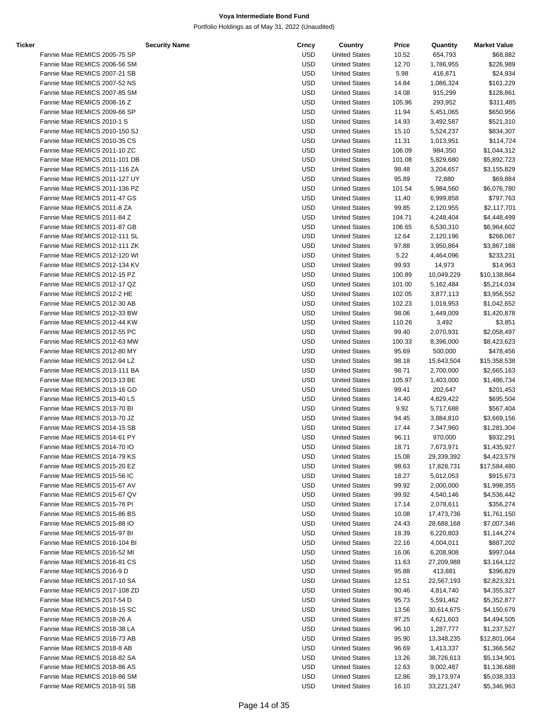Portfolio Holdings as of May 31, 2022 (Unaudited)

| Ticker |                               | <b>Security Name</b> | Crncy      | Country              | Price  | Quantity   | <b>Market Value</b> |
|--------|-------------------------------|----------------------|------------|----------------------|--------|------------|---------------------|
|        | Fannie Mae REMICS 2005-75 SP  |                      | <b>USD</b> | <b>United States</b> | 10.52  | 654,793    | \$68,882            |
|        | Fannie Mae REMICS 2006-56 SM  |                      | <b>USD</b> | <b>United States</b> | 12.70  | 1,786,955  | \$226,989           |
|        | Fannie Mae REMICS 2007-21 SB  |                      | <b>USD</b> | <b>United States</b> | 5.98   | 416,871    | \$24,934            |
|        | Fannie Mae REMICS 2007-52 NS  |                      | <b>USD</b> | <b>United States</b> | 14.84  | 1,086,324  | \$161,229           |
|        | Fannie Mae REMICS 2007-85 SM  |                      | <b>USD</b> | <b>United States</b> | 14.08  | 915,299    | \$128,861           |
|        | Fannie Mae REMICS 2008-16 Z   |                      | <b>USD</b> | <b>United States</b> | 105.96 | 293,952    | \$311,485           |
|        | Fannie Mae REMICS 2009-66 SP  |                      | <b>USD</b> | <b>United States</b> | 11.94  | 5,451,065  | \$650,956           |
|        | Fannie Mae REMICS 2010-1 S    |                      | <b>USD</b> | <b>United States</b> | 14.93  | 3,492,587  | \$521,310           |
|        | Fannie Mae REMICS 2010-150 SJ |                      | <b>USD</b> | <b>United States</b> |        |            |                     |
|        |                               |                      | <b>USD</b> | <b>United States</b> | 15.10  | 5,524,237  | \$834,307           |
|        | Fannie Mae REMICS 2010-35 CS  |                      |            |                      | 11.31  | 1,013,951  | \$114,724           |
|        | Fannie Mae REMICS 2011-10 ZC  |                      | <b>USD</b> | <b>United States</b> | 106.09 | 984,350    | \$1,044,312         |
|        | Fannie Mae REMICS 2011-101 DB |                      | <b>USD</b> | <b>United States</b> | 101.08 | 5,829,680  | \$5,892,723         |
|        | Fannie Mae REMICS 2011-116 ZA |                      | <b>USD</b> | <b>United States</b> | 98.48  | 3,204,657  | \$3,155,829         |
|        | Fannie Mae REMICS 2011-127 UY |                      | <b>USD</b> | <b>United States</b> | 95.89  | 72,880     | \$69,884            |
|        | Fannie Mae REMICS 2011-136 PZ |                      | <b>USD</b> | <b>United States</b> | 101.54 | 5,984,560  | \$6,076,780         |
|        | Fannie Mae REMICS 2011-47 GS  |                      | <b>USD</b> | <b>United States</b> | 11.40  | 6,999,858  | \$797,763           |
|        | Fannie Mae REMICS 2011-8 ZA   |                      | <b>USD</b> | <b>United States</b> | 99.85  | 2,120,955  | \$2,117,701         |
|        | Fannie Mae REMICS 2011-84 Z   |                      | <b>USD</b> | <b>United States</b> | 104.71 | 4,248,404  | \$4,448,499         |
|        | Fannie Mae REMICS 2011-87 GB  |                      | <b>USD</b> | <b>United States</b> | 106.65 | 6,530,310  | \$6,964,602         |
|        | Fannie Mae REMICS 2012-111 SL |                      | <b>USD</b> | <b>United States</b> | 12.64  | 2,120,196  | \$268,067           |
|        | Fannie Mae REMICS 2012-111 ZK |                      | <b>USD</b> | <b>United States</b> | 97.88  | 3,950,864  | \$3,867,188         |
|        | Fannie Mae REMICS 2012-120 WI |                      | <b>USD</b> | <b>United States</b> | 5.22   | 4,464,096  | \$233,231           |
|        | Fannie Mae REMICS 2012-134 KV |                      | <b>USD</b> | <b>United States</b> | 99.93  | 14,973     | \$14,963            |
|        | Fannie Mae REMICS 2012-15 PZ  |                      | <b>USD</b> | <b>United States</b> | 100.89 | 10,049,229 | \$10,138,864        |
|        | Fannie Mae REMICS 2012-17 QZ  |                      | <b>USD</b> | <b>United States</b> | 101.00 | 5,162,484  | \$5,214,034         |
|        | Fannie Mae REMICS 2012-2 HE   |                      | <b>USD</b> | <b>United States</b> | 102.05 | 3,877,113  | \$3,956,552         |
|        | Fannie Mae REMICS 2012-30 AB  |                      | <b>USD</b> | <b>United States</b> | 102.23 | 1,019,953  | \$1,042,652         |
|        | Fannie Mae REMICS 2012-33 BW  |                      | <b>USD</b> | <b>United States</b> | 98.06  | 1,449,009  | \$1,420,878         |
|        | Fannie Mae REMICS 2012-44 KW  |                      | <b>USD</b> | <b>United States</b> | 110.26 | 3,492      | \$3,851             |
|        | Fannie Mae REMICS 2012-55 PC  |                      | <b>USD</b> | <b>United States</b> | 99.40  | 2,070,931  | \$2,058,497         |
|        |                               |                      |            |                      |        |            |                     |
|        | Fannie Mae REMICS 2012-63 MW  |                      | <b>USD</b> | <b>United States</b> | 100.33 | 8,396,000  | \$8,423,623         |
|        | Fannie Mae REMICS 2012-80 MY  |                      | <b>USD</b> | <b>United States</b> | 95.69  | 500,000    | \$478,456           |
|        | Fannie Mae REMICS 2012-94 LZ  |                      | <b>USD</b> | <b>United States</b> | 98.18  | 15,643,504 | \$15,358,538        |
|        | Fannie Mae REMICS 2013-111 BA |                      | <b>USD</b> | <b>United States</b> | 98.71  | 2,700,000  | \$2,665,163         |
|        | Fannie Mae REMICS 2013-13 BE  |                      | <b>USD</b> | <b>United States</b> | 105.97 | 1,403,000  | \$1,486,734         |
|        | Fannie Mae REMICS 2013-16 GD  |                      | <b>USD</b> | <b>United States</b> | 99.41  | 202,647    | \$201,453           |
|        | Fannie Mae REMICS 2013-40 LS  |                      | <b>USD</b> | <b>United States</b> | 14.40  | 4,829,422  | \$695,504           |
|        | Fannie Mae REMICS 2013-70 BI  |                      | <b>USD</b> | <b>United States</b> | 9.92   | 5,717,688  | \$567,404           |
|        | Fannie Mae REMICS 2013-70 JZ  |                      | <b>USD</b> | <b>United States</b> | 94.45  | 3,884,810  | \$3,669,156         |
|        | Fannie Mae REMICS 2014-15 SB  |                      | <b>USD</b> | <b>United States</b> | 17.44  | 7,347,960  | \$1,281,304         |
|        | Fannie Mae REMICS 2014-61 PY  |                      | <b>USD</b> | <b>United States</b> | 96.11  | 970,000    | \$932,291           |
|        | Fannie Mae REMICS 2014-70 IO  |                      | <b>USD</b> | <b>United States</b> | 18.71  | 7,673,971  | \$1,435,927         |
|        | Fannie Mae REMICS 2014-79 KS  |                      | USD        | <b>United States</b> | 15.08  | 29,339,392 | \$4,423,579         |
|        | Fannie Mae REMICS 2015-20 EZ  |                      | USD        | <b>United States</b> | 98.63  | 17,828,731 | \$17,584,480        |
|        | Fannie Mae REMICS 2015-56 IC  |                      | USD        | <b>United States</b> | 18.27  | 5,012,053  | \$915,673           |
|        | Fannie Mae REMICS 2015-67 AV  |                      | <b>USD</b> | <b>United States</b> | 99.92  | 2,000,000  | \$1,998,355         |
|        | Fannie Mae REMICS 2015-67 QV  |                      | USD        | <b>United States</b> | 99.92  | 4,540,146  | \$4,536,442         |
|        | Fannie Mae REMICS 2015-76 PI  |                      | USD        | <b>United States</b> | 17.14  | 2,078,611  | \$356,274           |
|        | Fannie Mae REMICS 2015-86 BS  |                      | USD        | <b>United States</b> | 10.08  | 17,473,736 | \$1,761,150         |
|        | Fannie Mae REMICS 2015-88 IO  |                      | <b>USD</b> | <b>United States</b> | 24.43  | 28,688,168 | \$7,007,346         |
|        | Fannie Mae REMICS 2015-97 BI  |                      | USD        | <b>United States</b> | 18.39  | 6,220,803  | \$1,144,274         |
|        | Fannie Mae REMICS 2016-104 BI |                      | USD        | <b>United States</b> | 22.16  | 4,004,011  | \$887,202           |
|        | Fannie Mae REMICS 2016-52 MI  |                      | USD        | <b>United States</b> | 16.06  | 6,208,908  | \$997,044           |
|        | Fannie Mae REMICS 2016-81 CS  |                      | USD        | <b>United States</b> | 11.63  | 27,209,988 | \$3,164,122         |
|        | Fannie Mae REMICS 2016-9 D    |                      | USD        | <b>United States</b> | 95.88  | 413,881    | \$396,829           |
|        | Fannie Mae REMICS 2017-10 SA  |                      | USD        | <b>United States</b> | 12.51  | 22,567,193 | \$2,823,321         |
|        |                               |                      |            |                      |        |            |                     |
|        | Fannie Mae REMICS 2017-108 ZD |                      | USD        | <b>United States</b> | 90.46  | 4,814,740  | \$4,355,327         |
|        | Fannie Mae REMICS 2017-54 D   |                      | <b>USD</b> | <b>United States</b> | 95.73  | 5,591,462  | \$5,352,877         |
|        | Fannie Mae REMICS 2018-15 SC  |                      | USD        | <b>United States</b> | 13.56  | 30,614,675 | \$4,150,679         |
|        | Fannie Mae REMICS 2018-26 A   |                      | USD        | <b>United States</b> | 97.25  | 4,621,603  | \$4,494,505         |
|        | Fannie Mae REMICS 2018-38 LA  |                      | USD        | <b>United States</b> | 96.10  | 1,287,777  | \$1,237,527         |
|        | Fannie Mae REMICS 2018-73 AB  |                      | USD        | <b>United States</b> | 95.90  | 13,348,235 | \$12,801,064        |
|        | Fannie Mae REMICS 2018-8 AB   |                      | USD        | <b>United States</b> | 96.69  | 1,413,337  | \$1,366,562         |
|        | Fannie Mae REMICS 2018-82 SA  |                      | USD        | <b>United States</b> | 13.26  | 38,726,613 | \$5,134,901         |
|        | Fannie Mae REMICS 2018-86 AS  |                      | <b>USD</b> | <b>United States</b> | 12.63  | 9,002,487  | \$1,136,688         |
|        | Fannie Mae REMICS 2018-86 SM  |                      | <b>USD</b> | <b>United States</b> | 12.86  | 39,173,974 | \$5,038,333         |

Fannie Mae REMICS 2018-91 SB **CONFERENT SESSAG, 963** USD United States 16.10 33,221,247 \$5,346,963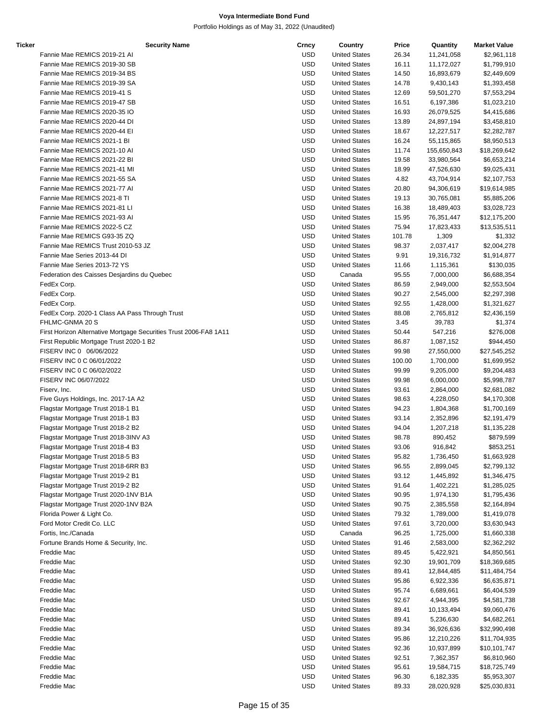| Ticker | <b>Security Name</b>                                              | Crncy      | Country              | Price  | Quantity    | <b>Market Value</b> |
|--------|-------------------------------------------------------------------|------------|----------------------|--------|-------------|---------------------|
|        | Fannie Mae REMICS 2019-21 AI                                      | <b>USD</b> | <b>United States</b> | 26.34  | 11,241,058  | \$2,961,118         |
|        | Fannie Mae REMICS 2019-30 SB                                      | <b>USD</b> | <b>United States</b> | 16.11  | 11,172,027  | \$1,799,910         |
|        | Fannie Mae REMICS 2019-34 BS                                      | <b>USD</b> | <b>United States</b> | 14.50  | 16,893,679  | \$2,449,609         |
|        | Fannie Mae REMICS 2019-39 SA                                      | <b>USD</b> | <b>United States</b> | 14.78  | 9,430,143   | \$1,393,458         |
|        | Fannie Mae REMICS 2019-41 S                                       | <b>USD</b> | <b>United States</b> | 12.69  | 59,501,270  | \$7,553,294         |
|        | Fannie Mae REMICS 2019-47 SB                                      | <b>USD</b> | <b>United States</b> | 16.51  | 6,197,386   | \$1,023,210         |
|        | Fannie Mae REMICS 2020-35 IO                                      | <b>USD</b> | <b>United States</b> | 16.93  | 26,079,525  | \$4,415,686         |
|        | Fannie Mae REMICS 2020-44 DI                                      | <b>USD</b> | <b>United States</b> | 13.89  | 24,897,194  | \$3,458,810         |
|        | Fannie Mae REMICS 2020-44 EI                                      | <b>USD</b> | <b>United States</b> | 18.67  | 12,227,517  | \$2,282,787         |
|        | Fannie Mae REMICS 2021-1 BI                                       | <b>USD</b> | <b>United States</b> | 16.24  | 55,115,865  | \$8,950,513         |
|        | Fannie Mae REMICS 2021-10 AI                                      | <b>USD</b> | <b>United States</b> | 11.74  | 155,650,843 | \$18,269,642        |
|        | Fannie Mae REMICS 2021-22 BI                                      | <b>USD</b> | <b>United States</b> | 19.58  | 33,980,564  | \$6,653,214         |
|        | Fannie Mae REMICS 2021-41 MI                                      | <b>USD</b> | <b>United States</b> | 18.99  | 47,526,630  | \$9,025,431         |
|        | Fannie Mae REMICS 2021-55 SA                                      | <b>USD</b> | <b>United States</b> | 4.82   | 43,704,914  | \$2,107,753         |
|        | Fannie Mae REMICS 2021-77 AI                                      | <b>USD</b> | <b>United States</b> | 20.80  | 94,306,619  | \$19,614,985        |
|        | Fannie Mae REMICS 2021-8 TI                                       | <b>USD</b> | <b>United States</b> | 19.13  | 30,765,081  | \$5,885,206         |
|        | Fannie Mae REMICS 2021-81 LI                                      | <b>USD</b> | <b>United States</b> | 16.38  | 18,489,403  | \$3,028,723         |
|        | Fannie Mae REMICS 2021-93 AI                                      | <b>USD</b> | <b>United States</b> | 15.95  | 76,351,447  | \$12,175,200        |
|        | Fannie Mae REMICS 2022-5 CZ                                       | <b>USD</b> | <b>United States</b> | 75.94  | 17,823,433  | \$13,535,511        |
|        | Fannie Mae REMICS G93-35 ZQ                                       | <b>USD</b> | <b>United States</b> | 101.78 | 1,309       | \$1,332             |
|        | Fannie Mae REMICS Trust 2010-53 JZ                                | <b>USD</b> | <b>United States</b> | 98.37  | 2,037,417   | \$2,004,278         |
|        | Fannie Mae Series 2013-44 DI                                      | <b>USD</b> | <b>United States</b> | 9.91   | 19,316,732  | \$1,914,877         |
|        | Fannie Mae Series 2013-72 YS                                      | <b>USD</b> | <b>United States</b> | 11.66  | 1,115,361   | \$130,035           |
|        | Federation des Caisses Desjardins du Quebec                       | <b>USD</b> | Canada               | 95.55  | 7,000,000   | \$6,688,354         |
|        | FedEx Corp.                                                       | <b>USD</b> | <b>United States</b> | 86.59  | 2,949,000   | \$2,553,504         |
|        | FedEx Corp.                                                       | <b>USD</b> | <b>United States</b> | 90.27  | 2,545,000   | \$2,297,398         |
|        | FedEx Corp.                                                       | <b>USD</b> | <b>United States</b> | 92.55  | 1,428,000   | \$1,321,627         |
|        | FedEx Corp. 2020-1 Class AA Pass Through Trust                    | <b>USD</b> | <b>United States</b> | 88.08  | 2,765,812   | \$2,436,159         |
|        | FHLMC-GNMA 20 S                                                   | <b>USD</b> | <b>United States</b> | 3.45   | 39,783      | \$1,374             |
|        | First Horizon Alternative Mortgage Securities Trust 2006-FA8 1A11 | <b>USD</b> | <b>United States</b> | 50.44  | 547,216     | \$276,008           |
|        | First Republic Mortgage Trust 2020-1 B2                           | <b>USD</b> | <b>United States</b> | 86.87  | 1,087,152   | \$944,450           |
|        | FISERV INC 0 06/06/2022                                           | <b>USD</b> | <b>United States</b> | 99.98  | 27,550,000  | \$27,545,252        |
|        | FISERV INC 0 C 06/01/2022                                         | <b>USD</b> | <b>United States</b> | 100.00 | 1,700,000   | \$1,699,952         |
|        | FISERV INC 0 C 06/02/2022                                         | <b>USD</b> | <b>United States</b> | 99.99  | 9,205,000   | \$9,204,483         |
|        | FISERV INC 06/07/2022                                             | <b>USD</b> | <b>United States</b> | 99.98  | 6,000,000   | \$5,998,787         |
|        | Fiserv, Inc.                                                      | <b>USD</b> | <b>United States</b> | 93.61  | 2,864,000   | \$2,681,082         |
|        | Five Guys Holdings, Inc. 2017-1A A2                               | <b>USD</b> | <b>United States</b> | 98.63  | 4,228,050   | \$4,170,308         |
|        | Flagstar Mortgage Trust 2018-1 B1                                 | <b>USD</b> | <b>United States</b> | 94.23  | 1,804,368   | \$1,700,169         |
|        | Flagstar Mortgage Trust 2018-1 B3                                 | <b>USD</b> | <b>United States</b> | 93.14  | 2,352,896   | \$2,191,479         |
|        | Flagstar Mortgage Trust 2018-2 B2                                 | <b>USD</b> | <b>United States</b> | 94.04  | 1,207,218   | \$1,135,228         |
|        | Flagstar Mortgage Trust 2018-3INV A3                              | <b>USD</b> | <b>United States</b> | 98.78  | 890,452     | \$879,599           |
|        | Flagstar Mortgage Trust 2018-4 B3                                 | <b>USD</b> | <b>United States</b> | 93.06  | 916,842     | \$853,251           |
|        | Flagstar Mortgage Trust 2018-5 B3                                 | <b>USD</b> | <b>United States</b> | 95.82  | 1,736,450   | \$1,663,928         |
|        | Flagstar Mortgage Trust 2018-6RR B3                               | <b>USD</b> | <b>United States</b> | 96.55  | 2,899,045   | \$2,799,132         |
|        | Flagstar Mortgage Trust 2019-2 B1                                 | <b>USD</b> | <b>United States</b> | 93.12  | 1,445,892   | \$1,346,475         |
|        | Flagstar Mortgage Trust 2019-2 B2                                 | <b>USD</b> | <b>United States</b> | 91.64  | 1,402,221   | \$1,285,025         |
|        | Flagstar Mortgage Trust 2020-1NV B1A                              | <b>USD</b> | <b>United States</b> | 90.95  | 1,974,130   | \$1,795,436         |
|        | Flagstar Mortgage Trust 2020-1NV B2A                              | <b>USD</b> | <b>United States</b> | 90.75  | 2,385,558   | \$2,164,894         |
|        | Florida Power & Light Co.                                         | <b>USD</b> | <b>United States</b> | 79.32  | 1,789,000   | \$1,419,078         |
|        | Ford Motor Credit Co. LLC                                         | <b>USD</b> | <b>United States</b> | 97.61  | 3,720,000   | \$3,630,943         |
|        | Fortis, Inc./Canada                                               | <b>USD</b> | Canada               | 96.25  | 1,725,000   | \$1,660,338         |
|        | Fortune Brands Home & Security, Inc.                              | <b>USD</b> | <b>United States</b> | 91.46  | 2,583,000   | \$2,362,292         |
|        | Freddie Mac                                                       | <b>USD</b> | <b>United States</b> | 89.45  | 5,422,921   | \$4,850,561         |
|        | Freddie Mac                                                       | <b>USD</b> | <b>United States</b> | 92.30  | 19,901,709  | \$18,369,685        |
|        | Freddie Mac                                                       | <b>USD</b> | <b>United States</b> | 89.41  | 12,844,485  | \$11,484,754        |
|        | Freddie Mac                                                       | <b>USD</b> | <b>United States</b> | 95.86  | 6,922,336   | \$6,635,871         |
|        | Freddie Mac                                                       | <b>USD</b> | <b>United States</b> | 95.74  | 6,689,661   | \$6,404,539         |
|        | Freddie Mac                                                       | <b>USD</b> | <b>United States</b> | 92.67  | 4,944,395   | \$4,581,738         |
|        | Freddie Mac                                                       | <b>USD</b> | <b>United States</b> | 89.41  | 10,133,494  | \$9,060,476         |
|        | Freddie Mac                                                       | <b>USD</b> | <b>United States</b> | 89.41  | 5,236,630   | \$4,682,261         |
|        | Freddie Mac                                                       | <b>USD</b> | <b>United States</b> | 89.34  | 36,926,636  | \$32,990,498        |
|        | Freddie Mac                                                       | <b>USD</b> | <b>United States</b> | 95.86  | 12,210,226  | \$11,704,935        |
|        | Freddie Mac                                                       | <b>USD</b> | <b>United States</b> | 92.36  | 10,937,899  | \$10,101,747        |
|        | Freddie Mac                                                       | <b>USD</b> | <b>United States</b> | 92.51  | 7,362,357   | \$6,810,960         |
|        | Freddie Mac                                                       | <b>USD</b> | <b>United States</b> | 95.61  | 19,584,715  | \$18,725,749        |
|        | Freddie Mac                                                       | <b>USD</b> | <b>United States</b> | 96.30  | 6,182,335   | \$5,953,307         |
|        | Freddie Mac                                                       | <b>USD</b> | <b>United States</b> | 89.33  | 28,020,928  | \$25,030,831        |
|        |                                                                   |            |                      |        |             |                     |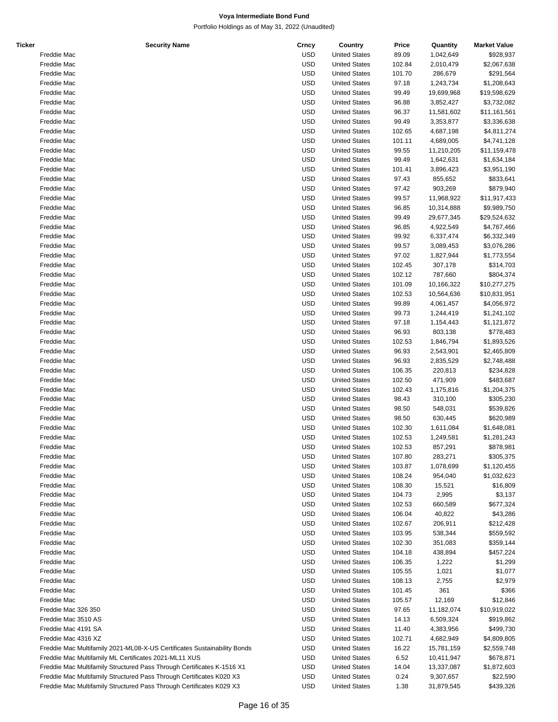| <b>Ticker</b> | <b>Security Name</b>                                                     | Crncy      | Country              | Price  | Quantity   | <b>Market Value</b> |
|---------------|--------------------------------------------------------------------------|------------|----------------------|--------|------------|---------------------|
|               | Freddie Mac                                                              | <b>USD</b> | <b>United States</b> | 89.09  | 1,042,649  | \$928,937           |
|               | Freddie Mac                                                              | <b>USD</b> | <b>United States</b> | 102.84 | 2,010,479  | \$2,067,638         |
|               | Freddie Mac                                                              | <b>USD</b> | <b>United States</b> | 101.70 |            |                     |
|               |                                                                          |            |                      |        | 286,679    | \$291,564           |
|               | Freddie Mac                                                              | <b>USD</b> | <b>United States</b> | 97.18  | 1,243,734  | \$1,208,643         |
|               | Freddie Mac                                                              | <b>USD</b> | <b>United States</b> | 99.49  | 19,699,968 | \$19,598,629        |
|               | Freddie Mac                                                              | <b>USD</b> | <b>United States</b> | 96.88  | 3,852,427  | \$3,732,082         |
|               | Freddie Mac                                                              | <b>USD</b> | <b>United States</b> | 96.37  | 11,581,602 | \$11,161,561        |
|               | Freddie Mac                                                              | <b>USD</b> | <b>United States</b> | 99.49  | 3,353,877  | \$3,336,638         |
|               | Freddie Mac                                                              | <b>USD</b> | <b>United States</b> | 102.65 | 4,687,198  | \$4,811,274         |
|               | Freddie Mac                                                              | <b>USD</b> | <b>United States</b> | 101.11 | 4,689,005  | \$4,741,128         |
|               |                                                                          |            |                      |        |            |                     |
|               | Freddie Mac                                                              | <b>USD</b> | <b>United States</b> | 99.55  | 11,210,205 | \$11,159,478        |
|               | Freddie Mac                                                              | <b>USD</b> | <b>United States</b> | 99.49  | 1,642,631  | \$1,634,184         |
|               | Freddie Mac                                                              | <b>USD</b> | <b>United States</b> | 101.41 | 3,896,423  | \$3,951,190         |
|               | Freddie Mac                                                              | <b>USD</b> | <b>United States</b> | 97.43  | 855,652    | \$833,641           |
|               | Freddie Mac                                                              | <b>USD</b> | <b>United States</b> | 97.42  | 903,269    | \$879,940           |
|               | Freddie Mac                                                              | <b>USD</b> | <b>United States</b> | 99.57  | 11,968,922 | \$11,917,433        |
|               | Freddie Mac                                                              | <b>USD</b> | <b>United States</b> | 96.85  | 10,314,888 | \$9,989,750         |
|               |                                                                          |            |                      |        |            |                     |
|               | Freddie Mac                                                              | <b>USD</b> | <b>United States</b> | 99.49  | 29,677,345 | \$29,524,632        |
|               | Freddie Mac                                                              | <b>USD</b> | <b>United States</b> | 96.85  | 4,922,549  | \$4,767,466         |
|               | Freddie Mac                                                              | <b>USD</b> | <b>United States</b> | 99.92  | 6,337,474  | \$6,332,349         |
|               | Freddie Mac                                                              | <b>USD</b> | <b>United States</b> | 99.57  | 3,089,453  | \$3,076,286         |
|               | Freddie Mac                                                              | <b>USD</b> | <b>United States</b> | 97.02  | 1,827,944  | \$1,773,554         |
|               | Freddie Mac                                                              | <b>USD</b> | <b>United States</b> | 102.45 | 307,178    | \$314,703           |
|               | Freddie Mac                                                              | <b>USD</b> | <b>United States</b> | 102.12 | 787,660    | \$804,374           |
|               | Freddie Mac                                                              | <b>USD</b> | <b>United States</b> | 101.09 | 10,166,322 | \$10,277,275        |
|               |                                                                          |            |                      |        |            |                     |
|               | Freddie Mac                                                              | <b>USD</b> | <b>United States</b> | 102.53 | 10,564,636 | \$10,831,951        |
|               | Freddie Mac                                                              | <b>USD</b> | <b>United States</b> | 99.89  | 4,061,457  | \$4,056,972         |
|               | Freddie Mac                                                              | <b>USD</b> | <b>United States</b> | 99.73  | 1,244,419  | \$1,241,102         |
|               | Freddie Mac                                                              | <b>USD</b> | <b>United States</b> | 97.18  | 1,154,443  | \$1,121,872         |
|               | Freddie Mac                                                              | <b>USD</b> | <b>United States</b> | 96.93  | 803,138    | \$778,483           |
|               | Freddie Mac                                                              | <b>USD</b> | <b>United States</b> | 102.53 | 1,846,794  | \$1,893,526         |
|               | Freddie Mac                                                              | <b>USD</b> | <b>United States</b> | 96.93  | 2,543,901  | \$2,465,809         |
|               |                                                                          |            |                      |        |            |                     |
|               | Freddie Mac                                                              | <b>USD</b> | <b>United States</b> | 96.93  | 2,835,529  | \$2,748,488         |
|               | Freddie Mac                                                              | <b>USD</b> | <b>United States</b> | 106.35 | 220,813    | \$234,828           |
|               | Freddie Mac                                                              | <b>USD</b> | <b>United States</b> | 102.50 | 471,909    | \$483,687           |
|               | Freddie Mac                                                              | <b>USD</b> | <b>United States</b> | 102.43 | 1,175,816  | \$1,204,375         |
|               | Freddie Mac                                                              | <b>USD</b> | <b>United States</b> | 98.43  | 310,100    | \$305,230           |
|               | Freddie Mac                                                              | <b>USD</b> | <b>United States</b> | 98.50  | 548,031    | \$539,826           |
|               | Freddie Mac                                                              | <b>USD</b> | <b>United States</b> | 98.50  | 630,445    | \$620,989           |
|               | Freddie Mac                                                              | <b>USD</b> | <b>United States</b> | 102.30 |            |                     |
|               |                                                                          |            |                      |        | 1,611,084  | \$1,648,081         |
|               | Freddie Mac                                                              | <b>USD</b> | <b>United States</b> | 102.53 | 1,249,581  | \$1,281,243         |
|               | Freddie Mac                                                              | <b>USD</b> | <b>United States</b> | 102.53 | 857,291    | \$878,981           |
|               | Freddie Mac                                                              | <b>USD</b> | <b>United States</b> | 107.80 | 283,271    | \$305,375           |
|               | Freddie Mac                                                              | <b>USD</b> | <b>United States</b> | 103.87 | 1,078,699  | \$1,120,455         |
|               | Freddie Mac                                                              | <b>USD</b> | <b>United States</b> | 108.24 | 954,040    | \$1,032,623         |
|               | Freddie Mac                                                              | <b>USD</b> | <b>United States</b> | 108.30 | 15,521     | \$16,809            |
|               | Freddie Mac                                                              | <b>USD</b> | <b>United States</b> | 104.73 | 2,995      | \$3,137             |
|               |                                                                          |            |                      |        | 660,589    |                     |
|               | Freddie Mac                                                              | <b>USD</b> | <b>United States</b> | 102.53 |            | \$677,324           |
|               | Freddie Mac                                                              | <b>USD</b> | <b>United States</b> | 106.04 | 40,822     | \$43,286            |
|               | Freddie Mac                                                              | <b>USD</b> | <b>United States</b> | 102.67 | 206,911    | \$212,428           |
|               | Freddie Mac                                                              | <b>USD</b> | <b>United States</b> | 103.95 | 538,344    | \$559,592           |
|               | Freddie Mac                                                              | <b>USD</b> | <b>United States</b> | 102.30 | 351,083    | \$359,144           |
|               | Freddie Mac                                                              | <b>USD</b> | <b>United States</b> | 104.18 | 438,894    | \$457,224           |
|               | Freddie Mac                                                              | <b>USD</b> | <b>United States</b> | 106.35 | 1,222      | \$1,299             |
|               |                                                                          |            |                      |        |            |                     |
|               | Freddie Mac                                                              | <b>USD</b> | <b>United States</b> | 105.55 | 1,021      | \$1,077             |
|               | Freddie Mac                                                              | <b>USD</b> | <b>United States</b> | 108.13 | 2,755      | \$2,979             |
|               | Freddie Mac                                                              | <b>USD</b> | <b>United States</b> | 101.45 | 361        | \$366               |
|               | Freddie Mac                                                              | <b>USD</b> | <b>United States</b> | 105.57 | 12,169     | \$12,846            |
|               | Freddie Mac 326 350                                                      | <b>USD</b> | <b>United States</b> | 97.65  | 11,182,074 | \$10,919,022        |
|               | Freddie Mac 3510 AS                                                      | <b>USD</b> | <b>United States</b> | 14.13  | 6,509,324  | \$919,862           |
|               | Freddie Mac 4191 SA                                                      | <b>USD</b> | <b>United States</b> | 11.40  | 4,383,956  | \$499,730           |
|               |                                                                          |            |                      |        |            |                     |
|               | Freddie Mac 4316 XZ                                                      | <b>USD</b> | <b>United States</b> | 102.71 | 4,682,949  | \$4,809,805         |
|               | Freddie Mac Multifamily 2021-ML08-X-US Certificates Sustainability Bonds | <b>USD</b> | <b>United States</b> | 16.22  | 15,781,159 | \$2,559,748         |
|               | Freddie Mac Multifamily ML Certificates 2021-ML11 XUS                    | <b>USD</b> | <b>United States</b> | 6.52   | 10,411,947 | \$678,871           |
|               | Freddie Mac Multifamily Structured Pass Through Certificates K-1516 X1   | <b>USD</b> | <b>United States</b> | 14.04  | 13,337,087 | \$1,872,603         |
|               | Freddie Mac Multifamily Structured Pass Through Certificates K020 X3     | <b>USD</b> | <b>United States</b> | 0.24   | 9,307,657  | \$22,590            |
|               | Freddie Mac Multifamily Structured Pass Through Certificates K029 X3     | <b>USD</b> | <b>United States</b> | 1.38   | 31,879,545 | \$439,326           |
|               |                                                                          |            |                      |        |            |                     |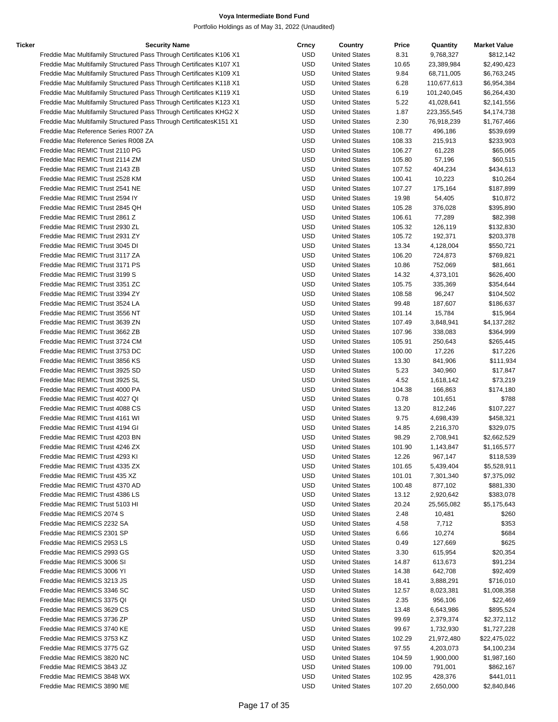| Ticker | <b>Security Name</b>                                                 | Crncy      | Country              | Price  | Quantity    | <b>Market Value</b> |
|--------|----------------------------------------------------------------------|------------|----------------------|--------|-------------|---------------------|
|        | Freddie Mac Multifamily Structured Pass Through Certificates K106 X1 | USD        | <b>United States</b> | 8.31   | 9,768,327   | \$812,142           |
|        | Freddie Mac Multifamily Structured Pass Through Certificates K107 X1 | <b>USD</b> | <b>United States</b> | 10.65  | 23,389,984  | \$2,490,423         |
|        | Freddie Mac Multifamily Structured Pass Through Certificates K109 X1 | <b>USD</b> | <b>United States</b> | 9.84   | 68,711,005  | \$6,763,245         |
|        | Freddie Mac Multifamily Structured Pass Through Certificates K118 X1 | <b>USD</b> | <b>United States</b> | 6.28   | 110,677,613 | \$6,954,384         |
|        |                                                                      |            |                      |        |             |                     |
|        | Freddie Mac Multifamily Structured Pass Through Certificates K119 X1 | <b>USD</b> | <b>United States</b> | 6.19   | 101,240,045 | \$6,264,430         |
|        | Freddie Mac Multifamily Structured Pass Through Certificates K123 X1 | <b>USD</b> | <b>United States</b> | 5.22   | 41,028,641  | \$2,141,556         |
|        | Freddie Mac Multifamily Structured Pass Through Certificates KHG2 X  | <b>USD</b> | <b>United States</b> | 1.87   | 223,355,545 | \$4,174,738         |
|        | Freddie Mac Multifamily Structured Pass Through Certificates K151 X1 | <b>USD</b> | <b>United States</b> | 2.30   | 76,918,239  | \$1,767,466         |
|        | Freddie Mac Reference Series R007 ZA                                 | <b>USD</b> | <b>United States</b> | 108.77 | 496,186     | \$539,699           |
|        | Freddie Mac Reference Series R008 ZA                                 | <b>USD</b> | <b>United States</b> | 108.33 | 215,913     | \$233,903           |
|        | Freddie Mac REMIC Trust 2110 PG                                      | <b>USD</b> | <b>United States</b> | 106.27 | 61,228      | \$65,065            |
|        |                                                                      |            |                      |        |             |                     |
|        | Freddie Mac REMIC Trust 2114 ZM                                      | <b>USD</b> | <b>United States</b> | 105.80 | 57,196      | \$60,515            |
|        | Freddie Mac REMIC Trust 2143 ZB                                      | <b>USD</b> | <b>United States</b> | 107.52 | 404,234     | \$434,613           |
|        | Freddie Mac REMIC Trust 2528 KM                                      | <b>USD</b> | <b>United States</b> | 100.41 | 10,223      | \$10,264            |
|        | Freddie Mac REMIC Trust 2541 NE                                      | <b>USD</b> | <b>United States</b> | 107.27 | 175,164     | \$187,899           |
|        | Freddie Mac REMIC Trust 2594 IY                                      | <b>USD</b> | <b>United States</b> | 19.98  | 54,405      | \$10,872            |
|        | Freddie Mac REMIC Trust 2845 QH                                      | <b>USD</b> | <b>United States</b> | 105.28 | 376,028     | \$395,890           |
|        | Freddie Mac REMIC Trust 2861 Z                                       | <b>USD</b> | <b>United States</b> | 106.61 | 77,289      | \$82,398            |
|        |                                                                      | <b>USD</b> |                      |        |             |                     |
|        | Freddie Mac REMIC Trust 2930 ZL                                      |            | <b>United States</b> | 105.32 | 126,119     | \$132,830           |
|        | Freddie Mac REMIC Trust 2931 ZY                                      | <b>USD</b> | <b>United States</b> | 105.72 | 192,371     | \$203,378           |
|        | Freddie Mac REMIC Trust 3045 DI                                      | <b>USD</b> | <b>United States</b> | 13.34  | 4,128,004   | \$550,721           |
|        | Freddie Mac REMIC Trust 3117 ZA                                      | <b>USD</b> | <b>United States</b> | 106.20 | 724,873     | \$769,821           |
|        | Freddie Mac REMIC Trust 3171 PS                                      | <b>USD</b> | <b>United States</b> | 10.86  | 752,069     | \$81,661            |
|        | Freddie Mac REMIC Trust 3199 S                                       | <b>USD</b> | <b>United States</b> | 14.32  | 4,373,101   | \$626,400           |
|        | Freddie Mac REMIC Trust 3351 ZC                                      | <b>USD</b> | <b>United States</b> | 105.75 | 335,369     |                     |
|        |                                                                      |            |                      |        |             | \$354,644           |
|        | Freddie Mac REMIC Trust 3394 ZY                                      | <b>USD</b> | <b>United States</b> | 108.58 | 96,247      | \$104,502           |
|        | Freddie Mac REMIC Trust 3524 LA                                      | <b>USD</b> | <b>United States</b> | 99.48  | 187,607     | \$186,637           |
|        | Freddie Mac REMIC Trust 3556 NT                                      | <b>USD</b> | <b>United States</b> | 101.14 | 15,784      | \$15,964            |
|        | Freddie Mac REMIC Trust 3639 ZN                                      | <b>USD</b> | <b>United States</b> | 107.49 | 3,848,941   | \$4,137,282         |
|        | Freddie Mac REMIC Trust 3662 ZB                                      | <b>USD</b> | <b>United States</b> | 107.96 | 338,083     | \$364,999           |
|        | Freddie Mac REMIC Trust 3724 CM                                      | <b>USD</b> | <b>United States</b> | 105.91 | 250,643     | \$265,445           |
|        |                                                                      |            |                      |        |             |                     |
|        | Freddie Mac REMIC Trust 3753 DC                                      | <b>USD</b> | <b>United States</b> | 100.00 | 17,226      | \$17,226            |
|        | Freddie Mac REMIC Trust 3856 KS                                      | <b>USD</b> | <b>United States</b> | 13.30  | 841,906     | \$111,934           |
|        | Freddie Mac REMIC Trust 3925 SD                                      | <b>USD</b> | <b>United States</b> | 5.23   | 340,960     | \$17,847            |
|        | Freddie Mac REMIC Trust 3925 SL                                      | <b>USD</b> | <b>United States</b> | 4.52   | 1,618,142   | \$73,219            |
|        | Freddie Mac REMIC Trust 4000 PA                                      | <b>USD</b> | <b>United States</b> | 104.38 | 166,863     | \$174,180           |
|        | Freddie Mac REMIC Trust 4027 QI                                      | <b>USD</b> | <b>United States</b> | 0.78   | 101,651     | \$788               |
|        | Freddie Mac REMIC Trust 4088 CS                                      | <b>USD</b> | <b>United States</b> | 13.20  | 812,246     | \$107,227           |
|        |                                                                      |            |                      |        |             |                     |
|        | Freddie Mac REMIC Trust 4161 WI                                      | <b>USD</b> | <b>United States</b> | 9.75   | 4,698,439   | \$458,321           |
|        | Freddie Mac REMIC Trust 4194 GI                                      | <b>USD</b> | <b>United States</b> | 14.85  | 2,216,370   | \$329,075           |
|        | Freddie Mac REMIC Trust 4203 BN                                      | <b>USD</b> | <b>United States</b> | 98.29  | 2,708,941   | \$2,662,529         |
|        | Freddie Mac REMIC Trust 4246 ZX                                      | <b>USD</b> | <b>United States</b> | 101.90 | 1,143,847   | \$1,165,577         |
|        | Freddie Mac REMIC Trust 4293 KI                                      | USD        | <b>United States</b> | 12.26  | 967,147     | \$118,539           |
|        | Freddie Mac REMIC Trust 4335 ZX                                      | USD        | <b>United States</b> | 101.65 | 5,439,404   | \$5,528,911         |
|        | Freddie Mac REMIC Trust 435 XZ                                       | USD        | <b>United States</b> | 101.01 | 7,301,340   | \$7,375,092         |
|        |                                                                      |            |                      |        |             |                     |
|        | Freddie Mac REMIC Trust 4370 AD                                      | USD        | <b>United States</b> | 100.48 | 877,102     | \$881,330           |
|        | Freddie Mac REMIC Trust 4386 LS                                      | <b>USD</b> | <b>United States</b> | 13.12  | 2,920,642   | \$383,078           |
|        | Freddie Mac REMIC Trust 5103 HI                                      | USD        | <b>United States</b> | 20.24  | 25,565,082  | \$5,175,643         |
|        | Freddie Mac REMICS 2074 S                                            | USD        | <b>United States</b> | 2.48   | 10,481      | \$260               |
|        | Freddie Mac REMICS 2232 SA                                           | USD        | <b>United States</b> | 4.58   | 7,712       | \$353               |
|        | Freddie Mac REMICS 2301 SP                                           | <b>USD</b> | <b>United States</b> | 6.66   | 10,274      | \$684               |
|        |                                                                      |            |                      |        |             |                     |
|        | Freddie Mac REMICS 2953 LS                                           | USD        | <b>United States</b> | 0.49   | 127,669     | \$625               |
|        | Freddie Mac REMICS 2993 GS                                           | USD        | <b>United States</b> | 3.30   | 615,954     | \$20,354            |
|        | Freddie Mac REMICS 3006 SI                                           | USD        | <b>United States</b> | 14.87  | 613,673     | \$91,234            |
|        | Freddie Mac REMICS 3006 YI                                           | USD        | <b>United States</b> | 14.38  | 642,708     | \$92,409            |
|        | Freddie Mac REMICS 3213 JS                                           | USD        | <b>United States</b> | 18.41  | 3,888,291   | \$716,010           |
|        | Freddie Mac REMICS 3346 SC                                           | USD        | <b>United States</b> | 12.57  | 8,023,381   | \$1,008,358         |
|        |                                                                      |            |                      |        |             |                     |
|        | Freddie Mac REMICS 3375 QI                                           | USD        | <b>United States</b> | 2.35   | 956,106     | \$22,469            |
|        | Freddie Mac REMICS 3629 CS                                           | <b>USD</b> | <b>United States</b> | 13.48  | 6,643,986   | \$895,524           |
|        | Freddie Mac REMICS 3736 ZP                                           | USD        | <b>United States</b> | 99.69  | 2,379,374   | \$2,372,112         |
|        | Freddie Mac REMICS 3740 KE                                           | USD        | <b>United States</b> | 99.67  | 1,732,930   | \$1,727,228         |
|        | Freddie Mac REMICS 3753 KZ                                           | USD        | <b>United States</b> | 102.29 | 21,972,480  | \$22,475,022        |
|        | Freddie Mac REMICS 3775 GZ                                           | USD        | <b>United States</b> | 97.55  | 4,203,073   | \$4,100,234         |
|        | Freddie Mac REMICS 3820 NC                                           | USD        | <b>United States</b> |        |             |                     |
|        |                                                                      |            |                      | 104.59 | 1,900,000   | \$1,987,160         |
|        | Freddie Mac REMICS 3843 JZ                                           | USD        | <b>United States</b> | 109.00 | 791,001     | \$862,167           |
|        | Freddie Mac REMICS 3848 WX                                           | <b>USD</b> | <b>United States</b> | 102.95 | 428,376     | \$441,011           |
|        | Freddie Mac REMICS 3890 ME                                           | <b>USD</b> | <b>United States</b> | 107.20 | 2,650,000   | \$2,840,846         |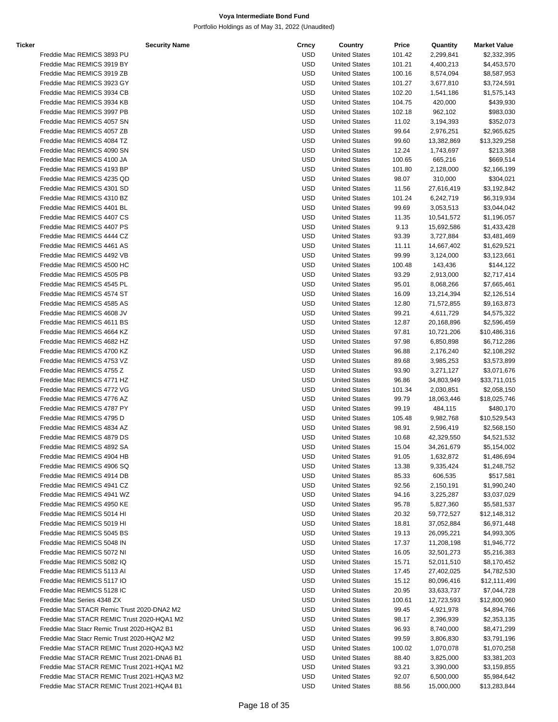| Ticker | <b>Security Name</b>                       | Crncy      | Country              | Price  | Quantity   | <b>Market Value</b> |
|--------|--------------------------------------------|------------|----------------------|--------|------------|---------------------|
|        | Freddie Mac REMICS 3893 PU                 | <b>USD</b> | <b>United States</b> | 101.42 | 2,299,841  | \$2,332,395         |
|        | Freddie Mac REMICS 3919 BY                 | <b>USD</b> | <b>United States</b> | 101.21 | 4,400,213  | \$4,453,570         |
|        | Freddie Mac REMICS 3919 ZB                 | <b>USD</b> | <b>United States</b> | 100.16 | 8,574,094  | \$8,587,953         |
|        | Freddie Mac REMICS 3923 GY                 | <b>USD</b> | <b>United States</b> | 101.27 | 3,677,810  | \$3,724,591         |
|        | Freddie Mac REMICS 3934 CB                 | <b>USD</b> | <b>United States</b> | 102.20 | 1,541,186  | \$1,575,143         |
|        | Freddie Mac REMICS 3934 KB                 | <b>USD</b> | <b>United States</b> | 104.75 | 420,000    | \$439,930           |
|        |                                            |            |                      |        |            |                     |
|        | Freddie Mac REMICS 3997 PB                 | <b>USD</b> | <b>United States</b> | 102.18 | 962,102    | \$983,030           |
|        | Freddie Mac REMICS 4057 SN                 | <b>USD</b> | <b>United States</b> | 11.02  | 3,194,393  | \$352,073           |
|        | Freddie Mac REMICS 4057 ZB                 | <b>USD</b> | <b>United States</b> | 99.64  | 2,976,251  | \$2,965,625         |
|        | Freddie Mac REMICS 4084 TZ                 | <b>USD</b> | <b>United States</b> | 99.60  | 13,382,869 | \$13,329,258        |
|        | Freddie Mac REMICS 4090 SN                 | <b>USD</b> | <b>United States</b> | 12.24  | 1,743,697  | \$213,368           |
|        | Freddie Mac REMICS 4100 JA                 | <b>USD</b> | <b>United States</b> | 100.65 | 665,216    | \$669,514           |
|        | Freddie Mac REMICS 4193 BP                 | <b>USD</b> | <b>United States</b> | 101.80 | 2,128,000  | \$2,166,199         |
|        | Freddie Mac REMICS 4235 QD                 | <b>USD</b> | <b>United States</b> | 98.07  | 310,000    | \$304,021           |
|        | Freddie Mac REMICS 4301 SD                 | <b>USD</b> | <b>United States</b> | 11.56  | 27,616,419 | \$3,192,842         |
|        | Freddie Mac REMICS 4310 BZ                 | <b>USD</b> | <b>United States</b> | 101.24 | 6,242,719  | \$6,319,934         |
|        |                                            |            |                      |        |            |                     |
|        | Freddie Mac REMICS 4401 BL                 | <b>USD</b> | <b>United States</b> | 99.69  | 3,053,513  | \$3,044,042         |
|        | Freddie Mac REMICS 4407 CS                 | <b>USD</b> | <b>United States</b> | 11.35  | 10,541,572 | \$1,196,057         |
|        | Freddie Mac REMICS 4407 PS                 | <b>USD</b> | <b>United States</b> | 9.13   | 15,692,586 | \$1,433,428         |
|        | Freddie Mac REMICS 4444 CZ                 | <b>USD</b> | <b>United States</b> | 93.39  | 3,727,884  | \$3,481,469         |
|        | Freddie Mac REMICS 4461 AS                 | <b>USD</b> | <b>United States</b> | 11.11  | 14,667,402 | \$1,629,521         |
|        | Freddie Mac REMICS 4492 VB                 | <b>USD</b> | <b>United States</b> | 99.99  | 3,124,000  | \$3,123,661         |
|        | Freddie Mac REMICS 4500 HC                 | <b>USD</b> | <b>United States</b> | 100.48 | 143,436    | \$144,122           |
|        | Freddie Mac REMICS 4505 PB                 | <b>USD</b> | <b>United States</b> | 93.29  | 2,913,000  | \$2,717,414         |
|        | Freddie Mac REMICS 4545 PL                 | <b>USD</b> | <b>United States</b> | 95.01  | 8,068,266  | \$7,665,461         |
|        | Freddie Mac REMICS 4574 ST                 | <b>USD</b> | <b>United States</b> |        |            | \$2,126,514         |
|        |                                            |            |                      | 16.09  | 13,214,394 |                     |
|        | Freddie Mac REMICS 4585 AS                 | <b>USD</b> | <b>United States</b> | 12.80  | 71,572,855 | \$9,163,873         |
|        | Freddie Mac REMICS 4608 JV                 | <b>USD</b> | <b>United States</b> | 99.21  | 4,611,729  | \$4,575,322         |
|        | Freddie Mac REMICS 4611 BS                 | <b>USD</b> | <b>United States</b> | 12.87  | 20,168,896 | \$2,596,459         |
|        | Freddie Mac REMICS 4664 KZ                 | <b>USD</b> | <b>United States</b> | 97.81  | 10,721,206 | \$10,486,316        |
|        | Freddie Mac REMICS 4682 HZ                 | <b>USD</b> | <b>United States</b> | 97.98  | 6,850,898  | \$6,712,286         |
|        | Freddie Mac REMICS 4700 KZ                 | <b>USD</b> | <b>United States</b> | 96.88  | 2,176,240  | \$2,108,292         |
|        | Freddie Mac REMICS 4753 VZ                 | <b>USD</b> | <b>United States</b> | 89.68  | 3,985,253  | \$3,573,899         |
|        | Freddie Mac REMICS 4755 Z                  | <b>USD</b> | <b>United States</b> | 93.90  | 3,271,127  | \$3,071,676         |
|        | Freddie Mac REMICS 4771 HZ                 | <b>USD</b> | <b>United States</b> | 96.86  | 34,803,949 | \$33,711,015        |
|        |                                            | <b>USD</b> |                      |        |            |                     |
|        | Freddie Mac REMICS 4772 VG                 |            | <b>United States</b> | 101.34 | 2,030,851  | \$2,058,150         |
|        | Freddie Mac REMICS 4776 AZ                 | <b>USD</b> | <b>United States</b> | 99.79  | 18,063,446 | \$18,025,746        |
|        | Freddie Mac REMICS 4787 PY                 | <b>USD</b> | <b>United States</b> | 99.19  | 484,115    | \$480,170           |
|        | Freddie Mac REMICS 4795 D                  | <b>USD</b> | <b>United States</b> | 105.48 | 9,982,768  | \$10,529,543        |
|        | Freddie Mac REMICS 4834 AZ                 | <b>USD</b> | <b>United States</b> | 98.91  | 2,596,419  | \$2,568,150         |
|        | Freddie Mac REMICS 4879 DS                 | <b>USD</b> | <b>United States</b> | 10.68  | 42,329,550 | \$4,521,532         |
|        | Freddie Mac REMICS 4892 SA                 | <b>USD</b> | <b>United States</b> | 15.04  | 34,261,679 | \$5,154,002         |
|        | Freddie Mac REMICS 4904 HB                 | USD        | <b>United States</b> | 91.05  | 1,632,872  | \$1,486,694         |
|        | Freddie Mac REMICS 4906 SQ                 | USD        | <b>United States</b> | 13.38  | 9,335,424  | \$1,248,752         |
|        | Freddie Mac REMICS 4914 DB                 | USD        | <b>United States</b> | 85.33  | 606,535    | \$517,581           |
|        | Freddie Mac REMICS 4941 CZ                 | <b>USD</b> |                      |        |            |                     |
|        |                                            |            | <b>United States</b> | 92.56  | 2,150,191  | \$1,990,240         |
|        | Freddie Mac REMICS 4941 WZ                 | USD        | <b>United States</b> | 94.16  | 3,225,287  | \$3,037,029         |
|        | Freddie Mac REMICS 4950 KE                 | USD        | <b>United States</b> | 95.78  | 5,827,360  | \$5,581,537         |
|        | Freddie Mac REMICS 5014 HI                 | <b>USD</b> | <b>United States</b> | 20.32  | 59,772,527 | \$12,148,312        |
|        | Freddie Mac REMICS 5019 HI                 | <b>USD</b> | <b>United States</b> | 18.81  | 37,052,884 | \$6,971,448         |
|        | Freddie Mac REMICS 5045 BS                 | USD        | <b>United States</b> | 19.13  | 26,095,221 | \$4,993,305         |
|        | Freddie Mac REMICS 5048 IN                 | USD        | <b>United States</b> | 17.37  | 11,208,198 | \$1,946,772         |
|        | Freddie Mac REMICS 5072 NI                 | USD        | <b>United States</b> | 16.05  | 32,501,273 | \$5,216,383         |
|        | Freddie Mac REMICS 5082 IQ                 | USD        | <b>United States</b> | 15.71  | 52,011,510 | \$8,170,452         |
|        | Freddie Mac REMICS 5113 AI                 | USD        | <b>United States</b> | 17.45  | 27,402,025 | \$4,782,530         |
|        |                                            |            |                      |        |            |                     |
|        | Freddie Mac REMICS 5117 IO                 | USD        | <b>United States</b> | 15.12  | 80,096,416 | \$12,111,499        |
|        | Freddie Mac REMICS 5128 IC                 | <b>USD</b> | <b>United States</b> | 20.95  | 33,633,737 | \$7,044,728         |
|        | Freddie Mac Series 4348 ZX                 | <b>USD</b> | <b>United States</b> | 100.61 | 12,723,593 | \$12,800,960        |
|        | Freddie Mac STACR Remic Trust 2020-DNA2 M2 | USD        | <b>United States</b> | 99.45  | 4,921,978  | \$4,894,766         |
|        | Freddie Mac STACR REMIC Trust 2020-HQA1 M2 | USD        | <b>United States</b> | 98.17  | 2,396,939  | \$2,353,135         |
|        | Freddie Mac Stacr Remic Trust 2020-HQA2 B1 | USD        | <b>United States</b> | 96.93  | 8,740,000  | \$8,471,299         |
|        | Freddie Mac Stacr Remic Trust 2020-HQA2 M2 | USD        | <b>United States</b> | 99.59  | 3,806,830  | \$3,791,196         |
|        | Freddie Mac STACR REMIC Trust 2020-HQA3 M2 | USD        | <b>United States</b> | 100.02 | 1,070,078  | \$1,070,258         |
|        | Freddie Mac STACR REMIC Trust 2021-DNA6 B1 | USD        | <b>United States</b> | 88.40  | 3,825,000  | \$3,381,203         |
|        |                                            | <b>USD</b> |                      |        |            |                     |
|        | Freddie Mac STACR REMIC Trust 2021-HQA1 M2 |            | <b>United States</b> | 93.21  | 3,390,000  | \$3,159,855         |
|        | Freddie Mac STACR REMIC Trust 2021-HQA3 M2 | <b>USD</b> | <b>United States</b> | 92.07  | 6,500,000  | \$5,984,642         |
|        | Freddie Mac STACR REMIC Trust 2021-HQA4 B1 | <b>USD</b> | <b>United States</b> | 88.56  | 15,000,000 | \$13,283,844        |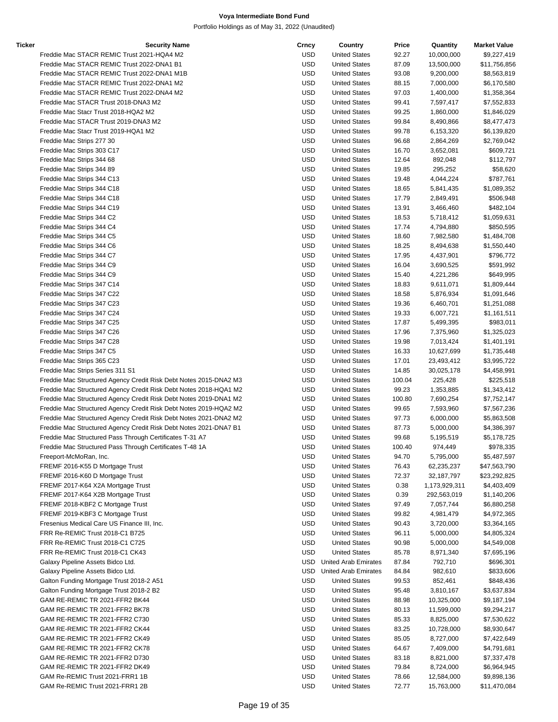| Ticker | <b>Security Name</b>                                              | Crncy      | Country                     | Price  | Quantity                     | <b>Market Value</b> |
|--------|-------------------------------------------------------------------|------------|-----------------------------|--------|------------------------------|---------------------|
|        | Freddie Mac STACR REMIC Trust 2021-HQA4 M2                        | <b>USD</b> | <b>United States</b>        | 92.27  | 10,000,000                   | \$9,227,419         |
|        | Freddie Mac STACR REMIC Trust 2022-DNA1 B1                        | <b>USD</b> | <b>United States</b>        | 87.09  | 13,500,000                   | \$11,756,856        |
|        | Freddie Mac STACR REMIC Trust 2022-DNA1 M1B                       | <b>USD</b> | <b>United States</b>        | 93.08  | 9,200,000                    | \$8,563,819         |
|        | Freddie Mac STACR REMIC Trust 2022-DNA1 M2                        | <b>USD</b> | <b>United States</b>        | 88.15  | 7,000,000                    | \$6,170,580         |
|        | Freddie Mac STACR REMIC Trust 2022-DNA4 M2                        | <b>USD</b> | <b>United States</b>        | 97.03  | 1,400,000                    | \$1,358,364         |
|        | Freddie Mac STACR Trust 2018-DNA3 M2                              | <b>USD</b> | <b>United States</b>        | 99.41  | 7,597,417                    | \$7,552,833         |
|        | Freddie Mac Stacr Trust 2018-HQA2 M2                              | <b>USD</b> | <b>United States</b>        | 99.25  | 1,860,000                    | \$1,846,029         |
|        | Freddie Mac STACR Trust 2019-DNA3 M2                              | <b>USD</b> | <b>United States</b>        | 99.84  | 8,490,866                    | \$8,477,473         |
|        | Freddie Mac Stacr Trust 2019-HQA1 M2                              | <b>USD</b> | <b>United States</b>        | 99.78  | 6,153,320                    | \$6,139,820         |
|        | Freddie Mac Strips 277 30                                         | <b>USD</b> | <b>United States</b>        | 96.68  | 2,864,269                    | \$2,769,042         |
|        | Freddie Mac Strips 303 C17                                        | <b>USD</b> | <b>United States</b>        | 16.70  | 3,652,081                    | \$609,721           |
|        | Freddie Mac Strips 344 68                                         | <b>USD</b> | <b>United States</b>        | 12.64  | 892,048                      | \$112,797           |
|        | Freddie Mac Strips 344 89                                         | <b>USD</b> | <b>United States</b>        | 19.85  | 295,252                      | \$58,620            |
|        | Freddie Mac Strips 344 C13                                        | <b>USD</b> | <b>United States</b>        | 19.48  | 4,044,224                    | \$787,761           |
|        | Freddie Mac Strips 344 C18                                        | <b>USD</b> | <b>United States</b>        | 18.65  | 5,841,435                    | \$1,089,352         |
|        | Freddie Mac Strips 344 C18                                        | <b>USD</b> | <b>United States</b>        | 17.79  | 2,849,491                    | \$506,948           |
|        |                                                                   | <b>USD</b> |                             |        |                              |                     |
|        | Freddie Mac Strips 344 C19                                        |            | <b>United States</b>        | 13.91  | 3,466,460                    | \$482,104           |
|        | Freddie Mac Strips 344 C2                                         | <b>USD</b> | <b>United States</b>        | 18.53  | 5,718,412                    | \$1,059,631         |
|        | Freddie Mac Strips 344 C4                                         | <b>USD</b> | <b>United States</b>        | 17.74  | 4,794,880                    | \$850,595           |
|        | Freddie Mac Strips 344 C5                                         | <b>USD</b> | <b>United States</b>        | 18.60  | 7,982,580                    | \$1,484,708         |
|        | Freddie Mac Strips 344 C6                                         | <b>USD</b> | <b>United States</b>        | 18.25  | 8,494,638                    | \$1,550,440         |
|        | Freddie Mac Strips 344 C7                                         | <b>USD</b> | <b>United States</b>        | 17.95  | 4,437,901                    | \$796,772           |
|        | Freddie Mac Strips 344 C9                                         | <b>USD</b> | <b>United States</b>        | 16.04  | 3,690,525                    | \$591,992           |
|        | Freddie Mac Strips 344 C9                                         | <b>USD</b> | <b>United States</b>        | 15.40  | 4,221,286                    | \$649,995           |
|        | Freddie Mac Strips 347 C14                                        | <b>USD</b> | <b>United States</b>        | 18.83  | 9,611,071                    | \$1,809,444         |
|        | Freddie Mac Strips 347 C22                                        | <b>USD</b> | <b>United States</b>        | 18.58  | 5,876,934                    | \$1,091,646         |
|        | Freddie Mac Strips 347 C23                                        | <b>USD</b> | <b>United States</b>        | 19.36  | 6,460,701                    | \$1,251,088         |
|        | Freddie Mac Strips 347 C24                                        | <b>USD</b> | <b>United States</b>        | 19.33  | 6,007,721                    | \$1,161,511         |
|        | Freddie Mac Strips 347 C25                                        | <b>USD</b> | <b>United States</b>        | 17.87  | 5,499,395                    | \$983,011           |
|        | Freddie Mac Strips 347 C26                                        | <b>USD</b> | <b>United States</b>        | 17.96  | 7,375,960                    | \$1,325,023         |
|        | Freddie Mac Strips 347 C28                                        | <b>USD</b> | <b>United States</b>        | 19.98  | 7,013,424                    | \$1,401,191         |
|        | Freddie Mac Strips 347 C5                                         | <b>USD</b> | <b>United States</b>        | 16.33  | 10,627,699                   | \$1,735,448         |
|        | Freddie Mac Strips 365 C23                                        | <b>USD</b> | <b>United States</b>        | 17.01  | 23,493,412                   | \$3,995,722         |
|        | Freddie Mac Strips Series 311 S1                                  | <b>USD</b> | <b>United States</b>        | 14.85  | 30,025,178                   | \$4,458,991         |
|        | Freddie Mac Structured Agency Credit Risk Debt Notes 2015-DNA2 M3 | <b>USD</b> | <b>United States</b>        | 100.04 | 225,428                      | \$225,518           |
|        | Freddie Mac Structured Agency Credit Risk Debt Notes 2018-HQA1 M2 | <b>USD</b> | <b>United States</b>        | 99.23  | 1,353,885                    | \$1,343,412         |
|        | Freddie Mac Structured Agency Credit Risk Debt Notes 2019-DNA1 M2 | <b>USD</b> | <b>United States</b>        | 100.80 | 7,690,254                    | \$7,752,147         |
|        | Freddie Mac Structured Agency Credit Risk Debt Notes 2019-HQA2 M2 | <b>USD</b> | <b>United States</b>        | 99.65  | 7,593,960                    | \$7,567,236         |
|        | Freddie Mac Structured Agency Credit Risk Debt Notes 2021-DNA2 M2 | <b>USD</b> | <b>United States</b>        | 97.73  | 6,000,000                    | \$5,863,508         |
|        | Freddie Mac Structured Agency Credit Risk Debt Notes 2021-DNA7 B1 | <b>USD</b> | <b>United States</b>        | 87.73  | 5,000,000                    | \$4,386,397         |
|        | Freddie Mac Structured Pass Through Certificates T-31 A7          | <b>USD</b> | <b>United States</b>        | 99.68  | 5,195,519                    | \$5,178,725         |
|        | Freddie Mac Structured Pass Through Certificates T-48 1A          | USD        | <b>United States</b>        | 100.40 | 974,449                      | \$978,335           |
|        | Freeport-McMoRan, Inc.                                            | <b>USD</b> | <b>United States</b>        | 94.70  | 5,795,000                    | \$5,487,597         |
|        | FREMF 2016-K55 D Mortgage Trust                                   | <b>USD</b> | <b>United States</b>        | 76.43  | 62,235,237                   | \$47,563,790        |
|        | FREMF 2016-K60 D Mortgage Trust                                   | <b>USD</b> | <b>United States</b>        | 72.37  | 32,187,797                   | \$23,292,825        |
|        | FREMF 2017-K64 X2A Mortgage Trust                                 | <b>USD</b> | <b>United States</b>        | 0.38   |                              | \$4,403,409         |
|        | FREMF 2017-K64 X2B Mortgage Trust                                 | <b>USD</b> | <b>United States</b>        | 0.39   | 1,173,929,311<br>292,563,019 |                     |
|        |                                                                   |            |                             |        |                              | \$1,140,206         |
|        | FREMF 2018-KBF2 C Mortgage Trust                                  | <b>USD</b> | <b>United States</b>        | 97.49  | 7,057,744                    | \$6,880,258         |
|        | FREMF 2019-KBF3 C Mortgage Trust                                  | <b>USD</b> | <b>United States</b>        | 99.82  | 4,981,479                    | \$4,972,365         |
|        | Fresenius Medical Care US Finance III, Inc.                       | <b>USD</b> | <b>United States</b>        | 90.43  | 3,720,000                    | \$3,364,165         |
|        | FRR Re-REMIC Trust 2018-C1 B725                                   | <b>USD</b> | <b>United States</b>        | 96.11  | 5,000,000                    | \$4,805,324         |
|        | FRR Re-REMIC Trust 2018-C1 C725                                   | <b>USD</b> | <b>United States</b>        | 90.98  | 5,000,000                    | \$4,549,008         |
|        | FRR Re-REMIC Trust 2018-C1 CK43                                   | <b>USD</b> | <b>United States</b>        | 85.78  | 8,971,340                    | \$7,695,196         |
|        | Galaxy Pipeline Assets Bidco Ltd.                                 | USD        | <b>United Arab Emirates</b> | 87.84  | 792,710                      | \$696,301           |
|        | Galaxy Pipeline Assets Bidco Ltd.                                 | USD        | <b>United Arab Emirates</b> | 84.84  | 982,610                      | \$833,606           |
|        | Galton Funding Mortgage Trust 2018-2 A51                          | <b>USD</b> | <b>United States</b>        | 99.53  | 852,461                      | \$848,436           |
|        | Galton Funding Mortgage Trust 2018-2 B2                           | <b>USD</b> | <b>United States</b>        | 95.48  | 3,810,167                    | \$3,637,834         |
|        | GAM RE-REMIC TR 2021-FFR2 BK44                                    | <b>USD</b> | <b>United States</b>        | 88.98  | 10,325,000                   | \$9,187,194         |
|        | GAM RE-REMIC TR 2021-FFR2 BK78                                    | <b>USD</b> | <b>United States</b>        | 80.13  | 11,599,000                   | \$9,294,217         |
|        | GAM RE-REMIC TR 2021-FFR2 C730                                    | <b>USD</b> | <b>United States</b>        | 85.33  | 8,825,000                    | \$7,530,622         |
|        | GAM RE-REMIC TR 2021-FFR2 CK44                                    | <b>USD</b> | <b>United States</b>        | 83.25  | 10,728,000                   | \$8,930,647         |
|        | GAM RE-REMIC TR 2021-FFR2 CK49                                    | <b>USD</b> | <b>United States</b>        | 85.05  | 8,727,000                    | \$7,422,649         |
|        | GAM RE-REMIC TR 2021-FFR2 CK78                                    | <b>USD</b> | <b>United States</b>        | 64.67  | 7,409,000                    | \$4,791,681         |
|        | GAM RE-REMIC TR 2021-FFR2 D730                                    | <b>USD</b> | <b>United States</b>        | 83.18  | 8,821,000                    | \$7,337,478         |
|        | GAM RE-REMIC TR 2021-FFR2 DK49                                    | <b>USD</b> | <b>United States</b>        | 79.84  | 8,724,000                    | \$6,964,945         |
|        | GAM Re-REMIC Trust 2021-FRR1 1B                                   | <b>USD</b> | <b>United States</b>        | 78.66  | 12,584,000                   | \$9,898,136         |
|        | GAM Re-REMIC Trust 2021-FRR1 2B                                   | <b>USD</b> | <b>United States</b>        | 72.77  | 15,763,000                   | \$11,470,084        |
|        |                                                                   |            |                             |        |                              |                     |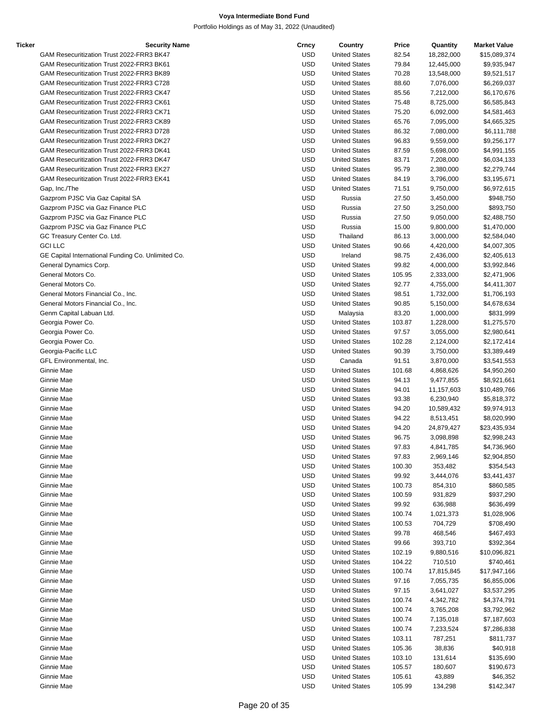| Ticker | <b>Security Name</b>                               | Crncy      | Country              | Price  | Quantity   | <b>Market Value</b> |
|--------|----------------------------------------------------|------------|----------------------|--------|------------|---------------------|
|        | GAM Resecuritization Trust 2022-FRR3 BK47          | <b>USD</b> | <b>United States</b> | 82.54  | 18,282,000 | \$15,089,374        |
|        | GAM Resecuritization Trust 2022-FRR3 BK61          | <b>USD</b> | <b>United States</b> | 79.84  | 12,445,000 | \$9,935,947         |
|        | GAM Resecuritization Trust 2022-FRR3 BK89          | <b>USD</b> | <b>United States</b> | 70.28  | 13,548,000 | \$9,521,517         |
|        | GAM Resecuritization Trust 2022-FRR3 C728          | <b>USD</b> | <b>United States</b> | 88.60  | 7,076,000  | \$6,269,037         |
|        | GAM Resecuritization Trust 2022-FRR3 CK47          | <b>USD</b> | <b>United States</b> | 85.56  | 7,212,000  | \$6,170,676         |
|        | GAM Resecuritization Trust 2022-FRR3 CK61          | <b>USD</b> | <b>United States</b> | 75.48  | 8,725,000  | \$6,585,843         |
|        | GAM Resecuritization Trust 2022-FRR3 CK71          | <b>USD</b> | <b>United States</b> | 75.20  | 6,092,000  | \$4,581,463         |
|        | GAM Resecuritization Trust 2022-FRR3 CK89          | <b>USD</b> |                      |        |            |                     |
|        |                                                    |            | <b>United States</b> | 65.76  | 7,095,000  | \$4,665,325         |
|        | GAM Resecuritization Trust 2022-FRR3 D728          | <b>USD</b> | <b>United States</b> | 86.32  | 7,080,000  | \$6,111,788         |
|        | GAM Resecuritization Trust 2022-FRR3 DK27          | <b>USD</b> | <b>United States</b> | 96.83  | 9,559,000  | \$9,256,177         |
|        | GAM Resecuritization Trust 2022-FRR3 DK41          | <b>USD</b> | <b>United States</b> | 87.59  | 5,698,000  | \$4,991,155         |
|        | GAM Resecuritization Trust 2022-FRR3 DK47          | <b>USD</b> | <b>United States</b> | 83.71  | 7,208,000  | \$6,034,133         |
|        | GAM Resecuritization Trust 2022-FRR3 EK27          | <b>USD</b> | <b>United States</b> | 95.79  | 2,380,000  | \$2,279,744         |
|        | GAM Resecuritization Trust 2022-FRR3 EK41          | <b>USD</b> | <b>United States</b> | 84.19  | 3,796,000  | \$3,195,671         |
|        | Gap, Inc./The                                      | <b>USD</b> | <b>United States</b> | 71.51  | 9,750,000  | \$6,972,615         |
|        | Gazprom PJSC Via Gaz Capital SA                    | <b>USD</b> | Russia               | 27.50  | 3,450,000  | \$948,750           |
|        | Gazprom PJSC via Gaz Finance PLC                   | <b>USD</b> | Russia               | 27.50  | 3,250,000  | \$893,750           |
|        | Gazprom PJSC via Gaz Finance PLC                   | <b>USD</b> | Russia               | 27.50  | 9,050,000  | \$2,488,750         |
|        | Gazprom PJSC via Gaz Finance PLC                   | <b>USD</b> | Russia               | 15.00  | 9,800,000  | \$1,470,000         |
|        | GC Treasury Center Co. Ltd.                        | <b>USD</b> | Thailand             | 86.13  | 3,000,000  | \$2,584,040         |
|        | <b>GCI LLC</b>                                     | <b>USD</b> | <b>United States</b> | 90.66  |            |                     |
|        |                                                    |            |                      |        | 4,420,000  | \$4,007,305         |
|        | GE Capital International Funding Co. Unlimited Co. | <b>USD</b> | Ireland              | 98.75  | 2,436,000  | \$2,405,613         |
|        | General Dynamics Corp.                             | <b>USD</b> | <b>United States</b> | 99.82  | 4,000,000  | \$3,992,846         |
|        | General Motors Co.                                 | <b>USD</b> | <b>United States</b> | 105.95 | 2,333,000  | \$2,471,906         |
|        | General Motors Co.                                 | <b>USD</b> | <b>United States</b> | 92.77  | 4,755,000  | \$4,411,307         |
|        | General Motors Financial Co., Inc.                 | <b>USD</b> | <b>United States</b> | 98.51  | 1,732,000  | \$1,706,193         |
|        | General Motors Financial Co., Inc.                 | <b>USD</b> | <b>United States</b> | 90.85  | 5,150,000  | \$4,678,634         |
|        | Genm Capital Labuan Ltd.                           | <b>USD</b> | Malaysia             | 83.20  | 1,000,000  | \$831,999           |
|        | Georgia Power Co.                                  | <b>USD</b> | <b>United States</b> | 103.87 | 1,228,000  | \$1,275,570         |
|        | Georgia Power Co.                                  | <b>USD</b> | <b>United States</b> | 97.57  | 3,055,000  | \$2,980,641         |
|        | Georgia Power Co.                                  | <b>USD</b> | <b>United States</b> | 102.28 | 2,124,000  | \$2,172,414         |
|        | Georgia-Pacific LLC                                | <b>USD</b> | <b>United States</b> | 90.39  | 3,750,000  | \$3,389,449         |
|        | GFL Environmental, Inc.                            | <b>USD</b> | Canada               | 91.51  | 3,870,000  | \$3,541,553         |
|        | Ginnie Mae                                         | <b>USD</b> | <b>United States</b> |        |            |                     |
|        |                                                    |            |                      | 101.68 | 4,868,626  | \$4,950,260         |
|        | Ginnie Mae                                         | <b>USD</b> | <b>United States</b> | 94.13  | 9,477,855  | \$8,921,661         |
|        | Ginnie Mae                                         | <b>USD</b> | <b>United States</b> | 94.01  | 11,157,603 | \$10,489,766        |
|        | Ginnie Mae                                         | <b>USD</b> | <b>United States</b> | 93.38  | 6,230,940  | \$5,818,372         |
|        | Ginnie Mae                                         | <b>USD</b> | <b>United States</b> | 94.20  | 10,589,432 | \$9,974,913         |
|        | Ginnie Mae                                         | <b>USD</b> | <b>United States</b> | 94.22  | 8,513,451  | \$8,020,990         |
|        | Ginnie Mae                                         | <b>USD</b> | <b>United States</b> | 94.20  | 24,879,427 | \$23,435,934        |
|        | Ginnie Mae                                         | <b>USD</b> | <b>United States</b> | 96.75  | 3,098,898  | \$2,998,243         |
|        | Ginnie Mae                                         | <b>USD</b> | <b>United States</b> | 97.83  | 4,841,785  | \$4,736,960         |
|        | Ginnie Mae                                         | <b>USD</b> | <b>United States</b> | 97.83  | 2,969,146  | \$2,904,850         |
|        | Ginnie Mae                                         | <b>USD</b> | <b>United States</b> | 100.30 | 353,482    | \$354,543           |
|        | Ginnie Mae                                         | <b>USD</b> | <b>United States</b> | 99.92  | 3,444,076  | \$3,441,437         |
|        | Ginnie Mae                                         | <b>USD</b> | <b>United States</b> | 100.73 | 854,310    | \$860,585           |
|        |                                                    |            |                      |        |            |                     |
|        | Ginnie Mae                                         | <b>USD</b> | <b>United States</b> | 100.59 | 931,829    | \$937,290           |
|        | Ginnie Mae                                         | <b>USD</b> | <b>United States</b> | 99.92  | 636,988    | \$636,499           |
|        | Ginnie Mae                                         | <b>USD</b> | <b>United States</b> | 100.74 | 1,021,373  | \$1,028,906         |
|        | Ginnie Mae                                         | <b>USD</b> | <b>United States</b> | 100.53 | 704,729    | \$708,490           |
|        | Ginnie Mae                                         | <b>USD</b> | <b>United States</b> | 99.78  | 468,546    | \$467,493           |
|        | Ginnie Mae                                         | <b>USD</b> | <b>United States</b> | 99.66  | 393,710    | \$392,364           |
|        | Ginnie Mae                                         | <b>USD</b> | <b>United States</b> | 102.19 | 9,880,516  | \$10,096,821        |
|        | Ginnie Mae                                         | <b>USD</b> | <b>United States</b> | 104.22 | 710,510    | \$740,461           |
|        | Ginnie Mae                                         | <b>USD</b> | <b>United States</b> | 100.74 | 17,815,845 | \$17,947,166        |
|        | Ginnie Mae                                         | <b>USD</b> | <b>United States</b> | 97.16  | 7,055,735  | \$6,855,006         |
|        | Ginnie Mae                                         | USD        | <b>United States</b> | 97.15  | 3,641,027  | \$3,537,295         |
|        | Ginnie Mae                                         | <b>USD</b> | <b>United States</b> | 100.74 | 4,342,782  | \$4,374,791         |
|        |                                                    |            |                      |        |            |                     |
|        | Ginnie Mae                                         | <b>USD</b> | <b>United States</b> | 100.74 | 3,765,208  | \$3,792,962         |
|        | Ginnie Mae                                         | <b>USD</b> | <b>United States</b> | 100.74 | 7,135,018  | \$7,187,603         |
|        | Ginnie Mae                                         | <b>USD</b> | <b>United States</b> | 100.74 | 7,233,524  | \$7,286,838         |
|        | Ginnie Mae                                         | <b>USD</b> | <b>United States</b> | 103.11 | 787,251    | \$811,737           |
|        | Ginnie Mae                                         | <b>USD</b> | <b>United States</b> | 105.36 | 38,836     | \$40,918            |
|        | Ginnie Mae                                         | <b>USD</b> | <b>United States</b> | 103.10 | 131,614    | \$135,690           |
|        | Ginnie Mae                                         | USD        | <b>United States</b> | 105.57 | 180,607    | \$190,673           |
|        | Ginnie Mae                                         | <b>USD</b> | <b>United States</b> | 105.61 | 43,889     | \$46,352            |
|        | Ginnie Mae                                         | <b>USD</b> | <b>United States</b> | 105.99 | 134,298    | \$142,347           |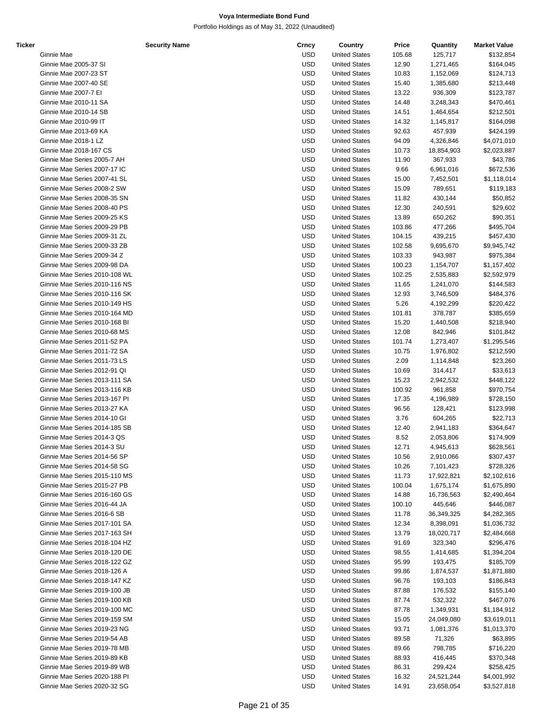| Ticker |                               | <b>Security Name</b> | Crncy      | Country              | Price  | Quantity   | <b>Market Value</b> |
|--------|-------------------------------|----------------------|------------|----------------------|--------|------------|---------------------|
|        | Ginnie Mae                    |                      | <b>USD</b> | <b>United States</b> | 105.68 | 125,717    | \$132,854           |
|        | Ginnie Mae 2005-37 SI         |                      | <b>USD</b> | <b>United States</b> | 12.90  | 1,271,465  | \$164,045           |
|        | Ginnie Mae 2007-23 ST         |                      | <b>USD</b> | <b>United States</b> | 10.83  | 1,152,069  | \$124,713           |
|        | Ginnie Mae 2007-40 SE         |                      | <b>USD</b> | <b>United States</b> | 15.40  | 1,385,680  | \$213,448           |
|        | Ginnie Mae 2007-7 El          |                      | <b>USD</b> | <b>United States</b> | 13.22  | 936,309    |                     |
|        |                               |                      |            |                      |        |            | \$123,787           |
|        | Ginnie Mae 2010-11 SA         |                      | <b>USD</b> | <b>United States</b> | 14.48  | 3,248,343  | \$470,461           |
|        | Ginnie Mae 2010-14 SB         |                      | <b>USD</b> | <b>United States</b> | 14.51  | 1,464,654  | \$212,501           |
|        | Ginnie Mae 2010-99 IT         |                      | <b>USD</b> | <b>United States</b> | 14.32  | 1,145,817  | \$164,098           |
|        | Ginnie Mae 2013-69 KA         |                      | <b>USD</b> | <b>United States</b> | 92.63  | 457,939    | \$424,199           |
|        | Ginnie Mae 2018-1 LZ          |                      | <b>USD</b> | <b>United States</b> | 94.09  | 4,326,846  | \$4,071,010         |
|        | Ginnie Mae 2018-167 CS        |                      | <b>USD</b> | <b>United States</b> | 10.73  | 18,854,903 | \$2,023,887         |
|        | Ginnie Mae Series 2005-7 AH   |                      | <b>USD</b> | <b>United States</b> | 11.90  | 367,933    | \$43,786            |
|        |                               |                      |            |                      |        |            |                     |
|        | Ginnie Mae Series 2007-17 IC  |                      | <b>USD</b> | <b>United States</b> | 9.66   | 6,961,016  | \$672,536           |
|        | Ginnie Mae Series 2007-41 SL  |                      | <b>USD</b> | <b>United States</b> | 15.00  | 7,452,501  | \$1,118,014         |
|        | Ginnie Mae Series 2008-2 SW   |                      | <b>USD</b> | <b>United States</b> | 15.09  | 789,651    | \$119,183           |
|        | Ginnie Mae Series 2008-35 SN  |                      | <b>USD</b> | <b>United States</b> | 11.82  | 430,144    | \$50,852            |
|        | Ginnie Mae Series 2008-40 PS  |                      | <b>USD</b> | <b>United States</b> | 12.30  | 240,591    | \$29,602            |
|        | Ginnie Mae Series 2009-25 KS  |                      | <b>USD</b> | <b>United States</b> | 13.89  | 650,262    | \$90,351            |
|        | Ginnie Mae Series 2009-29 PB  |                      | <b>USD</b> | <b>United States</b> | 103.86 | 477,266    | \$495,704           |
|        | Ginnie Mae Series 2009-31 ZL  |                      |            |                      |        |            |                     |
|        |                               |                      | <b>USD</b> | <b>United States</b> | 104.15 | 439,215    | \$457,430           |
|        | Ginnie Mae Series 2009-33 ZB  |                      | <b>USD</b> | <b>United States</b> | 102.58 | 9,695,670  | \$9,945,742         |
|        | Ginnie Mae Series 2009-34 Z   |                      | <b>USD</b> | <b>United States</b> | 103.33 | 943,987    | \$975,384           |
|        | Ginnie Mae Series 2009-98 DA  |                      | <b>USD</b> | <b>United States</b> | 100.23 | 1,154,707  | \$1,157,402         |
|        | Ginnie Mae Series 2010-108 WL |                      | <b>USD</b> | <b>United States</b> | 102.25 | 2,535,883  | \$2,592,979         |
|        | Ginnie Mae Series 2010-116 NS |                      | <b>USD</b> | <b>United States</b> | 11.65  | 1,241,070  | \$144,583           |
|        | Ginnie Mae Series 2010-116 SK |                      | <b>USD</b> | <b>United States</b> | 12.93  | 3,746,509  | \$484,376           |
|        | Ginnie Mae Series 2010-149 HS |                      |            |                      |        |            |                     |
|        |                               |                      | <b>USD</b> | <b>United States</b> | 5.26   | 4,192,299  | \$220,422           |
|        | Ginnie Mae Series 2010-164 MD |                      | <b>USD</b> | <b>United States</b> | 101.81 | 378,787    | \$385,659           |
|        | Ginnie Mae Series 2010-168 BI |                      | <b>USD</b> | <b>United States</b> | 15.20  | 1,440,508  | \$218,940           |
|        | Ginnie Mae Series 2010-68 MS  |                      | <b>USD</b> | <b>United States</b> | 12.08  | 842,946    | \$101,842           |
|        | Ginnie Mae Series 2011-52 PA  |                      | <b>USD</b> | <b>United States</b> | 101.74 | 1,273,407  | \$1,295,546         |
|        | Ginnie Mae Series 2011-72 SA  |                      | <b>USD</b> | <b>United States</b> | 10.75  | 1,976,802  | \$212,590           |
|        | Ginnie Mae Series 2011-73 LS  |                      | <b>USD</b> | <b>United States</b> | 2.09   | 1,114,848  | \$23,260            |
|        | Ginnie Mae Series 2012-91 QI  |                      | <b>USD</b> | <b>United States</b> | 10.69  |            | \$33,613            |
|        |                               |                      |            |                      |        | 314,417    |                     |
|        | Ginnie Mae Series 2013-111 SA |                      | <b>USD</b> | <b>United States</b> | 15.23  | 2,942,532  | \$448,122           |
|        | Ginnie Mae Series 2013-116 KB |                      | <b>USD</b> | <b>United States</b> | 100.92 | 961,858    | \$970,754           |
|        | Ginnie Mae Series 2013-167 PI |                      | <b>USD</b> | <b>United States</b> | 17.35  | 4,196,989  | \$728,150           |
|        | Ginnie Mae Series 2013-27 KA  |                      | <b>USD</b> | <b>United States</b> | 96.56  | 128,421    | \$123,998           |
|        | Ginnie Mae Series 2014-10 GI  |                      | <b>USD</b> | <b>United States</b> | 3.76   | 604,265    | \$22,713            |
|        | Ginnie Mae Series 2014-185 SB |                      | <b>USD</b> | <b>United States</b> | 12.40  | 2,941,183  | \$364,647           |
|        | Ginnie Mae Series 2014-3 QS   |                      | <b>USD</b> | <b>United States</b> | 8.52   | 2,053,806  | \$174,909           |
|        |                               |                      |            |                      |        |            |                     |
|        | Ginnie Mae Series 2014-3 SU   |                      | <b>USD</b> | <b>United States</b> | 12.71  | 4,945,613  | \$628,561           |
|        | Ginnie Mae Series 2014-56 SP  |                      | USD        | <b>United States</b> | 10.56  | 2,910,066  | \$307,437           |
|        | Ginnie Mae Series 2014-58 SG  |                      | USD        | <b>United States</b> | 10.26  | 7,101,423  | \$728,326           |
|        | Ginnie Mae Series 2015-110 MS |                      | <b>USD</b> | <b>United States</b> | 11.73  | 17,922,821 | \$2,102,616         |
|        | Ginnie Mae Series 2015-27 PB  |                      | <b>USD</b> | <b>United States</b> | 100.04 | 1,675,174  | \$1,675,890         |
|        | Ginnie Mae Series 2016-160 GS |                      | <b>USD</b> | <b>United States</b> | 14.88  | 16,736,563 | \$2,490,464         |
|        | Ginnie Mae Series 2016-44 JA  |                      | USD        | <b>United States</b> | 100.10 | 445,646    | \$446,087           |
|        | Ginnie Mae Series 2016-6 SB   |                      | <b>USD</b> | <b>United States</b> | 11.78  | 36,349,325 | \$4,282,365         |
|        |                               |                      |            |                      |        |            |                     |
|        | Ginnie Mae Series 2017-101 SA |                      | <b>USD</b> | <b>United States</b> | 12.34  | 8,398,091  | \$1,036,732         |
|        | Ginnie Mae Series 2017-163 SH |                      | <b>USD</b> | <b>United States</b> | 13.79  | 18,020,717 | \$2,484,668         |
|        | Ginnie Mae Series 2018-104 HZ |                      | USD        | <b>United States</b> | 91.69  | 323,340    | \$296,476           |
|        | Ginnie Mae Series 2018-120 DE |                      | <b>USD</b> | <b>United States</b> | 98.55  | 1,414,685  | \$1,394,204         |
|        | Ginnie Mae Series 2018-122 GZ |                      | USD        | <b>United States</b> | 95.99  | 193,475    | \$185,709           |
|        | Ginnie Mae Series 2018-126 A  |                      | <b>USD</b> | <b>United States</b> | 99.86  | 1,874,537  | \$1,871,880         |
|        | Ginnie Mae Series 2018-147 KZ |                      | USD        | <b>United States</b> | 96.76  | 193,103    | \$186,843           |
|        |                               |                      |            |                      |        |            |                     |
|        | Ginnie Mae Series 2019-100 JB |                      | <b>USD</b> | <b>United States</b> | 87.88  | 176,532    | \$155,140           |
|        | Ginnie Mae Series 2019-100 KB |                      | <b>USD</b> | <b>United States</b> | 87.74  | 532,322    | \$467,076           |
|        | Ginnie Mae Series 2019-100 MC |                      | <b>USD</b> | <b>United States</b> | 87.78  | 1,349,931  | \$1,184,912         |
|        | Ginnie Mae Series 2019-159 SM |                      | USD        | <b>United States</b> | 15.05  | 24,049,080 | \$3,619,011         |
|        | Ginnie Mae Series 2019-23 NG  |                      | <b>USD</b> | <b>United States</b> | 93.71  | 1,081,376  | \$1,013,370         |
|        | Ginnie Mae Series 2019-54 AB  |                      | USD        | <b>United States</b> | 89.58  | 71,326     | \$63,895            |
|        |                               |                      | <b>USD</b> | <b>United States</b> | 89.66  | 798,785    |                     |
|        | Ginnie Mae Series 2019-78 MB  |                      |            |                      |        |            | \$716,220           |
|        | Ginnie Mae Series 2019-89 KB  |                      | USD        | <b>United States</b> | 88.93  | 416,445    | \$370,348           |
|        | Ginnie Mae Series 2019-89 WB  |                      | <b>USD</b> | <b>United States</b> | 86.31  | 299,424    | \$258,425           |
|        | Ginnie Mae Series 2020-188 PI |                      | <b>USD</b> | <b>United States</b> | 16.32  | 24,521,244 | \$4,001,992         |
|        | Ginnie Mae Series 2020-32 SG  |                      | <b>USD</b> | <b>United States</b> | 14.91  | 23,658,054 | \$3,527,818         |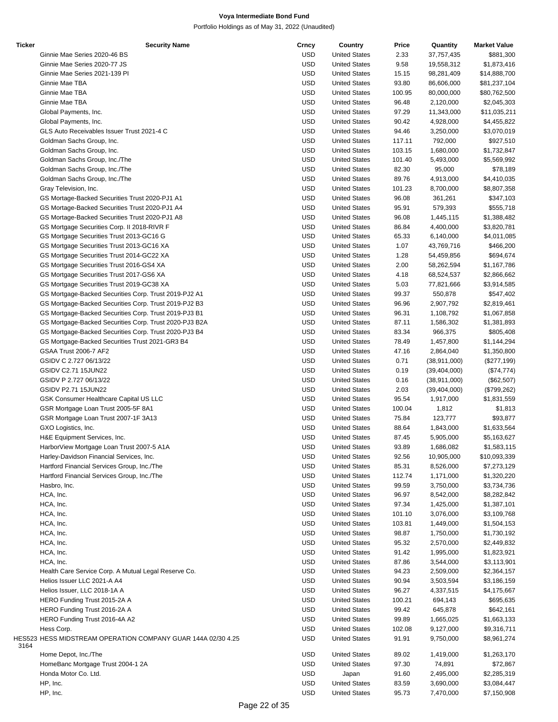| <b>Ticker</b> | <b>Security Name</b>                                         | Crncy      | Country              | Price  | Quantity       | <b>Market Value</b> |
|---------------|--------------------------------------------------------------|------------|----------------------|--------|----------------|---------------------|
|               | Ginnie Mae Series 2020-46 BS                                 | <b>USD</b> | <b>United States</b> | 2.33   | 37,757,435     | \$881,300           |
|               | Ginnie Mae Series 2020-77 JS                                 | <b>USD</b> | <b>United States</b> | 9.58   | 19,558,312     | \$1,873,416         |
|               | Ginnie Mae Series 2021-139 PI                                | <b>USD</b> | <b>United States</b> | 15.15  | 98,281,409     | \$14,888,700        |
|               | Ginnie Mae TBA                                               | <b>USD</b> |                      |        |                |                     |
|               |                                                              |            | <b>United States</b> | 93.80  | 86,606,000     | \$81,237,104        |
|               | Ginnie Mae TBA                                               | <b>USD</b> | <b>United States</b> | 100.95 | 80,000,000     | \$80,762,500        |
|               | Ginnie Mae TBA                                               | <b>USD</b> | <b>United States</b> | 96.48  | 2,120,000      | \$2,045,303         |
|               | Global Payments, Inc.                                        | <b>USD</b> | <b>United States</b> | 97.29  | 11,343,000     | \$11,035,211        |
|               | Global Payments, Inc.                                        | <b>USD</b> | <b>United States</b> | 90.42  | 4,928,000      | \$4,455,822         |
|               | GLS Auto Receivables Issuer Trust 2021-4 C                   | <b>USD</b> | <b>United States</b> | 94.46  | 3,250,000      | \$3,070,019         |
|               | Goldman Sachs Group, Inc.                                    | <b>USD</b> | <b>United States</b> | 117.11 | 792,000        | \$927,510           |
|               |                                                              |            |                      |        |                |                     |
|               | Goldman Sachs Group, Inc.                                    | <b>USD</b> | <b>United States</b> | 103.15 | 1,680,000      | \$1,732,847         |
|               | Goldman Sachs Group, Inc./The                                | <b>USD</b> | <b>United States</b> | 101.40 | 5,493,000      | \$5,569,992         |
|               | Goldman Sachs Group, Inc./The                                | <b>USD</b> | <b>United States</b> | 82.30  | 95,000         | \$78,189            |
|               | Goldman Sachs Group, Inc./The                                | <b>USD</b> | <b>United States</b> | 89.76  | 4,913,000      | \$4,410,035         |
|               | Gray Television, Inc.                                        | <b>USD</b> | <b>United States</b> | 101.23 | 8,700,000      | \$8,807,358         |
|               | GS Mortage-Backed Securities Trust 2020-PJ1 A1               | <b>USD</b> | <b>United States</b> | 96.08  |                | \$347,103           |
|               |                                                              |            |                      |        | 361,261        |                     |
|               | GS Mortage-Backed Securities Trust 2020-PJ1 A4               | <b>USD</b> | <b>United States</b> | 95.91  | 579,393        | \$555,718           |
|               | GS Mortage-Backed Securities Trust 2020-PJ1 A8               | <b>USD</b> | <b>United States</b> | 96.08  | 1,445,115      | \$1,388,482         |
|               | GS Mortgage Securities Corp. II 2018-RIVR F                  | <b>USD</b> | <b>United States</b> | 86.84  | 4,400,000      | \$3,820,781         |
|               | GS Mortgage Securities Trust 2013-GC16 G                     | <b>USD</b> | <b>United States</b> | 65.33  | 6,140,000      | \$4,011,085         |
|               | GS Mortgage Securities Trust 2013-GC16 XA                    | <b>USD</b> | <b>United States</b> | 1.07   | 43,769,716     | \$466,200           |
|               |                                                              |            |                      |        |                |                     |
|               | GS Mortgage Securities Trust 2014-GC22 XA                    | <b>USD</b> | <b>United States</b> | 1.28   | 54,459,856     | \$694,674           |
|               | GS Mortgage Securities Trust 2016-GS4 XA                     | <b>USD</b> | <b>United States</b> | 2.00   | 58,262,594     | \$1,167,786         |
|               | GS Mortgage Securities Trust 2017-GS6 XA                     | <b>USD</b> | <b>United States</b> | 4.18   | 68,524,537     | \$2,866,662         |
|               | GS Mortgage Securities Trust 2019-GC38 XA                    | <b>USD</b> | <b>United States</b> | 5.03   | 77,821,666     | \$3,914,585         |
|               | GS Mortgage-Backed Securities Corp. Trust 2019-PJ2 A1        | <b>USD</b> | <b>United States</b> | 99.37  | 550,878        | \$547,402           |
|               |                                                              |            |                      |        |                |                     |
|               | GS Mortgage-Backed Securities Corp. Trust 2019-PJ2 B3        | <b>USD</b> | <b>United States</b> | 96.96  | 2,907,792      | \$2,819,461         |
|               | GS Mortgage-Backed Securities Corp. Trust 2019-PJ3 B1        | <b>USD</b> | <b>United States</b> | 96.31  | 1,108,792      | \$1,067,858         |
|               | GS Mortgage-Backed Securities Corp. Trust 2020-PJ3 B2A       | <b>USD</b> | <b>United States</b> | 87.11  | 1,586,302      | \$1,381,893         |
|               | GS Mortgage-Backed Securities Corp. Trust 2020-PJ3 B4        | <b>USD</b> | <b>United States</b> | 83.34  | 966,375        | \$805,408           |
|               | GS Mortgage-Backed Securities Trust 2021-GR3 B4              | <b>USD</b> | <b>United States</b> | 78.49  | 1,457,800      | \$1,144,294         |
|               | GSAA Trust 2006-7 AF2                                        | <b>USD</b> | <b>United States</b> | 47.16  | 2,864,040      | \$1,350,800         |
|               |                                                              |            |                      |        |                |                     |
|               | GSIDV C 2.727 06/13/22                                       | <b>USD</b> | <b>United States</b> | 0.71   | (38, 911, 000) | (\$277,199)         |
|               | GSIDV C2.71 15JUN22                                          | <b>USD</b> | <b>United States</b> | 0.19   | (39, 404, 000) | (\$74,774)          |
|               | GSIDV P 2.727 06/13/22                                       | <b>USD</b> | <b>United States</b> | 0.16   | (38, 911, 000) | (\$62,507)          |
|               | GSIDV P2.71 15JUN22                                          | <b>USD</b> | <b>United States</b> | 2.03   | (39, 404, 000) | (\$799,262)         |
|               | GSK Consumer Healthcare Capital US LLC                       | <b>USD</b> | <b>United States</b> | 95.54  | 1,917,000      | \$1,831,559         |
|               |                                                              | <b>USD</b> | <b>United States</b> | 100.04 |                |                     |
|               | GSR Mortgage Loan Trust 2005-5F 8A1                          |            |                      |        | 1,812          | \$1,813             |
|               | GSR Mortgage Loan Trust 2007-1F 3A13                         | <b>USD</b> | <b>United States</b> | 75.84  | 123,777        | \$93,877            |
|               | GXO Logistics, Inc.                                          | <b>USD</b> | <b>United States</b> | 88.64  | 1,843,000      | \$1,633,564         |
|               | H&E Equipment Services, Inc.                                 | <b>USD</b> | <b>United States</b> | 87.45  | 5,905,000      | \$5,163,627         |
|               | HarborView Mortgage Loan Trust 2007-5 A1A                    | <b>USD</b> | <b>United States</b> | 93.89  | 1,686,082      | \$1,583,115         |
|               | Harley-Davidson Financial Services, Inc.                     | <b>USD</b> | <b>United States</b> | 92.56  | 10,905,000     | \$10,093,339        |
|               |                                                              | <b>USD</b> | <b>United States</b> |        |                |                     |
|               | Hartford Financial Services Group, Inc./The                  |            |                      | 85.31  | 8,526,000      | \$7,273,129         |
|               | Hartford Financial Services Group, Inc./The                  | <b>USD</b> | <b>United States</b> | 112.74 | 1,171,000      | \$1,320,220         |
|               | Hasbro, Inc.                                                 | <b>USD</b> | <b>United States</b> | 99.59  | 3,750,000      | \$3,734,736         |
|               | HCA, Inc.                                                    | <b>USD</b> | <b>United States</b> | 96.97  | 8,542,000      | \$8,282,842         |
|               | HCA, Inc.                                                    | <b>USD</b> | <b>United States</b> | 97.34  | 1,425,000      | \$1,387,101         |
|               | HCA, Inc.                                                    | <b>USD</b> | <b>United States</b> | 101.10 | 3,076,000      | \$3,109,768         |
|               |                                                              |            |                      |        |                |                     |
|               | HCA, Inc.                                                    | <b>USD</b> | <b>United States</b> | 103.81 | 1,449,000      | \$1,504,153         |
|               | HCA, Inc.                                                    | <b>USD</b> | <b>United States</b> | 98.87  | 1,750,000      | \$1,730,192         |
|               | HCA, Inc.                                                    | <b>USD</b> | <b>United States</b> | 95.32  | 2,570,000      | \$2,449,832         |
|               | HCA, Inc.                                                    | <b>USD</b> | <b>United States</b> | 91.42  | 1,995,000      | \$1,823,921         |
|               | HCA, Inc.                                                    | <b>USD</b> | <b>United States</b> | 87.86  | 3,544,000      | \$3,113,901         |
|               | Health Care Service Corp. A Mutual Legal Reserve Co.         | <b>USD</b> | <b>United States</b> | 94.23  | 2,509,000      | \$2,364,157         |
|               |                                                              |            |                      |        |                |                     |
|               | Helios Issuer LLC 2021-A A4                                  | <b>USD</b> | <b>United States</b> | 90.94  | 3,503,594      | \$3,186,159         |
|               | Helios Issuer, LLC 2018-1A A                                 | <b>USD</b> | <b>United States</b> | 96.27  | 4,337,515      | \$4,175,667         |
|               | HERO Funding Trust 2015-2A A                                 | <b>USD</b> | <b>United States</b> | 100.21 | 694,143        | \$695,635           |
|               | HERO Funding Trust 2016-2A A                                 | <b>USD</b> | <b>United States</b> | 99.42  | 645,878        | \$642,161           |
|               | HERO Funding Trust 2016-4A A2                                | <b>USD</b> | <b>United States</b> | 99.89  | 1,665,025      | \$1,663,133         |
|               |                                                              |            |                      |        |                |                     |
|               | Hess Corp.                                                   | <b>USD</b> | <b>United States</b> | 102.08 | 9,127,000      | \$9,316,711         |
| 3164          | HES523 HESS MIDSTREAM OPERATION COMPANY GUAR 144A 02/30 4.25 | <b>USD</b> | <b>United States</b> | 91.91  | 9,750,000      | \$8,961,274         |
|               | Home Depot, Inc./The                                         | <b>USD</b> | <b>United States</b> | 89.02  | 1,419,000      | \$1,263,170         |
|               | HomeBanc Mortgage Trust 2004-1 2A                            | <b>USD</b> | <b>United States</b> | 97.30  | 74,891         | \$72,867            |
|               | Honda Motor Co. Ltd.                                         | <b>USD</b> | Japan                | 91.60  | 2,495,000      | \$2,285,319         |
|               | HP, Inc.                                                     | <b>USD</b> | <b>United States</b> | 83.59  | 3,690,000      | \$3,084,447         |
|               | HP, Inc.                                                     | USD        | <b>United States</b> | 95.73  | 7,470,000      | \$7,150,908         |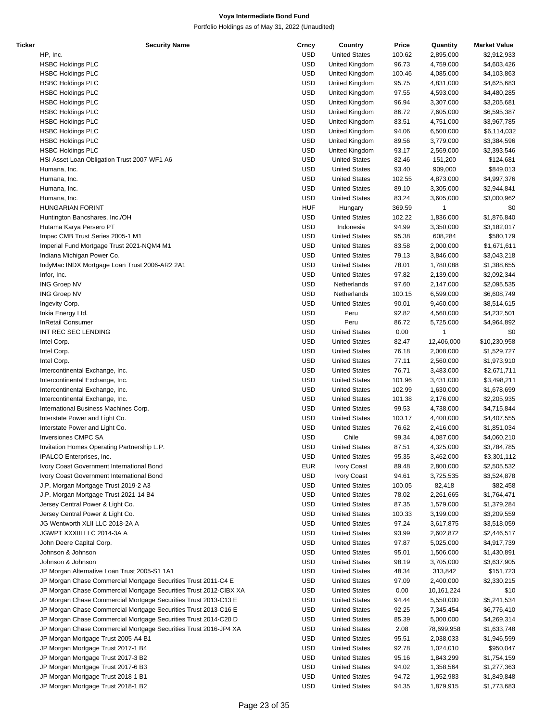| Ticker | <b>Security Name</b>                                              | Crncy      | Country              | Price  | Quantity   | <b>Market Value</b> |
|--------|-------------------------------------------------------------------|------------|----------------------|--------|------------|---------------------|
|        | HP, Inc.                                                          | <b>USD</b> | <b>United States</b> | 100.62 | 2,895,000  | \$2,912,933         |
|        | <b>HSBC Holdings PLC</b>                                          | <b>USD</b> | United Kingdom       | 96.73  | 4,759,000  | \$4,603,426         |
|        | <b>HSBC Holdings PLC</b>                                          | <b>USD</b> | United Kingdom       | 100.46 | 4,085,000  | \$4,103,863         |
|        | <b>HSBC Holdings PLC</b>                                          | <b>USD</b> | United Kingdom       | 95.75  | 4,831,000  | \$4,625,683         |
|        | <b>HSBC Holdings PLC</b>                                          | <b>USD</b> | United Kingdom       | 97.55  | 4,593,000  | \$4,480,285         |
|        |                                                                   |            |                      |        |            |                     |
|        | <b>HSBC Holdings PLC</b>                                          | <b>USD</b> | United Kingdom       | 96.94  | 3,307,000  | \$3,205,681         |
|        | <b>HSBC Holdings PLC</b>                                          | <b>USD</b> | United Kingdom       | 86.72  | 7,605,000  | \$6,595,387         |
|        | <b>HSBC Holdings PLC</b>                                          | <b>USD</b> | United Kingdom       | 83.51  | 4,751,000  | \$3,967,785         |
|        | <b>HSBC Holdings PLC</b>                                          | <b>USD</b> | United Kingdom       | 94.06  | 6,500,000  | \$6,114,032         |
|        | <b>HSBC Holdings PLC</b>                                          | <b>USD</b> | United Kingdom       | 89.56  | 3,779,000  | \$3,384,596         |
|        | <b>HSBC Holdings PLC</b>                                          | <b>USD</b> | United Kingdom       | 93.17  | 2,569,000  | \$2,393,546         |
|        | HSI Asset Loan Obligation Trust 2007-WF1 A6                       | <b>USD</b> | <b>United States</b> | 82.46  | 151,200    | \$124,681           |
|        | Humana, Inc.                                                      | <b>USD</b> | <b>United States</b> | 93.40  | 909,000    | \$849,013           |
|        | Humana, Inc.                                                      | <b>USD</b> | <b>United States</b> | 102.55 | 4,873,000  | \$4,997,376         |
|        | Humana, Inc.                                                      | <b>USD</b> | <b>United States</b> | 89.10  | 3,305,000  | \$2,944,841         |
|        | Humana, Inc.                                                      | <b>USD</b> | <b>United States</b> | 83.24  | 3,605,000  | \$3,000,962         |
|        | <b>HUNGARIAN FORINT</b>                                           | <b>HUF</b> | Hungary              | 369.59 | 1          | \$0                 |
|        | Huntington Bancshares, Inc./OH                                    | <b>USD</b> | <b>United States</b> | 102.22 | 1,836,000  | \$1,876,840         |
|        | Hutama Karya Persero PT                                           | <b>USD</b> | Indonesia            | 94.99  | 3,350,000  | \$3,182,017         |
|        | Impac CMB Trust Series 2005-1 M1                                  | <b>USD</b> |                      |        |            |                     |
|        |                                                                   |            | <b>United States</b> | 95.38  | 608,284    | \$580,179           |
|        | Imperial Fund Mortgage Trust 2021-NQM4 M1                         | <b>USD</b> | <b>United States</b> | 83.58  | 2,000,000  | \$1,671,611         |
|        | Indiana Michigan Power Co.                                        | <b>USD</b> | <b>United States</b> | 79.13  | 3,846,000  | \$3,043,218         |
|        | IndyMac INDX Mortgage Loan Trust 2006-AR2 2A1                     | <b>USD</b> | <b>United States</b> | 78.01  | 1,780,088  | \$1,388,655         |
|        | Infor, Inc.                                                       | <b>USD</b> | <b>United States</b> | 97.82  | 2,139,000  | \$2,092,344         |
|        | <b>ING Groep NV</b>                                               | <b>USD</b> | Netherlands          | 97.60  | 2,147,000  | \$2,095,535         |
|        | <b>ING Groep NV</b>                                               | <b>USD</b> | Netherlands          | 100.15 | 6,599,000  | \$6,608,749         |
|        | Ingevity Corp.                                                    | <b>USD</b> | <b>United States</b> | 90.01  | 9,460,000  | \$8,514,615         |
|        | Inkia Energy Ltd.                                                 | <b>USD</b> | Peru                 | 92.82  | 4,560,000  | \$4,232,501         |
|        | <b>InRetail Consumer</b>                                          | <b>USD</b> | Peru                 | 86.72  | 5,725,000  | \$4,964,892         |
|        | INT REC SEC LENDING                                               | <b>USD</b> | <b>United States</b> | 0.00   | 1          | \$0                 |
|        | Intel Corp.                                                       | <b>USD</b> | <b>United States</b> | 82.47  | 12,406,000 | \$10,230,958        |
|        | Intel Corp.                                                       | <b>USD</b> | <b>United States</b> | 76.18  | 2,008,000  | \$1,529,727         |
|        | Intel Corp.                                                       | <b>USD</b> | <b>United States</b> | 77.11  | 2,560,000  | \$1,973,910         |
|        |                                                                   |            |                      |        |            |                     |
|        | Intercontinental Exchange, Inc.                                   | <b>USD</b> | <b>United States</b> | 76.71  | 3,483,000  | \$2,671,711         |
|        | Intercontinental Exchange, Inc.                                   | <b>USD</b> | <b>United States</b> | 101.96 | 3,431,000  | \$3,498,211         |
|        | Intercontinental Exchange, Inc.                                   | <b>USD</b> | <b>United States</b> | 102.99 | 1,630,000  | \$1,678,699         |
|        | Intercontinental Exchange, Inc.                                   | <b>USD</b> | <b>United States</b> | 101.38 | 2,176,000  | \$2,205,935         |
|        | International Business Machines Corp.                             | <b>USD</b> | <b>United States</b> | 99.53  | 4,738,000  | \$4,715,844         |
|        | Interstate Power and Light Co.                                    | <b>USD</b> | <b>United States</b> | 100.17 | 4,400,000  | \$4,407,555         |
|        | Interstate Power and Light Co.                                    | <b>USD</b> | <b>United States</b> | 76.62  | 2,416,000  | \$1,851,034         |
|        | Inversiones CMPC SA                                               | <b>USD</b> | Chile                | 99.34  | 4,087,000  | \$4,060,210         |
|        | Invitation Homes Operating Partnership L.P.                       | <b>USD</b> | <b>United States</b> | 87.51  | 4,325,000  | \$3,784,785         |
|        | IPALCO Enterprises, Inc.                                          | <b>USD</b> | <b>United States</b> | 95.35  | 3,462,000  | \$3,301,112         |
|        | Ivory Coast Government International Bond                         | <b>EUR</b> | Ivory Coast          | 89.48  | 2,800,000  | \$2,505,532         |
|        | Ivory Coast Government International Bond                         | <b>USD</b> | Ivory Coast          | 94.61  | 3,725,535  | \$3,524,878         |
|        | J.P. Morgan Mortgage Trust 2019-2 A3                              | <b>USD</b> | <b>United States</b> | 100.05 | 82,418     | \$82,458            |
|        | J.P. Morgan Mortgage Trust 2021-14 B4                             | <b>USD</b> | <b>United States</b> | 78.02  | 2,261,665  | \$1,764,471         |
|        | Jersey Central Power & Light Co.                                  | <b>USD</b> | <b>United States</b> | 87.35  | 1,579,000  | \$1,379,284         |
|        |                                                                   |            |                      |        |            |                     |
|        | Jersey Central Power & Light Co.                                  | <b>USD</b> | <b>United States</b> | 100.33 | 3,199,000  | \$3,209,559         |
|        | JG Wentworth XLII LLC 2018-2A A                                   | <b>USD</b> | <b>United States</b> | 97.24  | 3,617,875  | \$3,518,059         |
|        | JGWPT XXXIII LLC 2014-3A A                                        | <b>USD</b> | <b>United States</b> | 93.99  | 2,602,872  | \$2,446,517         |
|        | John Deere Capital Corp.                                          | <b>USD</b> | <b>United States</b> | 97.87  | 5,025,000  | \$4,917,739         |
|        | Johnson & Johnson                                                 | <b>USD</b> | <b>United States</b> | 95.01  | 1,506,000  | \$1,430,891         |
|        | Johnson & Johnson                                                 | <b>USD</b> | <b>United States</b> | 98.19  | 3,705,000  | \$3,637,905         |
|        | JP Morgan Alternative Loan Trust 2005-S1 1A1                      | <b>USD</b> | <b>United States</b> | 48.34  | 313,842    | \$151,723           |
|        | JP Morgan Chase Commercial Mortgage Securities Trust 2011-C4 E    | <b>USD</b> | <b>United States</b> | 97.09  | 2,400,000  | \$2,330,215         |
|        | JP Morgan Chase Commercial Mortgage Securities Trust 2012-CIBX XA | <b>USD</b> | <b>United States</b> | 0.00   | 10,161,224 | \$10                |
|        | JP Morgan Chase Commercial Mortgage Securities Trust 2013-C13 E   | <b>USD</b> | <b>United States</b> | 94.44  | 5,550,000  | \$5,241,534         |
|        | JP Morgan Chase Commercial Mortgage Securities Trust 2013-C16 E   | <b>USD</b> | <b>United States</b> | 92.25  | 7,345,454  | \$6,776,410         |
|        | JP Morgan Chase Commercial Mortgage Securities Trust 2014-C20 D   | <b>USD</b> | <b>United States</b> | 85.39  | 5,000,000  | \$4,269,314         |
|        | JP Morgan Chase Commercial Mortgage Securities Trust 2016-JP4 XA  | <b>USD</b> | <b>United States</b> | 2.08   | 78,699,958 | \$1,633,748         |
|        | JP Morgan Mortgage Trust 2005-A4 B1                               | <b>USD</b> | <b>United States</b> | 95.51  | 2,038,033  | \$1,946,599         |
|        |                                                                   |            |                      |        |            |                     |
|        | JP Morgan Mortgage Trust 2017-1 B4                                | <b>USD</b> | <b>United States</b> | 92.78  | 1,024,010  | \$950,047           |
|        | JP Morgan Mortgage Trust 2017-3 B2                                | <b>USD</b> | <b>United States</b> | 95.16  | 1,843,299  | \$1,754,159         |
|        | JP Morgan Mortgage Trust 2017-6 B3                                | <b>USD</b> | <b>United States</b> | 94.02  | 1,358,564  | \$1,277,363         |
|        | JP Morgan Mortgage Trust 2018-1 B1                                | <b>USD</b> | <b>United States</b> | 94.72  | 1,952,983  | \$1,849,848         |
|        | JP Morgan Mortgage Trust 2018-1 B2                                | <b>USD</b> | <b>United States</b> | 94.35  | 1,879,915  | \$1,773,683         |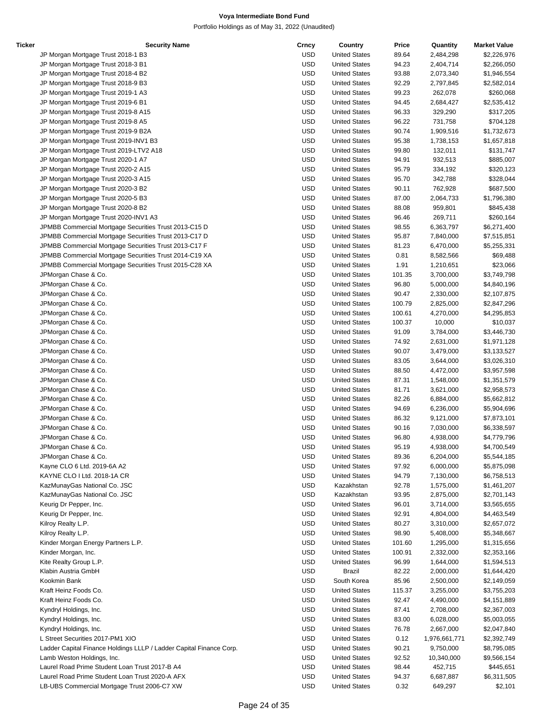| Ticker | <b>Security Name</b>                                                | Crncy      | Country              | Price  | Quantity      | <b>Market Value</b> |
|--------|---------------------------------------------------------------------|------------|----------------------|--------|---------------|---------------------|
|        | JP Morgan Mortgage Trust 2018-1 B3                                  | <b>USD</b> | <b>United States</b> | 89.64  | 2,484,298     | \$2,226,976         |
|        | JP Morgan Mortgage Trust 2018-3 B1                                  | <b>USD</b> | <b>United States</b> | 94.23  | 2,404,714     | \$2,266,050         |
|        | JP Morgan Mortgage Trust 2018-4 B2                                  | <b>USD</b> | <b>United States</b> | 93.88  | 2,073,340     | \$1,946,554         |
|        | JP Morgan Mortgage Trust 2018-9 B3                                  | <b>USD</b> | <b>United States</b> | 92.29  | 2,797,845     | \$2,582,014         |
|        | JP Morgan Mortgage Trust 2019-1 A3                                  | <b>USD</b> | <b>United States</b> | 99.23  | 262,078       | \$260,068           |
|        | JP Morgan Mortgage Trust 2019-6 B1                                  | <b>USD</b> | <b>United States</b> | 94.45  | 2,684,427     | \$2,535,412         |
|        | JP Morgan Mortgage Trust 2019-8 A15                                 | <b>USD</b> | <b>United States</b> | 96.33  | 329,290       | \$317,205           |
|        | JP Morgan Mortgage Trust 2019-8 A5                                  | <b>USD</b> | <b>United States</b> | 96.22  | 731,758       | \$704,128           |
|        | JP Morgan Mortgage Trust 2019-9 B2A                                 | <b>USD</b> | <b>United States</b> | 90.74  | 1,909,516     | \$1,732,673         |
|        | JP Morgan Mortgage Trust 2019-INV1 B3                               | <b>USD</b> | <b>United States</b> | 95.38  | 1,738,153     | \$1,657,818         |
|        |                                                                     | <b>USD</b> | <b>United States</b> | 99.80  | 132,011       |                     |
|        | JP Morgan Mortgage Trust 2019-LTV2 A18                              |            |                      |        |               | \$131,747           |
|        | JP Morgan Mortgage Trust 2020-1 A7                                  | <b>USD</b> | <b>United States</b> | 94.91  | 932,513       | \$885,007           |
|        | JP Morgan Mortgage Trust 2020-2 A15                                 | <b>USD</b> | <b>United States</b> | 95.79  | 334,192       | \$320,123           |
|        | JP Morgan Mortgage Trust 2020-3 A15                                 | <b>USD</b> | <b>United States</b> | 95.70  | 342,788       | \$328,044           |
|        | JP Morgan Mortgage Trust 2020-3 B2                                  | <b>USD</b> | <b>United States</b> | 90.11  | 762,928       | \$687,500           |
|        | JP Morgan Mortgage Trust 2020-5 B3                                  | <b>USD</b> | <b>United States</b> | 87.00  | 2,064,733     | \$1,796,380         |
|        | JP Morgan Mortgage Trust 2020-8 B2                                  | <b>USD</b> | <b>United States</b> | 88.08  | 959,801       | \$845,438           |
|        | JP Morgan Mortgage Trust 2020-INV1 A3                               | <b>USD</b> | <b>United States</b> | 96.46  | 269,711       | \$260,164           |
|        | JPMBB Commercial Mortgage Securities Trust 2013-C15 D               | <b>USD</b> | <b>United States</b> | 98.55  | 6,363,797     | \$6,271,400         |
|        | JPMBB Commercial Mortgage Securities Trust 2013-C17 D               | <b>USD</b> | <b>United States</b> | 95.87  | 7,840,000     | \$7,515,851         |
|        | JPMBB Commercial Mortgage Securities Trust 2013-C17 F               | <b>USD</b> | <b>United States</b> | 81.23  | 6,470,000     | \$5,255,331         |
|        | JPMBB Commercial Mortgage Securities Trust 2014-C19 XA              | <b>USD</b> | <b>United States</b> | 0.81   | 8,582,566     | \$69,488            |
|        | JPMBB Commercial Mortgage Securities Trust 2015-C28 XA              | <b>USD</b> | <b>United States</b> | 1.91   | 1,210,651     | \$23,066            |
|        | JPMorgan Chase & Co.                                                | <b>USD</b> | <b>United States</b> | 101.35 | 3,700,000     | \$3,749,798         |
|        |                                                                     | <b>USD</b> |                      |        |               |                     |
|        | JPMorgan Chase & Co.                                                |            | <b>United States</b> | 96.80  | 5,000,000     | \$4,840,196         |
|        | JPMorgan Chase & Co.                                                | <b>USD</b> | <b>United States</b> | 90.47  | 2,330,000     | \$2,107,875         |
|        | JPMorgan Chase & Co.                                                | <b>USD</b> | <b>United States</b> | 100.79 | 2,825,000     | \$2,847,296         |
|        | JPMorgan Chase & Co.                                                | <b>USD</b> | <b>United States</b> | 100.61 | 4,270,000     | \$4,295,853         |
|        | JPMorgan Chase & Co.                                                | <b>USD</b> | <b>United States</b> | 100.37 | 10,000        | \$10,037            |
|        | JPMorgan Chase & Co.                                                | <b>USD</b> | <b>United States</b> | 91.09  | 3,784,000     | \$3,446,730         |
|        | JPMorgan Chase & Co.                                                | <b>USD</b> | <b>United States</b> | 74.92  | 2,631,000     | \$1,971,128         |
|        | JPMorgan Chase & Co.                                                | <b>USD</b> | <b>United States</b> | 90.07  | 3,479,000     | \$3,133,527         |
|        | JPMorgan Chase & Co.                                                | <b>USD</b> | <b>United States</b> | 83.05  | 3,644,000     | \$3,026,310         |
|        | JPMorgan Chase & Co.                                                | <b>USD</b> | <b>United States</b> | 88.50  | 4,472,000     | \$3,957,598         |
|        | JPMorgan Chase & Co.                                                | <b>USD</b> | <b>United States</b> | 87.31  | 1,548,000     | \$1,351,579         |
|        | JPMorgan Chase & Co.                                                | <b>USD</b> | <b>United States</b> | 81.71  | 3,621,000     | \$2,958,573         |
|        | JPMorgan Chase & Co.                                                | <b>USD</b> | <b>United States</b> | 82.26  | 6,884,000     | \$5,662,812         |
|        | JPMorgan Chase & Co.                                                | <b>USD</b> | <b>United States</b> | 94.69  | 6,236,000     | \$5,904,696         |
|        |                                                                     | <b>USD</b> | <b>United States</b> | 86.32  |               |                     |
|        | JPMorgan Chase & Co.                                                |            |                      |        | 9,121,000     | \$7,873,101         |
|        | JPMorgan Chase & Co.                                                | <b>USD</b> | <b>United States</b> | 90.16  | 7,030,000     | \$6,338,597         |
|        | JPMorgan Chase & Co.                                                | <b>USD</b> | <b>United States</b> | 96.80  | 4,938,000     | \$4,779,796         |
|        | JPMorgan Chase & Co.                                                | <b>USD</b> | <b>United States</b> | 95.19  | 4,938,000     | \$4,700,549         |
|        | JPMorgan Chase & Co.                                                | <b>USD</b> | <b>United States</b> | 89.36  | 6,204,000     | \$5,544,185         |
|        | Kayne CLO 6 Ltd. 2019-6A A2                                         | <b>USD</b> | <b>United States</b> | 97.92  | 6,000,000     | \$5,875,098         |
|        | KAYNE CLO I Ltd. 2018-1A CR                                         | <b>USD</b> | <b>United States</b> | 94.79  | 7,130,000     | \$6,758,513         |
|        | KazMunayGas National Co. JSC                                        | <b>USD</b> | Kazakhstan           | 92.78  | 1,575,000     | \$1,461,207         |
|        | KazMunayGas National Co. JSC                                        | <b>USD</b> | Kazakhstan           | 93.95  | 2,875,000     | \$2,701,143         |
|        | Keurig Dr Pepper, Inc.                                              | <b>USD</b> | <b>United States</b> | 96.01  | 3,714,000     | \$3,565,655         |
|        | Keurig Dr Pepper, Inc.                                              | <b>USD</b> | <b>United States</b> | 92.91  | 4,804,000     | \$4,463,549         |
|        | Kilroy Realty L.P.                                                  | <b>USD</b> | <b>United States</b> | 80.27  | 3,310,000     | \$2,657,072         |
|        | Kilroy Realty L.P.                                                  | <b>USD</b> | <b>United States</b> | 98.90  | 5,408,000     | \$5,348,667         |
|        |                                                                     | <b>USD</b> | <b>United States</b> |        |               |                     |
|        | Kinder Morgan Energy Partners L.P.                                  |            |                      | 101.60 | 1,295,000     | \$1,315,656         |
|        | Kinder Morgan, Inc.                                                 | <b>USD</b> | <b>United States</b> | 100.91 | 2,332,000     | \$2,353,166         |
|        | Kite Realty Group L.P.                                              | <b>USD</b> | <b>United States</b> | 96.99  | 1,644,000     | \$1,594,513         |
|        | Klabin Austria GmbH                                                 | <b>USD</b> | Brazil               | 82.22  | 2,000,000     | \$1,644,420         |
|        | Kookmin Bank                                                        | <b>USD</b> | South Korea          | 85.96  | 2,500,000     | \$2,149,059         |
|        | Kraft Heinz Foods Co.                                               | <b>USD</b> | <b>United States</b> | 115.37 | 3,255,000     | \$3,755,203         |
|        | Kraft Heinz Foods Co.                                               | <b>USD</b> | <b>United States</b> | 92.47  | 4,490,000     | \$4,151,889         |
|        | Kyndryl Holdings, Inc.                                              | <b>USD</b> | <b>United States</b> | 87.41  | 2,708,000     | \$2,367,003         |
|        | Kyndryl Holdings, Inc.                                              | <b>USD</b> | <b>United States</b> | 83.00  | 6,028,000     | \$5,003,055         |
|        | Kyndryl Holdings, Inc.                                              | <b>USD</b> | <b>United States</b> | 76.78  | 2,667,000     | \$2,047,840         |
|        | L Street Securities 2017-PM1 XIO                                    | <b>USD</b> | <b>United States</b> | 0.12   | 1,976,661,771 | \$2,392,749         |
|        | Ladder Capital Finance Holdings LLLP / Ladder Capital Finance Corp. | <b>USD</b> | <b>United States</b> | 90.21  | 9,750,000     | \$8,795,085         |
|        | Lamb Weston Holdings, Inc.                                          | <b>USD</b> | <b>United States</b> | 92.52  | 10,340,000    | \$9,566,154         |
|        | Laurel Road Prime Student Loan Trust 2017-B A4                      | <b>USD</b> | <b>United States</b> | 98.44  |               |                     |
|        |                                                                     |            |                      |        | 452,715       | \$445,651           |
|        | Laurel Road Prime Student Loan Trust 2020-A AFX                     | <b>USD</b> | <b>United States</b> | 94.37  | 6,687,887     | \$6,311,505         |
|        | LB-UBS Commercial Mortgage Trust 2006-C7 XW                         | <b>USD</b> | <b>United States</b> | 0.32   | 649,297       | \$2,101             |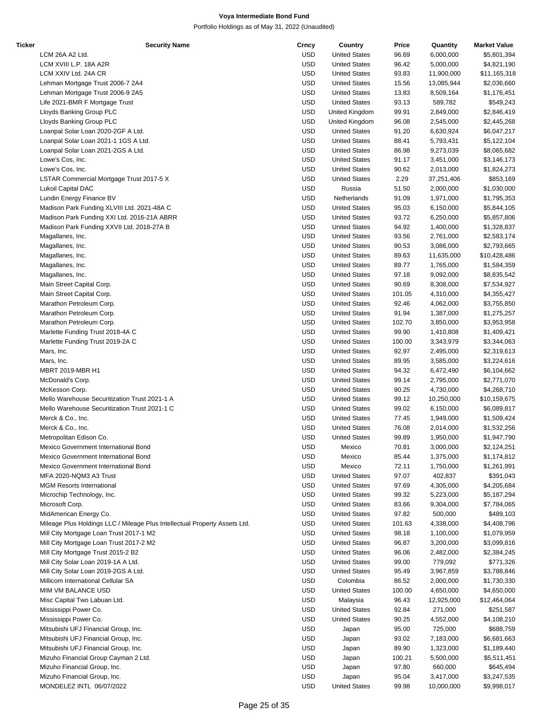| Ticker | <b>Security Name</b>                                                       | Crncy      | Country              | Price  | Quantity   | <b>Market Value</b> |
|--------|----------------------------------------------------------------------------|------------|----------------------|--------|------------|---------------------|
|        | LCM 26A A2 Ltd.                                                            | <b>USD</b> | <b>United States</b> | 96.69  | 6,000,000  | \$5,801,394         |
|        | LCM XVIII L.P. 18A A2R                                                     | <b>USD</b> | <b>United States</b> | 96.42  | 5,000,000  | \$4,821,190         |
|        | LCM XXIV Ltd. 24A CR                                                       | <b>USD</b> | <b>United States</b> | 93.83  | 11,900,000 | \$11,165,318        |
|        | Lehman Mortgage Trust 2006-7 2A4                                           | <b>USD</b> | <b>United States</b> | 15.56  | 13,085,944 | \$2,036,660         |
|        | Lehman Mortgage Trust 2006-9 2A5                                           | <b>USD</b> | <b>United States</b> | 13.83  | 8,509,164  | \$1,176,451         |
|        | Life 2021-BMR F Mortgage Trust                                             |            |                      |        |            |                     |
|        |                                                                            | <b>USD</b> | <b>United States</b> | 93.13  | 589,782    | \$549,243           |
|        | Lloyds Banking Group PLC                                                   | <b>USD</b> | United Kingdom       | 99.91  | 2,849,000  | \$2,846,419         |
|        | Lloyds Banking Group PLC                                                   | <b>USD</b> | United Kingdom       | 96.08  | 2,545,000  | \$2,445,268         |
|        | Loanpal Solar Loan 2020-2GF A Ltd.                                         | <b>USD</b> | <b>United States</b> | 91.20  | 6,630,924  | \$6,047,217         |
|        | Loanpal Solar Loan 2021-1 1GS A Ltd.                                       | <b>USD</b> | <b>United States</b> | 88.41  | 5,793,431  | \$5,122,104         |
|        | Loanpal Solar Loan 2021-2GS A Ltd.                                         | <b>USD</b> | <b>United States</b> | 86.98  | 9,273,039  | \$8,065,682         |
|        | Lowe's Cos, Inc.                                                           | <b>USD</b> | <b>United States</b> | 91.17  | 3,451,000  | \$3,146,173         |
|        | Lowe's Cos, Inc.                                                           | <b>USD</b> | <b>United States</b> | 90.62  | 2,013,000  | \$1,824,273         |
|        | LSTAR Commercial Mortgage Trust 2017-5 X                                   | <b>USD</b> | <b>United States</b> | 2.29   | 37,251,406 | \$853,169           |
|        | Lukoil Capital DAC                                                         | <b>USD</b> | Russia               | 51.50  | 2,000,000  | \$1,030,000         |
|        |                                                                            | <b>USD</b> | Netherlands          | 91.09  |            |                     |
|        | Lundin Energy Finance BV                                                   |            |                      |        | 1,971,000  | \$1,795,353         |
|        | Madison Park Funding XLVIII Ltd. 2021-48A C                                | <b>USD</b> | <b>United States</b> | 95.03  | 6,150,000  | \$5,844,105         |
|        | Madison Park Funding XXI Ltd. 2016-21A ABRR                                | <b>USD</b> | <b>United States</b> | 93.72  | 6,250,000  | \$5,857,806         |
|        | Madison Park Funding XXVII Ltd. 2018-27A B                                 | <b>USD</b> | <b>United States</b> | 94.92  | 1,400,000  | \$1,328,837         |
|        | Magallanes, Inc.                                                           | <b>USD</b> | <b>United States</b> | 93.56  | 2,761,000  | \$2,583,174         |
|        | Magallanes, Inc.                                                           | <b>USD</b> | <b>United States</b> | 90.53  | 3,086,000  | \$2,793,665         |
|        | Magallanes, Inc.                                                           | <b>USD</b> | <b>United States</b> | 89.63  | 11,635,000 | \$10,428,486        |
|        | Magallanes, Inc.                                                           | <b>USD</b> | <b>United States</b> | 89.77  | 1,765,000  | \$1,584,359         |
|        | Magallanes, Inc.                                                           | <b>USD</b> | <b>United States</b> | 97.18  | 9,092,000  | \$8,835,542         |
|        | Main Street Capital Corp.                                                  | <b>USD</b> | <b>United States</b> | 90.69  | 8,308,000  |                     |
|        |                                                                            |            |                      |        |            | \$7,534,927         |
|        | Main Street Capital Corp.                                                  | <b>USD</b> | <b>United States</b> | 101.05 | 4,310,000  | \$4,355,427         |
|        | Marathon Petroleum Corp.                                                   | <b>USD</b> | <b>United States</b> | 92.46  | 4,062,000  | \$3,755,850         |
|        | Marathon Petroleum Corp.                                                   | <b>USD</b> | <b>United States</b> | 91.94  | 1,387,000  | \$1,275,257         |
|        | Marathon Petroleum Corp.                                                   | <b>USD</b> | <b>United States</b> | 102.70 | 3,850,000  | \$3,953,958         |
|        | Marlette Funding Trust 2018-4A C                                           | <b>USD</b> | <b>United States</b> | 99.90  | 1,410,808  | \$1,409,421         |
|        | Marlette Funding Trust 2019-2A C                                           | <b>USD</b> | <b>United States</b> | 100.00 | 3,343,979  | \$3,344,063         |
|        | Mars, Inc.                                                                 | <b>USD</b> | <b>United States</b> | 92.97  | 2,495,000  | \$2,319,613         |
|        | Mars, Inc.                                                                 | <b>USD</b> | <b>United States</b> | 89.95  | 3,585,000  | \$3,224,616         |
|        | <b>MBRT 2019-MBR H1</b>                                                    | <b>USD</b> | <b>United States</b> | 94.32  | 6,472,490  | \$6,104,662         |
|        | McDonald's Corp.                                                           | <b>USD</b> | <b>United States</b> | 99.14  | 2,795,000  | \$2,771,070         |
|        |                                                                            |            |                      |        |            |                     |
|        | McKesson Corp.                                                             | <b>USD</b> | <b>United States</b> | 90.25  | 4,730,000  | \$4,268,710         |
|        | Mello Warehouse Securitization Trust 2021-1 A                              | <b>USD</b> | <b>United States</b> | 99.12  | 10,250,000 | \$10,159,675        |
|        | Mello Warehouse Securitization Trust 2021-1 C                              | <b>USD</b> | <b>United States</b> | 99.02  | 6,150,000  | \$6,089,817         |
|        | Merck & Co., Inc.                                                          | <b>USD</b> | <b>United States</b> | 77.45  | 1,949,000  | \$1,509,424         |
|        | Merck & Co., Inc.                                                          | <b>USD</b> | <b>United States</b> | 76.08  | 2,014,000  | \$1,532,256         |
|        | Metropolitan Edison Co.                                                    | <b>USD</b> | <b>United States</b> | 99.89  | 1,950,000  | \$1,947,790         |
|        | Mexico Government International Bond                                       | <b>USD</b> | Mexico               | 70.81  | 3,000,000  | \$2,124,251         |
|        | Mexico Government International Bond                                       | <b>USD</b> | Mexico               | 85.44  | 1,375,000  | \$1,174,812         |
|        | Mexico Government International Bond                                       | <b>USD</b> | Mexico               | 72.11  | 1,750,000  | \$1,261,991         |
|        | MFA 2020-NQM3 A3 Trust                                                     | <b>USD</b> | <b>United States</b> | 97.07  | 402,837    | \$391,043           |
|        | <b>MGM Resorts International</b>                                           | <b>USD</b> | <b>United States</b> | 97.69  |            | \$4,205,684         |
|        |                                                                            |            |                      |        | 4,305,000  |                     |
|        | Microchip Technology, Inc.                                                 | <b>USD</b> | <b>United States</b> | 99.32  | 5,223,000  | \$5,187,294         |
|        | Microsoft Corp.                                                            | <b>USD</b> | <b>United States</b> | 83.66  | 9,304,000  | \$7,784,065         |
|        | MidAmerican Energy Co.                                                     | <b>USD</b> | <b>United States</b> | 97.82  | 500,000    | \$489,103           |
|        | Mileage Plus Holdings LLC / Mileage Plus Intellectual Property Assets Ltd. | <b>USD</b> | <b>United States</b> | 101.63 | 4,338,000  | \$4,408,796         |
|        | Mill City Mortgage Loan Trust 2017-1 M2                                    | <b>USD</b> | <b>United States</b> | 98.18  | 1,100,000  | \$1,079,959         |
|        | Mill City Mortgage Loan Trust 2017-2 M2                                    | <b>USD</b> | <b>United States</b> | 96.87  | 3,200,000  | \$3,099,816         |
|        | Mill City Mortgage Trust 2015-2 B2                                         | <b>USD</b> | <b>United States</b> | 96.06  | 2,482,000  | \$2,384,245         |
|        | Mill City Solar Loan 2019-1A A Ltd.                                        | <b>USD</b> | <b>United States</b> | 99.00  | 779,092    | \$771,326           |
|        | Mill City Solar Loan 2019-2GS A Ltd.                                       | <b>USD</b> | <b>United States</b> | 95.49  | 3,967,859  | \$3,788,846         |
|        | Millicom International Cellular SA                                         | <b>USD</b> | Colombia             | 86.52  | 2,000,000  | \$1,730,330         |
|        | MIM VM BALANCE USD                                                         | <b>USD</b> | <b>United States</b> | 100.00 |            |                     |
|        |                                                                            |            |                      |        | 4,650,000  | \$4,650,000         |
|        | Misc Capital Two Labuan Ltd.                                               | <b>USD</b> | Malaysia             | 96.43  | 12,925,000 | \$12,464,064        |
|        | Mississippi Power Co.                                                      | <b>USD</b> | <b>United States</b> | 92.84  | 271,000    | \$251,587           |
|        | Mississippi Power Co.                                                      | <b>USD</b> | <b>United States</b> | 90.25  | 4,552,000  | \$4,108,210         |
|        | Mitsubishi UFJ Financial Group, Inc.                                       | <b>USD</b> | Japan                | 95.00  | 725,000    | \$688,759           |
|        | Mitsubishi UFJ Financial Group, Inc.                                       | <b>USD</b> | Japan                | 93.02  | 7,183,000  | \$6,681,663         |
|        | Mitsubishi UFJ Financial Group, Inc.                                       | <b>USD</b> | Japan                | 89.90  | 1,323,000  | \$1,189,440         |
|        | Mizuho Financial Group Cayman 2 Ltd.                                       | <b>USD</b> | Japan                | 100.21 | 5,500,000  | \$5,511,451         |
|        | Mizuho Financial Group, Inc.                                               | <b>USD</b> | Japan                | 97.80  | 660,000    | \$645,494           |
|        | Mizuho Financial Group, Inc.                                               | <b>USD</b> | Japan                | 95.04  | 3,417,000  | \$3,247,535         |
|        | MONDELEZ INTL 06/07/2022                                                   | <b>USD</b> | <b>United States</b> | 99.98  | 10,000,000 | \$9,998,017         |
|        |                                                                            |            |                      |        |            |                     |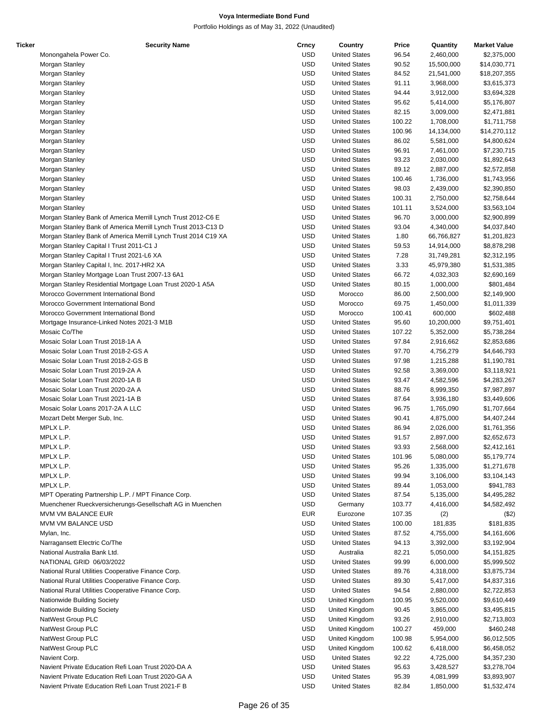| Ticker | <b>Security Name</b>                                           | Crncy      | Country              | Price  | Quantity   | <b>Market Value</b> |
|--------|----------------------------------------------------------------|------------|----------------------|--------|------------|---------------------|
|        | Monongahela Power Co.                                          | <b>USD</b> | <b>United States</b> | 96.54  | 2,460,000  | \$2,375,000         |
|        | Morgan Stanley                                                 | <b>USD</b> | <b>United States</b> | 90.52  | 15,500,000 | \$14,030,771        |
|        | Morgan Stanley                                                 | <b>USD</b> | <b>United States</b> | 84.52  | 21,541,000 | \$18,207,355        |
|        | Morgan Stanley                                                 | <b>USD</b> | <b>United States</b> | 91.11  | 3,968,000  | \$3,615,373         |
|        | Morgan Stanley                                                 | <b>USD</b> | <b>United States</b> | 94.44  | 3,912,000  | \$3,694,328         |
|        |                                                                |            |                      |        |            |                     |
|        | Morgan Stanley                                                 | <b>USD</b> | <b>United States</b> | 95.62  | 5,414,000  | \$5,176,807         |
|        | Morgan Stanley                                                 | <b>USD</b> | <b>United States</b> | 82.15  | 3,009,000  | \$2,471,881         |
|        | Morgan Stanley                                                 | <b>USD</b> | <b>United States</b> | 100.22 | 1,708,000  | \$1,711,758         |
|        | Morgan Stanley                                                 | <b>USD</b> | <b>United States</b> | 100.96 | 14,134,000 | \$14,270,112        |
|        | Morgan Stanley                                                 | <b>USD</b> | <b>United States</b> | 86.02  | 5,581,000  | \$4,800,624         |
|        | Morgan Stanley                                                 | <b>USD</b> | <b>United States</b> | 96.91  | 7,461,000  | \$7,230,715         |
|        | Morgan Stanley                                                 | <b>USD</b> | <b>United States</b> | 93.23  | 2,030,000  | \$1,892,643         |
|        | Morgan Stanley                                                 | <b>USD</b> | <b>United States</b> | 89.12  | 2,887,000  | \$2,572,858         |
|        |                                                                |            |                      |        |            |                     |
|        | Morgan Stanley                                                 | <b>USD</b> | <b>United States</b> | 100.46 | 1,736,000  | \$1,743,956         |
|        | Morgan Stanley                                                 | <b>USD</b> | <b>United States</b> | 98.03  | 2,439,000  | \$2,390,850         |
|        | Morgan Stanley                                                 | <b>USD</b> | <b>United States</b> | 100.31 | 2,750,000  | \$2,758,644         |
|        | Morgan Stanley                                                 | <b>USD</b> | <b>United States</b> | 101.11 | 3,524,000  | \$3,563,104         |
|        | Morgan Stanley Bank of America Merrill Lynch Trust 2012-C6 E   | <b>USD</b> | <b>United States</b> | 96.70  | 3,000,000  | \$2,900,899         |
|        | Morgan Stanley Bank of America Merrill Lynch Trust 2013-C13 D  | <b>USD</b> | <b>United States</b> | 93.04  | 4,340,000  | \$4,037,840         |
|        | Morgan Stanley Bank of America Merrill Lynch Trust 2014 C19 XA | <b>USD</b> | <b>United States</b> | 1.80   | 66,766,827 | \$1,201,823         |
|        | Morgan Stanley Capital I Trust 2011-C1 J                       | <b>USD</b> | <b>United States</b> | 59.53  | 14,914,000 | \$8,878,298         |
|        |                                                                |            |                      |        |            |                     |
|        | Morgan Stanley Capital I Trust 2021-L6 XA                      | <b>USD</b> | <b>United States</b> | 7.28   | 31,749,281 | \$2,312,195         |
|        | Morgan Stanley Capital I, Inc. 2017-HR2 XA                     | <b>USD</b> | <b>United States</b> | 3.33   | 45,979,380 | \$1,531,385         |
|        | Morgan Stanley Mortgage Loan Trust 2007-13 6A1                 | <b>USD</b> | <b>United States</b> | 66.72  | 4,032,303  | \$2,690,169         |
|        | Morgan Stanley Residential Mortgage Loan Trust 2020-1 A5A      | <b>USD</b> | <b>United States</b> | 80.15  | 1,000,000  | \$801,484           |
|        | Morocco Government International Bond                          | <b>USD</b> | Morocco              | 86.00  | 2,500,000  | \$2,149,900         |
|        | Morocco Government International Bond                          | <b>USD</b> | Morocco              | 69.75  | 1,450,000  | \$1,011,339         |
|        | Morocco Government International Bond                          | <b>USD</b> | Morocco              | 100.41 | 600,000    | \$602,488           |
|        | Mortgage Insurance-Linked Notes 2021-3 M1B                     | <b>USD</b> | <b>United States</b> | 95.60  | 10,200,000 | \$9,751,401         |
|        |                                                                |            |                      |        |            |                     |
|        | Mosaic Co/The                                                  | <b>USD</b> | <b>United States</b> | 107.22 | 5,352,000  | \$5,738,284         |
|        | Mosaic Solar Loan Trust 2018-1A A                              | <b>USD</b> | <b>United States</b> | 97.84  | 2,916,662  | \$2,853,686         |
|        | Mosaic Solar Loan Trust 2018-2-GS A                            | <b>USD</b> | <b>United States</b> | 97.70  | 4,756,279  | \$4,646,793         |
|        | Mosaic Solar Loan Trust 2018-2-GS B                            | <b>USD</b> | <b>United States</b> | 97.98  | 1,215,288  | \$1,190,781         |
|        | Mosaic Solar Loan Trust 2019-2A A                              | <b>USD</b> | <b>United States</b> | 92.58  | 3,369,000  | \$3,118,921         |
|        | Mosaic Solar Loan Trust 2020-1A B                              | <b>USD</b> | <b>United States</b> | 93.47  | 4,582,596  | \$4,283,267         |
|        | Mosaic Solar Loan Trust 2020-2A A                              | <b>USD</b> | <b>United States</b> | 88.76  | 8,999,350  | \$7,987,897         |
|        | Mosaic Solar Loan Trust 2021-1A B                              | <b>USD</b> | <b>United States</b> | 87.64  | 3,936,180  | \$3,449,606         |
|        |                                                                |            |                      |        |            |                     |
|        | Mosaic Solar Loans 2017-2A A LLC                               | <b>USD</b> | <b>United States</b> | 96.75  | 1,765,090  | \$1,707,664         |
|        | Mozart Debt Merger Sub, Inc.                                   | <b>USD</b> | <b>United States</b> | 90.41  | 4,875,000  | \$4,407,244         |
|        | MPLX L.P.                                                      | <b>USD</b> | <b>United States</b> | 86.94  | 2,026,000  | \$1,761,356         |
|        | MPLX L.P.                                                      | <b>USD</b> | <b>United States</b> | 91.57  | 2,897,000  | \$2,652,673         |
|        | MPLX L.P.                                                      | <b>USD</b> | <b>United States</b> | 93.93  | 2,568,000  | \$2,412,161         |
|        | MPLX L.P.                                                      | <b>USD</b> | <b>United States</b> | 101.96 | 5,080,000  | \$5,179,774         |
|        | MPLX L.P.                                                      | <b>USD</b> | <b>United States</b> | 95.26  | 1,335,000  | \$1,271,678         |
|        | MPLX L.P.                                                      | <b>USD</b> | <b>United States</b> | 99.94  | 3,106,000  | \$3,104,143         |
|        |                                                                | <b>USD</b> |                      |        |            |                     |
|        | MPLX L.P.                                                      |            | <b>United States</b> | 89.44  | 1,053,000  | \$941,783           |
|        | MPT Operating Partnership L.P. / MPT Finance Corp.             | <b>USD</b> | <b>United States</b> | 87.54  | 5,135,000  | \$4,495,282         |
|        | Muenchener Rueckversicherungs-Gesellschaft AG in Muenchen      | <b>USD</b> | Germany              | 103.77 | 4,416,000  | \$4,582,492         |
|        | MVM VM BALANCE EUR                                             | <b>EUR</b> | Eurozone             | 107.35 | (2)        | (\$2)               |
|        | MVM VM BALANCE USD                                             | <b>USD</b> | <b>United States</b> | 100.00 | 181,835    | \$181,835           |
|        | Mylan, Inc.                                                    | <b>USD</b> | <b>United States</b> | 87.52  | 4,755,000  | \$4,161,606         |
|        | Narragansett Electric Co/The                                   | <b>USD</b> | <b>United States</b> | 94.13  | 3,392,000  | \$3,192,904         |
|        | National Australia Bank Ltd.                                   | <b>USD</b> | Australia            | 82.21  | 5,050,000  | \$4,151,825         |
|        |                                                                |            |                      |        |            |                     |
|        | NATIONAL GRID 06/03/2022                                       | <b>USD</b> | <b>United States</b> | 99.99  | 6,000,000  | \$5,999,502         |
|        | National Rural Utilities Cooperative Finance Corp.             | <b>USD</b> | <b>United States</b> | 89.76  | 4,318,000  | \$3,875,734         |
|        | National Rural Utilities Cooperative Finance Corp.             | <b>USD</b> | <b>United States</b> | 89.30  | 5,417,000  | \$4,837,316         |
|        | National Rural Utilities Cooperative Finance Corp.             | <b>USD</b> | <b>United States</b> | 94.54  | 2,880,000  | \$2,722,853         |
|        | Nationwide Building Society                                    | <b>USD</b> | United Kingdom       | 100.95 | 9,520,000  | \$9,610,449         |
|        | Nationwide Building Society                                    | <b>USD</b> | United Kingdom       | 90.45  | 3,865,000  | \$3,495,815         |
|        | NatWest Group PLC                                              | <b>USD</b> | United Kingdom       | 93.26  | 2,910,000  | \$2,713,803         |
|        | NatWest Group PLC                                              | <b>USD</b> | United Kingdom       | 100.27 | 459,000    | \$460,248           |
|        |                                                                |            |                      |        |            |                     |
|        | NatWest Group PLC                                              | <b>USD</b> | United Kingdom       | 100.98 | 5,954,000  | \$6,012,505         |
|        | NatWest Group PLC                                              | <b>USD</b> | United Kingdom       | 100.62 | 6,418,000  | \$6,458,052         |
|        | Navient Corp.                                                  | <b>USD</b> | <b>United States</b> | 92.22  | 4,725,000  | \$4,357,230         |
|        | Navient Private Education Refi Loan Trust 2020-DA A            | <b>USD</b> | <b>United States</b> | 95.63  | 3,428,527  | \$3,278,704         |
|        | Navient Private Education Refi Loan Trust 2020-GA A            | <b>USD</b> | <b>United States</b> | 95.39  | 4,081,999  | \$3,893,907         |
|        | Navient Private Education Refi Loan Trust 2021-F B             | <b>USD</b> | <b>United States</b> | 82.84  | 1,850,000  | \$1,532,474         |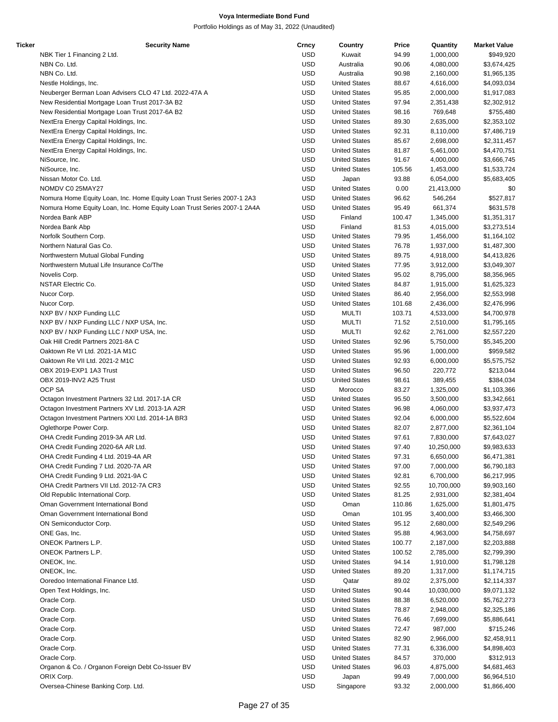| Ticker | <b>Security Name</b>                                                    | Crncy      | Country              | Price  | Quantity   | <b>Market Value</b> |
|--------|-------------------------------------------------------------------------|------------|----------------------|--------|------------|---------------------|
|        | NBK Tier 1 Financing 2 Ltd.                                             | <b>USD</b> | Kuwait               | 94.99  | 1,000,000  | \$949,920           |
|        | NBN Co. Ltd.                                                            | <b>USD</b> | Australia            | 90.06  | 4,080,000  | \$3,674,425         |
|        | NBN Co. Ltd.                                                            | <b>USD</b> | Australia            | 90.98  | 2,160,000  | \$1,965,135         |
|        | Nestle Holdings, Inc.                                                   | <b>USD</b> | <b>United States</b> | 88.67  | 4,616,000  | \$4,093,034         |
|        | Neuberger Berman Loan Advisers CLO 47 Ltd. 2022-47A A                   | <b>USD</b> | <b>United States</b> | 95.85  | 2,000,000  | \$1,917,083         |
|        | New Residential Mortgage Loan Trust 2017-3A B2                          | <b>USD</b> | <b>United States</b> | 97.94  | 2,351,438  | \$2,302,912         |
|        |                                                                         | <b>USD</b> |                      |        |            |                     |
|        | New Residential Mortgage Loan Trust 2017-6A B2                          |            | <b>United States</b> | 98.16  | 769,648    | \$755,480           |
|        | NextEra Energy Capital Holdings, Inc.                                   | <b>USD</b> | <b>United States</b> | 89.30  | 2,635,000  | \$2,353,102         |
|        | NextEra Energy Capital Holdings, Inc.                                   | <b>USD</b> | <b>United States</b> | 92.31  | 8,110,000  | \$7,486,719         |
|        | NextEra Energy Capital Holdings, Inc.                                   | <b>USD</b> | <b>United States</b> | 85.67  | 2,698,000  | \$2,311,457         |
|        | NextEra Energy Capital Holdings, Inc.                                   | <b>USD</b> | <b>United States</b> | 81.87  | 5,461,000  | \$4,470,751         |
|        | NiSource, Inc.                                                          | <b>USD</b> | <b>United States</b> | 91.67  | 4,000,000  | \$3,666,745         |
|        | NiSource, Inc.                                                          | <b>USD</b> | <b>United States</b> | 105.56 | 1,453,000  | \$1,533,724         |
|        | Nissan Motor Co. Ltd.                                                   | <b>USD</b> | Japan                | 93.88  | 6,054,000  | \$5,683,405         |
|        | NOMDV C0 25MAY27                                                        | <b>USD</b> | <b>United States</b> | 0.00   | 21,413,000 | \$0                 |
|        | Nomura Home Equity Loan, Inc. Home Equity Loan Trust Series 2007-1 2A3  | <b>USD</b> | <b>United States</b> | 96.62  | 546,264    | \$527,817           |
|        | Nomura Home Equity Loan, Inc. Home Equity Loan Trust Series 2007-1 2A4A | <b>USD</b> | <b>United States</b> | 95.49  | 661,374    | \$631,578           |
|        | Nordea Bank ABP                                                         | <b>USD</b> | Finland              | 100.47 | 1,345,000  | \$1,351,317         |
|        | Nordea Bank Abp                                                         | <b>USD</b> | Finland              | 81.53  | 4,015,000  | \$3,273,514         |
|        | Norfolk Southern Corp.                                                  | <b>USD</b> | <b>United States</b> |        |            |                     |
|        |                                                                         |            |                      | 79.95  | 1,456,000  | \$1,164,102         |
|        | Northern Natural Gas Co.                                                | <b>USD</b> | <b>United States</b> | 76.78  | 1,937,000  | \$1,487,300         |
|        | Northwestern Mutual Global Funding                                      | <b>USD</b> | <b>United States</b> | 89.75  | 4,918,000  | \$4,413,826         |
|        | Northwestern Mutual Life Insurance Co/The                               | <b>USD</b> | <b>United States</b> | 77.95  | 3,912,000  | \$3,049,307         |
|        | Novelis Corp.                                                           | <b>USD</b> | <b>United States</b> | 95.02  | 8,795,000  | \$8,356,965         |
|        | <b>NSTAR Electric Co.</b>                                               | <b>USD</b> | <b>United States</b> | 84.87  | 1,915,000  | \$1,625,323         |
|        | Nucor Corp.                                                             | <b>USD</b> | <b>United States</b> | 86.40  | 2,956,000  | \$2,553,998         |
|        | Nucor Corp.                                                             | <b>USD</b> | <b>United States</b> | 101.68 | 2,436,000  | \$2,476,996         |
|        | NXP BV / NXP Funding LLC                                                | <b>USD</b> | <b>MULTI</b>         | 103.71 | 4,533,000  | \$4,700,978         |
|        | NXP BV / NXP Funding LLC / NXP USA, Inc.                                | <b>USD</b> | <b>MULTI</b>         | 71.52  | 2,510,000  | \$1,795,165         |
|        | NXP BV / NXP Funding LLC / NXP USA, Inc.                                | <b>USD</b> | <b>MULTI</b>         | 92.62  | 2,761,000  | \$2,557,220         |
|        | Oak Hill Credit Partners 2021-8A C                                      | <b>USD</b> | <b>United States</b> | 92.96  | 5,750,000  | \$5,345,200         |
|        | Oaktown Re VI Ltd. 2021-1A M1C                                          | <b>USD</b> | <b>United States</b> | 95.96  |            | \$959,582           |
|        |                                                                         |            |                      |        | 1,000,000  |                     |
|        | Oaktown Re VII Ltd. 2021-2 M1C                                          | <b>USD</b> | <b>United States</b> | 92.93  | 6,000,000  | \$5,575,752         |
|        | OBX 2019-EXP1 1A3 Trust                                                 | <b>USD</b> | <b>United States</b> | 96.50  | 220,772    | \$213,044           |
|        | OBX 2019-INV2 A25 Trust                                                 | <b>USD</b> | <b>United States</b> | 98.61  | 389,455    | \$384,034           |
|        | OCP SA                                                                  | <b>USD</b> | Morocco              | 83.27  | 1,325,000  | \$1,103,366         |
|        | Octagon Investment Partners 32 Ltd. 2017-1A CR                          | <b>USD</b> | <b>United States</b> | 95.50  | 3,500,000  | \$3,342,661         |
|        | Octagon Investment Partners XV Ltd. 2013-1A A2R                         | <b>USD</b> | <b>United States</b> | 96.98  | 4,060,000  | \$3,937,473         |
|        | Octagon Investment Partners XXI Ltd. 2014-1A BR3                        | <b>USD</b> | <b>United States</b> | 92.04  | 6,000,000  | \$5,522,604         |
|        | Oglethorpe Power Corp.                                                  | <b>USD</b> | <b>United States</b> | 82.07  | 2,877,000  | \$2,361,104         |
|        | OHA Credit Funding 2019-3A AR Ltd.                                      | <b>USD</b> | <b>United States</b> | 97.61  | 7,830,000  | \$7,643,027         |
|        | OHA Credit Funding 2020-6A AR Ltd.                                      | <b>USD</b> | <b>United States</b> | 97.40  | 10,250,000 | \$9,983,633         |
|        | OHA Credit Funding 4 Ltd. 2019-4A AR                                    | <b>USD</b> | <b>United States</b> | 97.31  | 6,650,000  | \$6,471,381         |
|        | OHA Credit Funding 7 Ltd. 2020-7A AR                                    | <b>USD</b> | <b>United States</b> |        |            |                     |
|        |                                                                         |            |                      | 97.00  | 7,000,000  | \$6,790,183         |
|        | OHA Credit Funding 9 Ltd. 2021-9A C                                     | <b>USD</b> | <b>United States</b> | 92.81  | 6,700,000  | \$6,217,995         |
|        | OHA Credit Partners VII Ltd. 2012-7A CR3                                | <b>USD</b> | <b>United States</b> | 92.55  | 10,700,000 | \$9,903,160         |
|        | Old Republic International Corp.                                        | <b>USD</b> | <b>United States</b> | 81.25  | 2,931,000  | \$2,381,404         |
|        | Oman Government International Bond                                      | <b>USD</b> | Oman                 | 110.86 | 1,625,000  | \$1,801,475         |
|        | Oman Government International Bond                                      | <b>USD</b> | Oman                 | 101.95 | 3,400,000  | \$3,466,300         |
|        | ON Semiconductor Corp.                                                  | <b>USD</b> | <b>United States</b> | 95.12  | 2,680,000  | \$2,549,296         |
|        | ONE Gas, Inc.                                                           | <b>USD</b> | <b>United States</b> | 95.88  | 4,963,000  | \$4,758,697         |
|        | ONEOK Partners L.P.                                                     | <b>USD</b> | <b>United States</b> | 100.77 | 2,187,000  | \$2,203,888         |
|        | <b>ONEOK Partners L.P.</b>                                              | <b>USD</b> | <b>United States</b> | 100.52 | 2,785,000  | \$2,799,390         |
|        | ONEOK, Inc.                                                             | <b>USD</b> | <b>United States</b> | 94.14  | 1,910,000  | \$1,798,128         |
|        | ONEOK, Inc.                                                             | <b>USD</b> | <b>United States</b> | 89.20  | 1,317,000  | \$1,174,715         |
|        |                                                                         |            |                      |        |            |                     |
|        | Ooredoo International Finance Ltd.                                      | <b>USD</b> | Qatar                | 89.02  | 2,375,000  | \$2,114,337         |
|        | Open Text Holdings, Inc.                                                | <b>USD</b> | <b>United States</b> | 90.44  | 10,030,000 | \$9,071,132         |
|        | Oracle Corp.                                                            | <b>USD</b> | <b>United States</b> | 88.38  | 6,520,000  | \$5,762,273         |
|        | Oracle Corp.                                                            | <b>USD</b> | <b>United States</b> | 78.87  | 2,948,000  | \$2,325,186         |
|        | Oracle Corp.                                                            | <b>USD</b> | <b>United States</b> | 76.46  | 7,699,000  | \$5,886,641         |
|        | Oracle Corp.                                                            | <b>USD</b> | <b>United States</b> | 72.47  | 987,000    | \$715,246           |
|        | Oracle Corp.                                                            | <b>USD</b> | <b>United States</b> | 82.90  | 2,966,000  | \$2,458,911         |
|        | Oracle Corp.                                                            | <b>USD</b> | <b>United States</b> | 77.31  | 6,336,000  | \$4,898,403         |
|        | Oracle Corp.                                                            | <b>USD</b> | <b>United States</b> | 84.57  | 370,000    | \$312,913           |
|        | Organon & Co. / Organon Foreign Debt Co-Issuer BV                       | <b>USD</b> | <b>United States</b> | 96.03  | 4,875,000  | \$4,681,463         |
|        | ORIX Corp.                                                              | <b>USD</b> |                      | 99.49  |            |                     |
|        |                                                                         |            | Japan                |        | 7,000,000  | \$6,964,510         |
|        | Oversea-Chinese Banking Corp. Ltd.                                      | <b>USD</b> | Singapore            | 93.32  | 2,000,000  | \$1,866,400         |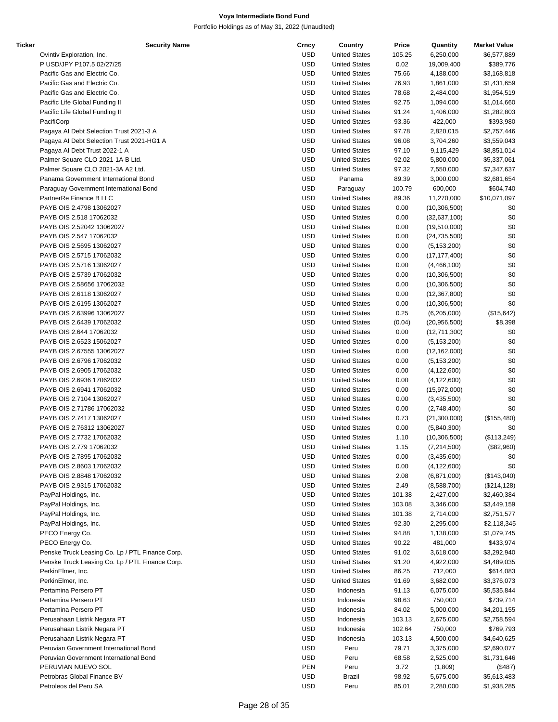| Ticker | <b>Security Name</b>                            | Crncy      | Country              | Price  | Quantity       | <b>Market Value</b> |
|--------|-------------------------------------------------|------------|----------------------|--------|----------------|---------------------|
|        | Ovintiv Exploration, Inc.                       | <b>USD</b> | <b>United States</b> | 105.25 | 6,250,000      | \$6,577,889         |
|        | P USD/JPY P107.5 02/27/25                       | <b>USD</b> | <b>United States</b> | 0.02   | 19,009,400     | \$389,776           |
|        | Pacific Gas and Electric Co.                    | <b>USD</b> | <b>United States</b> | 75.66  | 4,188,000      | \$3,168,818         |
|        | Pacific Gas and Electric Co.                    | <b>USD</b> | <b>United States</b> | 76.93  | 1,861,000      | \$1,431,659         |
|        | Pacific Gas and Electric Co.                    | <b>USD</b> | <b>United States</b> | 78.68  | 2,484,000      | \$1,954,519         |
|        | Pacific Life Global Funding II                  | <b>USD</b> | <b>United States</b> | 92.75  | 1,094,000      | \$1,014,660         |
|        | Pacific Life Global Funding II                  | <b>USD</b> | <b>United States</b> | 91.24  | 1,406,000      | \$1,282,803         |
|        | PacifiCorp                                      | <b>USD</b> | <b>United States</b> | 93.36  | 422,000        | \$393,980           |
|        | Pagaya AI Debt Selection Trust 2021-3 A         | <b>USD</b> | <b>United States</b> | 97.78  | 2,820,015      | \$2,757,446         |
|        | Pagaya AI Debt Selection Trust 2021-HG1 A       | <b>USD</b> | <b>United States</b> | 96.08  | 3,704,260      | \$3,559,043         |
|        | Pagaya AI Debt Trust 2022-1 A                   | <b>USD</b> | <b>United States</b> | 97.10  | 9,115,429      | \$8,851,014         |
|        | Palmer Square CLO 2021-1A B Ltd.                | <b>USD</b> | <b>United States</b> | 92.02  | 5,800,000      | \$5,337,061         |
|        | Palmer Square CLO 2021-3A A2 Ltd.               | <b>USD</b> | <b>United States</b> | 97.32  | 7,550,000      | \$7,347,637         |
|        | Panama Government International Bond            | <b>USD</b> | Panama               | 89.39  | 3,000,000      | \$2,681,654         |
|        | Paraguay Government International Bond          | <b>USD</b> | Paraguay             | 100.79 | 600,000        | \$604,740           |
|        | PartnerRe Finance B LLC                         | <b>USD</b> | <b>United States</b> | 89.36  | 11,270,000     | \$10,071,097        |
|        | PAYB OIS 2.4798 13062027                        | <b>USD</b> | <b>United States</b> | 0.00   | (10, 306, 500) | \$0                 |
|        | PAYB OIS 2.518 17062032                         | <b>USD</b> | <b>United States</b> | 0.00   | (32,637,100)   | \$0                 |
|        | PAYB OIS 2.52042 13062027                       | <b>USD</b> | <b>United States</b> | 0.00   | (19,510,000)   | \$0                 |
|        | PAYB OIS 2.547 17062032                         | <b>USD</b> | <b>United States</b> | 0.00   | (24, 735, 500) | \$0                 |
|        | PAYB OIS 2.5695 13062027                        | <b>USD</b> | <b>United States</b> | 0.00   | (5, 153, 200)  | \$0                 |
|        | PAYB OIS 2.5715 17062032                        | <b>USD</b> | <b>United States</b> | 0.00   | (17, 177, 400) | \$0                 |
|        | PAYB OIS 2.5716 13062027                        | <b>USD</b> | <b>United States</b> | 0.00   | (4,466,100)    | \$0                 |
|        | PAYB OIS 2.5739 17062032                        | <b>USD</b> | <b>United States</b> | 0.00   | (10, 306, 500) | \$0                 |
|        | PAYB OIS 2.58656 17062032                       | <b>USD</b> | <b>United States</b> | 0.00   | (10, 306, 500) | \$0                 |
|        | PAYB OIS 2.6118 13062027                        | <b>USD</b> | <b>United States</b> | 0.00   | (12, 367, 800) | \$0                 |
|        | PAYB OIS 2.6195 13062027                        | <b>USD</b> | <b>United States</b> | 0.00   | (10, 306, 500) | \$0                 |
|        | PAYB OIS 2.63996 13062027                       | <b>USD</b> | <b>United States</b> | 0.25   | (6,205,000)    | (\$15,642)          |
|        | PAYB OIS 2.6439 17062032                        | <b>USD</b> | <b>United States</b> | (0.04) | (20, 956, 500) | \$8,398             |
|        | PAYB OIS 2.644 17062032                         | <b>USD</b> | <b>United States</b> | 0.00   |                | \$0                 |
|        |                                                 | <b>USD</b> |                      |        | (12,711,300)   |                     |
|        | PAYB OIS 2.6523 15062027                        |            | <b>United States</b> | 0.00   | (5, 153, 200)  | \$0                 |
|        | PAYB OIS 2.67555 13062027                       | <b>USD</b> | <b>United States</b> | 0.00   | (12, 162, 000) | \$0                 |
|        | PAYB OIS 2.6796 17062032                        | <b>USD</b> | <b>United States</b> | 0.00   | (5, 153, 200)  | \$0                 |
|        | PAYB OIS 2.6905 17062032                        | <b>USD</b> | <b>United States</b> | 0.00   | (4, 122, 600)  | \$0                 |
|        | PAYB OIS 2.6936 17062032                        | <b>USD</b> | <b>United States</b> | 0.00   | (4, 122, 600)  | \$0                 |
|        | PAYB OIS 2.6941 17062032                        | <b>USD</b> | <b>United States</b> | 0.00   | (15,972,000)   | \$0                 |
|        | PAYB OIS 2.7104 13062027                        | <b>USD</b> | <b>United States</b> | 0.00   | (3,435,500)    | \$0                 |
|        | PAYB OIS 2.71786 17062032                       | <b>USD</b> | <b>United States</b> | 0.00   | (2,748,400)    | \$0                 |
|        | PAYB OIS 2.7417 13062027                        | <b>USD</b> | <b>United States</b> | 0.73   | (21,300,000)   | (\$155,480)         |
|        | PAYB OIS 2.76312 13062027                       | <b>USD</b> | <b>United States</b> | 0.00   | (5,840,300)    | \$0                 |
|        | PAYB OIS 2.7732 17062032                        | <b>USD</b> | <b>United States</b> | 1.10   | (10, 306, 500) | (\$113,249)         |
|        | PAYB OIS 2.779 17062032                         | USD        | <b>United States</b> | 1.15   | (7, 214, 500)  | (\$82,960)          |
|        | PAYB OIS 2.7895 17062032                        | <b>USD</b> | <b>United States</b> | 0.00   | (3,435,600)    | \$0                 |
|        | PAYB OIS 2.8603 17062032                        | <b>USD</b> | <b>United States</b> | 0.00   | (4, 122, 600)  | \$0                 |
|        | PAYB OIS 2.8848 17062032                        | <b>USD</b> | <b>United States</b> | 2.08   | (6,871,000)    | (\$143,040)         |
|        | PAYB OIS 2.9315 17062032                        | <b>USD</b> | <b>United States</b> | 2.49   | (8,588,700)    | (\$214, 128)        |
|        | PayPal Holdings, Inc.                           | <b>USD</b> | <b>United States</b> | 101.38 | 2,427,000      | \$2,460,384         |
|        | PayPal Holdings, Inc.                           | <b>USD</b> | <b>United States</b> | 103.08 | 3,346,000      | \$3,449,159         |
|        | PayPal Holdings, Inc.                           | <b>USD</b> | <b>United States</b> | 101.38 | 2,714,000      | \$2,751,577         |
|        | PayPal Holdings, Inc.                           | <b>USD</b> | <b>United States</b> | 92.30  | 2,295,000      | \$2,118,345         |
|        | PECO Energy Co.                                 | <b>USD</b> | <b>United States</b> | 94.88  | 1,138,000      | \$1,079,745         |
|        | PECO Energy Co.                                 | <b>USD</b> | <b>United States</b> | 90.22  | 481,000        | \$433,974           |
|        | Penske Truck Leasing Co. Lp / PTL Finance Corp. | <b>USD</b> | <b>United States</b> | 91.02  | 3,618,000      | \$3,292,940         |
|        | Penske Truck Leasing Co. Lp / PTL Finance Corp. | <b>USD</b> | <b>United States</b> | 91.20  | 4,922,000      | \$4,489,035         |
|        | PerkinElmer, Inc.                               | <b>USD</b> | <b>United States</b> | 86.25  | 712,000        | \$614,083           |
|        | PerkinElmer, Inc.                               | <b>USD</b> | <b>United States</b> | 91.69  | 3,682,000      | \$3,376,073         |
|        | Pertamina Persero PT                            | <b>USD</b> | Indonesia            | 91.13  | 6,075,000      | \$5,535,844         |
|        | Pertamina Persero PT                            | <b>USD</b> | Indonesia            | 98.63  | 750,000        | \$739,714           |
|        | Pertamina Persero PT                            | <b>USD</b> | Indonesia            | 84.02  | 5,000,000      | \$4,201,155         |
|        | Perusahaan Listrik Negara PT                    | <b>USD</b> | Indonesia            | 103.13 | 2,675,000      | \$2,758,594         |
|        | Perusahaan Listrik Negara PT                    | <b>USD</b> | Indonesia            | 102.64 | 750,000        | \$769,793           |
|        | Perusahaan Listrik Negara PT                    | <b>USD</b> | Indonesia            | 103.13 | 4,500,000      | \$4,640,625         |
|        | Peruvian Government International Bond          | <b>USD</b> | Peru                 | 79.71  | 3,375,000      | \$2,690,077         |
|        | Peruvian Government International Bond          | <b>USD</b> | Peru                 | 68.58  | 2,525,000      | \$1,731,646         |
|        | PERUVIAN NUEVO SOL                              | <b>PEN</b> | Peru                 | 3.72   | (1,809)        | (\$487)             |
|        | Petrobras Global Finance BV                     | <b>USD</b> | Brazil               | 98.92  | 5,675,000      | \$5,613,483         |
|        | Petroleos del Peru SA                           | <b>USD</b> | Peru                 | 85.01  | 2,280,000      | \$1,938,285         |
|        |                                                 |            |                      |        |                |                     |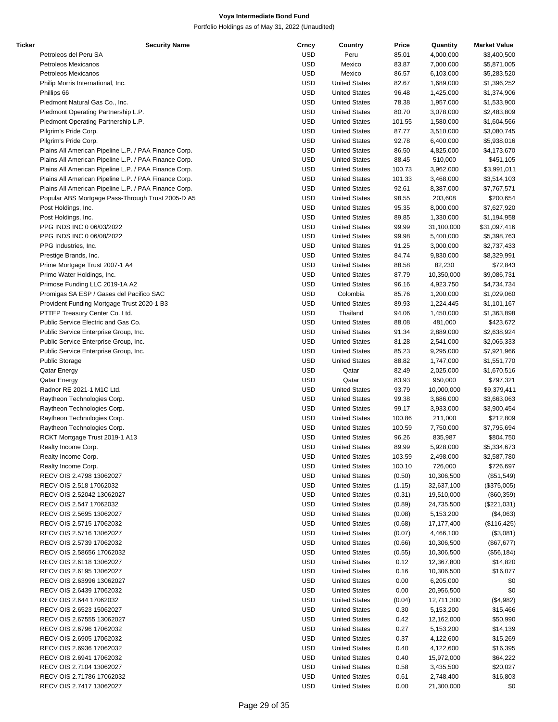| Ticker | <b>Security Name</b>                                  | Crncy      | Country              | Price  | Quantity   | <b>Market Value</b> |
|--------|-------------------------------------------------------|------------|----------------------|--------|------------|---------------------|
|        | Petroleos del Peru SA                                 | <b>USD</b> | Peru                 | 85.01  | 4,000,000  | \$3,400,500         |
|        | Petroleos Mexicanos                                   | <b>USD</b> | Mexico               | 83.87  | 7,000,000  | \$5,871,005         |
|        | Petroleos Mexicanos                                   | <b>USD</b> | Mexico               | 86.57  | 6,103,000  | \$5,283,520         |
|        | Philip Morris International, Inc.                     | <b>USD</b> | <b>United States</b> | 82.67  | 1,689,000  | \$1,396,252         |
|        | Phillips 66                                           | <b>USD</b> | <b>United States</b> | 96.48  | 1,425,000  | \$1,374,906         |
|        | Piedmont Natural Gas Co., Inc.                        | <b>USD</b> | <b>United States</b> | 78.38  | 1,957,000  | \$1,533,900         |
|        | Piedmont Operating Partnership L.P.                   | <b>USD</b> | <b>United States</b> | 80.70  | 3,078,000  | \$2,483,809         |
|        |                                                       |            |                      |        |            |                     |
|        | Piedmont Operating Partnership L.P.                   | <b>USD</b> | <b>United States</b> | 101.55 | 1,580,000  | \$1,604,566         |
|        | Pilgrim's Pride Corp.                                 | <b>USD</b> | <b>United States</b> | 87.77  | 3,510,000  | \$3,080,745         |
|        | Pilgrim's Pride Corp.                                 | <b>USD</b> | <b>United States</b> | 92.78  | 6,400,000  | \$5,938,016         |
|        | Plains All American Pipeline L.P. / PAA Finance Corp. | <b>USD</b> | <b>United States</b> | 86.50  | 4,825,000  | \$4,173,670         |
|        | Plains All American Pipeline L.P. / PAA Finance Corp. | <b>USD</b> | <b>United States</b> | 88.45  | 510,000    | \$451,105           |
|        | Plains All American Pipeline L.P. / PAA Finance Corp. | <b>USD</b> | <b>United States</b> | 100.73 | 3,962,000  | \$3,991,011         |
|        | Plains All American Pipeline L.P. / PAA Finance Corp. | <b>USD</b> | <b>United States</b> | 101.33 | 3,468,000  | \$3,514,103         |
|        | Plains All American Pipeline L.P. / PAA Finance Corp. | <b>USD</b> | <b>United States</b> | 92.61  | 8,387,000  | \$7,767,571         |
|        | Popular ABS Mortgage Pass-Through Trust 2005-D A5     | <b>USD</b> | <b>United States</b> | 98.55  | 203,608    | \$200,654           |
|        | Post Holdings, Inc.                                   | <b>USD</b> | <b>United States</b> | 95.35  | 8,000,000  | \$7,627,920         |
|        | Post Holdings, Inc.                                   | <b>USD</b> | <b>United States</b> | 89.85  | 1,330,000  | \$1,194,958         |
|        |                                                       |            |                      |        |            |                     |
|        | PPG INDS INC 0 06/03/2022                             | <b>USD</b> | <b>United States</b> | 99.99  | 31,100,000 | \$31,097,416        |
|        | PPG INDS INC 0 06/08/2022                             | <b>USD</b> | <b>United States</b> | 99.98  | 5,400,000  | \$5,398,763         |
|        | PPG Industries, Inc.                                  | <b>USD</b> | <b>United States</b> | 91.25  | 3,000,000  | \$2,737,433         |
|        | Prestige Brands, Inc.                                 | <b>USD</b> | <b>United States</b> | 84.74  | 9,830,000  | \$8,329,991         |
|        | Prime Mortgage Trust 2007-1 A4                        | <b>USD</b> | <b>United States</b> | 88.58  | 82,230     | \$72,843            |
|        | Primo Water Holdings, Inc.                            | <b>USD</b> | <b>United States</b> | 87.79  | 10,350,000 | \$9,086,731         |
|        | Primose Funding LLC 2019-1A A2                        | <b>USD</b> | <b>United States</b> | 96.16  | 4,923,750  | \$4,734,734         |
|        | Promigas SA ESP / Gases del Pacifico SAC              | <b>USD</b> | Colombia             | 85.76  | 1,200,000  | \$1,029,060         |
|        | Provident Funding Mortgage Trust 2020-1 B3            | <b>USD</b> | <b>United States</b> | 89.93  | 1,224,445  | \$1,101,167         |
|        |                                                       | <b>USD</b> | Thailand             |        |            |                     |
|        | PTTEP Treasury Center Co. Ltd.                        |            |                      | 94.06  | 1,450,000  | \$1,363,898         |
|        | Public Service Electric and Gas Co.                   | <b>USD</b> | <b>United States</b> | 88.08  | 481,000    | \$423,672           |
|        | Public Service Enterprise Group, Inc.                 | <b>USD</b> | <b>United States</b> | 91.34  | 2,889,000  | \$2,638,924         |
|        | Public Service Enterprise Group, Inc.                 | <b>USD</b> | <b>United States</b> | 81.28  | 2,541,000  | \$2,065,333         |
|        | Public Service Enterprise Group, Inc.                 | <b>USD</b> | <b>United States</b> | 85.23  | 9,295,000  | \$7,921,966         |
|        | <b>Public Storage</b>                                 | <b>USD</b> | <b>United States</b> | 88.82  | 1,747,000  | \$1,551,770         |
|        | Qatar Energy                                          | <b>USD</b> | Qatar                | 82.49  | 2,025,000  | \$1,670,516         |
|        | Qatar Energy                                          | <b>USD</b> | Qatar                | 83.93  | 950,000    | \$797,321           |
|        | Radnor RE 2021-1 M1C Ltd.                             | <b>USD</b> | <b>United States</b> | 93.79  | 10,000,000 | \$9,379,411         |
|        | Raytheon Technologies Corp.                           | <b>USD</b> | <b>United States</b> | 99.38  | 3,686,000  | \$3,663,063         |
|        | Raytheon Technologies Corp.                           | <b>USD</b> | <b>United States</b> | 99.17  | 3,933,000  | \$3,900,454         |
|        | Raytheon Technologies Corp.                           | <b>USD</b> | <b>United States</b> | 100.86 | 211,000    | \$212,809           |
|        |                                                       |            |                      |        |            |                     |
|        | Raytheon Technologies Corp.                           | <b>USD</b> | <b>United States</b> | 100.59 | 7,750,000  | \$7,795,694         |
|        | RCKT Mortgage Trust 2019-1 A13                        | <b>USD</b> | <b>United States</b> | 96.26  | 835,987    | \$804,750           |
|        | Realty Income Corp.                                   | <b>USD</b> | <b>United States</b> | 89.99  | 5,928,000  | \$5,334,673         |
|        | Realty Income Corp.                                   | <b>USD</b> | <b>United States</b> | 103.59 | 2,498,000  | \$2,587,780         |
|        | Realty Income Corp.                                   | <b>USD</b> | <b>United States</b> | 100.10 | 726,000    | \$726,697           |
|        | RECV OIS 2.4798 13062027                              | <b>USD</b> | <b>United States</b> | (0.50) | 10,306,500 | (\$51,549)          |
|        | RECV OIS 2.518 17062032                               | <b>USD</b> | <b>United States</b> | (1.15) | 32,637,100 | (\$375,005)         |
|        | RECV OIS 2.52042 13062027                             | <b>USD</b> | <b>United States</b> | (0.31) | 19,510,000 | (\$60,359)          |
|        | RECV OIS 2.547 17062032                               | <b>USD</b> | <b>United States</b> | (0.89) | 24,735,500 | (\$221,031)         |
|        | RECV OIS 2.5695 13062027                              | <b>USD</b> | <b>United States</b> | (0.08) | 5,153,200  | (\$4,063)           |
|        | RECV OIS 2.5715 17062032                              | <b>USD</b> | <b>United States</b> | (0.68) | 17,177,400 | (\$116, 425)        |
|        | RECV OIS 2.5716 13062027                              | <b>USD</b> | <b>United States</b> | (0.07) | 4,466,100  | (\$3,081)           |
|        |                                                       |            |                      |        |            |                     |
|        | RECV OIS 2.5739 17062032                              | <b>USD</b> | <b>United States</b> | (0.66) | 10,306,500 | (\$67,677)          |
|        | RECV OIS 2.58656 17062032                             | USD        | <b>United States</b> | (0.55) | 10,306,500 | (\$56,184)          |
|        | RECV OIS 2.6118 13062027                              | <b>USD</b> | <b>United States</b> | 0.12   | 12,367,800 | \$14,820            |
|        | RECV OIS 2.6195 13062027                              | <b>USD</b> | <b>United States</b> | 0.16   | 10,306,500 | \$16,077            |
|        | RECV OIS 2.63996 13062027                             | <b>USD</b> | <b>United States</b> | 0.00   | 6,205,000  | \$0                 |
|        | RECV OIS 2.6439 17062032                              | <b>USD</b> | <b>United States</b> | 0.00   | 20,956,500 | \$0                 |
|        | RECV OIS 2.644 17062032                               | <b>USD</b> | <b>United States</b> | (0.04) | 12,711,300 | (\$4,982)           |
|        | RECV OIS 2.6523 15062027                              | <b>USD</b> | <b>United States</b> | 0.30   | 5,153,200  | \$15,466            |
|        | RECV OIS 2.67555 13062027                             | <b>USD</b> | <b>United States</b> | 0.42   | 12,162,000 | \$50,990            |
|        |                                                       |            |                      |        |            |                     |
|        | RECV OIS 2.6796 17062032                              | <b>USD</b> | <b>United States</b> | 0.27   | 5,153,200  | \$14,139            |
|        | RECV OIS 2.6905 17062032                              | <b>USD</b> | <b>United States</b> | 0.37   | 4,122,600  | \$15,269            |
|        | RECV OIS 2.6936 17062032                              | <b>USD</b> | <b>United States</b> | 0.40   | 4,122,600  | \$16,395            |
|        | RECV OIS 2.6941 17062032                              | <b>USD</b> | <b>United States</b> | 0.40   | 15,972,000 | \$64,222            |
|        | RECV OIS 2.7104 13062027                              | <b>USD</b> | <b>United States</b> | 0.58   | 3,435,500  | \$20,027            |
|        | RECV OIS 2.71786 17062032                             | <b>USD</b> | <b>United States</b> | 0.61   | 2,748,400  | \$16,803            |
|        | RECV OIS 2.7417 13062027                              | <b>USD</b> | <b>United States</b> | 0.00   | 21,300,000 | \$0                 |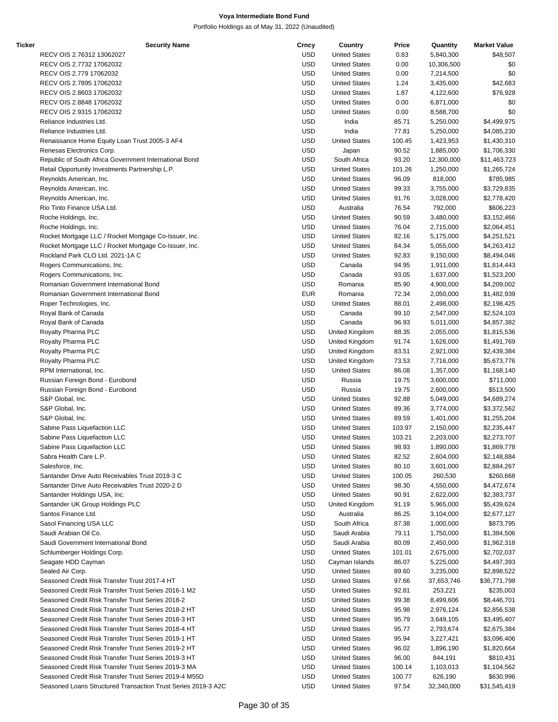| Ticker | <b>Security Name</b>                                          | Crncy      | Country              | Price  | Quantity   | <b>Market Value</b> |
|--------|---------------------------------------------------------------|------------|----------------------|--------|------------|---------------------|
|        | RECV OIS 2.76312 13062027                                     | <b>USD</b> | <b>United States</b> | 0.83   | 5,840,300  | \$48,507            |
|        | RECV OIS 2.7732 17062032                                      | <b>USD</b> | <b>United States</b> | 0.00   | 10,306,500 | \$0                 |
|        | RECV OIS 2.779 17062032                                       | <b>USD</b> | <b>United States</b> | 0.00   | 7,214,500  | \$0                 |
|        | RECV OIS 2.7895 17062032                                      | <b>USD</b> | <b>United States</b> | 1.24   | 3,435,600  | \$42,683            |
|        | RECV OIS 2.8603 17062032                                      | <b>USD</b> | <b>United States</b> | 1.87   | 4,122,600  | \$76,928            |
|        | RECV OIS 2.8848 17062032                                      | <b>USD</b> | <b>United States</b> | 0.00   | 6,871,000  | \$0                 |
|        | RECV OIS 2.9315 17062032                                      | <b>USD</b> | <b>United States</b> | 0.00   | 8,588,700  | \$0                 |
|        | Reliance Industries Ltd.                                      | <b>USD</b> | India                | 85.71  | 5,250,000  | \$4,499,975         |
|        | Reliance Industries Ltd.                                      | <b>USD</b> | India                | 77.81  | 5,250,000  | \$4,085,230         |
|        | Renaissance Home Equity Loan Trust 2005-3 AF4                 | <b>USD</b> | <b>United States</b> | 100.45 | 1,423,953  | \$1,430,310         |
|        |                                                               | <b>USD</b> |                      |        | 1,885,000  |                     |
|        | Renesas Electronics Corp.                                     |            | Japan                | 90.52  |            | \$1,706,330         |
|        | Republic of South Africa Government International Bond        | <b>USD</b> | South Africa         | 93.20  | 12,300,000 | \$11,463,723        |
|        | Retail Opportunity Investments Partnership L.P.               | <b>USD</b> | <b>United States</b> | 101.26 | 1,250,000  | \$1,265,724         |
|        | Reynolds American, Inc.                                       | <b>USD</b> | <b>United States</b> | 96.09  | 818,000    | \$785,985           |
|        | Reynolds American, Inc.                                       | <b>USD</b> | <b>United States</b> | 99.33  | 3,755,000  | \$3,729,835         |
|        | Reynolds American, Inc.                                       | <b>USD</b> | <b>United States</b> | 91.76  | 3,028,000  | \$2,778,420         |
|        | Rio Tinto Finance USA Ltd.                                    | <b>USD</b> | Australia            | 76.54  | 792,000    | \$606,223           |
|        | Roche Holdings, Inc.                                          | <b>USD</b> | <b>United States</b> | 90.59  | 3,480,000  | \$3,152,466         |
|        | Roche Holdings, Inc.                                          | <b>USD</b> | <b>United States</b> | 76.04  | 2,715,000  | \$2,064,451         |
|        | Rocket Mortgage LLC / Rocket Mortgage Co-Issuer, Inc.         | <b>USD</b> | <b>United States</b> | 82.16  | 5,175,000  | \$4,251,521         |
|        | Rocket Mortgage LLC / Rocket Mortgage Co-Issuer, Inc.         | <b>USD</b> | <b>United States</b> | 84.34  | 5,055,000  | \$4,263,412         |
|        | Rockland Park CLO Ltd. 2021-1A C                              | <b>USD</b> | <b>United States</b> | 92.83  | 9,150,000  | \$8,494,046         |
|        | Rogers Communications, Inc.                                   | <b>USD</b> | Canada               | 94.95  | 1,911,000  | \$1,814,443         |
|        | Rogers Communications, Inc.                                   | <b>USD</b> | Canada               | 93.05  | 1,637,000  | \$1,523,200         |
|        | Romanian Government International Bond                        | <b>USD</b> | Romania              | 85.90  | 4,900,000  | \$4,209,002         |
|        | Romanian Government International Bond                        | <b>EUR</b> | Romania              | 72.34  | 2,050,000  | \$1,482,939         |
|        | Roper Technologies, Inc.                                      | <b>USD</b> | <b>United States</b> | 88.01  | 2,498,000  | \$2,198,425         |
|        | Royal Bank of Canada                                          | <b>USD</b> | Canada               | 99.10  | 2,547,000  | \$2,524,103         |
|        | Royal Bank of Canada                                          | <b>USD</b> | Canada               | 96.93  | 5,011,000  | \$4,857,382         |
|        | Royalty Pharma PLC                                            | <b>USD</b> | United Kingdom       | 88.35  | 2,055,000  | \$1,815,536         |
|        |                                                               | <b>USD</b> | United Kingdom       | 91.74  | 1,626,000  |                     |
|        | Royalty Pharma PLC                                            | <b>USD</b> |                      |        |            | \$1,491,769         |
|        | Royalty Pharma PLC                                            |            | United Kingdom       | 83.51  | 2,921,000  | \$2,439,384         |
|        | Royalty Pharma PLC                                            | <b>USD</b> | United Kingdom       | 73.53  | 7,716,000  | \$5,673,776         |
|        | RPM International, Inc.                                       | <b>USD</b> | <b>United States</b> | 86.08  | 1,357,000  | \$1,168,140         |
|        | Russian Foreign Bond - Eurobond                               | <b>USD</b> | Russia               | 19.75  | 3,600,000  | \$711,000           |
|        | Russian Foreign Bond - Eurobond                               | <b>USD</b> | Russia               | 19.75  | 2,600,000  | \$513,500           |
|        | S&P Global, Inc.                                              | <b>USD</b> | <b>United States</b> | 92.88  | 5,049,000  | \$4,689,274         |
|        | S&P Global, Inc.                                              | <b>USD</b> | <b>United States</b> | 89.36  | 3,774,000  | \$3,372,562         |
|        | S&P Global, Inc.                                              | <b>USD</b> | <b>United States</b> | 89.59  | 1,401,000  | \$1,255,204         |
|        | Sabine Pass Liquefaction LLC                                  | <b>USD</b> | <b>United States</b> | 103.97 | 2,150,000  | \$2,235,447         |
|        | Sabine Pass Liquefaction LLC                                  | <b>USD</b> | <b>United States</b> | 103.21 | 2,203,000  | \$2,273,707         |
|        | Sabine Pass Liquefaction LLC                                  | <b>USD</b> | <b>United States</b> | 98.93  | 1,890,000  | \$1,869,778         |
|        | Sabra Health Care L.P.                                        | <b>USD</b> | <b>United States</b> | 82.52  | 2,604,000  | \$2,148,884         |
|        | Salesforce, Inc.                                              | <b>USD</b> | <b>United States</b> | 80.10  | 3,601,000  | \$2,884,267         |
|        | Santander Drive Auto Receivables Trust 2019-3 C               | <b>USD</b> | <b>United States</b> | 100.05 | 260,530    | \$260,668           |
|        | Santander Drive Auto Receivables Trust 2020-2 D               | <b>USD</b> | <b>United States</b> | 98.30  | 4,550,000  | \$4,472,674         |
|        | Santander Holdings USA, Inc.                                  | <b>USD</b> | <b>United States</b> | 90.91  | 2,622,000  | \$2,383,737         |
|        | Santander UK Group Holdings PLC                               | <b>USD</b> | United Kingdom       | 91.19  | 5,965,000  | \$5,439,624         |
|        | Santos Finance Ltd.                                           | <b>USD</b> | Australia            | 86.25  | 3,104,000  | \$2,677,127         |
|        | Sasol Financing USA LLC                                       | <b>USD</b> | South Africa         | 87.38  | 1,000,000  | \$873,795           |
|        | Saudi Arabian Oil Co.                                         | <b>USD</b> | Saudi Arabia         | 79.11  | 1,750,000  | \$1,384,506         |
|        | Saudi Government International Bond                           | <b>USD</b> | Saudi Arabia         | 80.09  | 2,450,000  | \$1,962,318         |
|        | Schlumberger Holdings Corp.                                   | <b>USD</b> | <b>United States</b> | 101.01 | 2,675,000  | \$2,702,037         |
|        | Seagate HDD Cayman                                            | <b>USD</b> | Cayman Islands       | 86.07  | 5,225,000  | \$4,497,393         |
|        |                                                               | <b>USD</b> |                      |        |            |                     |
|        | Sealed Air Corp.                                              |            | <b>United States</b> | 89.60  | 3,235,000  | \$2,898,522         |
|        | Seasoned Credit Risk Transfer Trust 2017-4 HT                 | <b>USD</b> | <b>United States</b> | 97.66  | 37,653,746 | \$36,771,798        |
|        | Seasoned Credit Risk Transfer Trust Series 2016-1 M2          | <b>USD</b> | <b>United States</b> | 92.81  | 253,221    | \$235,003           |
|        | Seasoned Credit Risk Transfer Trust Series 2018-2             | <b>USD</b> | <b>United States</b> | 99.38  | 8,499,606  | \$8,446,701         |
|        | Seasoned Credit Risk Transfer Trust Series 2018-2 HT          | <b>USD</b> | <b>United States</b> | 95.98  | 2,976,124  | \$2,856,538         |
|        | Seasoned Credit Risk Transfer Trust Series 2018-3 HT          | <b>USD</b> | <b>United States</b> | 95.79  | 3,649,105  | \$3,495,407         |
|        | Seasoned Credit Risk Transfer Trust Series 2018-4 HT          | <b>USD</b> | <b>United States</b> | 95.77  | 2,793,674  | \$2,675,384         |
|        | Seasoned Credit Risk Transfer Trust Series 2019-1 HT          | USD        | <b>United States</b> | 95.94  | 3,227,421  | \$3,096,406         |
|        | Seasoned Credit Risk Transfer Trust Series 2019-2 HT          | <b>USD</b> | <b>United States</b> | 96.02  | 1,896,190  | \$1,820,664         |
|        | Seasoned Credit Risk Transfer Trust Series 2019-3 HT          | <b>USD</b> | <b>United States</b> | 96.00  | 844,191    | \$810,431           |
|        | Seasoned Credit Risk Transfer Trust Series 2019-3 MA          | <b>USD</b> | <b>United States</b> | 100.14 | 1,103,013  | \$1,104,562         |
|        | Seasoned Credit Risk Transfer Trust Series 2019-4 M55D        | <b>USD</b> | <b>United States</b> | 100.77 | 626,190    | \$630,996           |
|        | Seasoned Loans Structured Transaction Trust Series 2019-3 A2C | <b>USD</b> | <b>United States</b> | 97.54  | 32,340,000 | \$31,545,419        |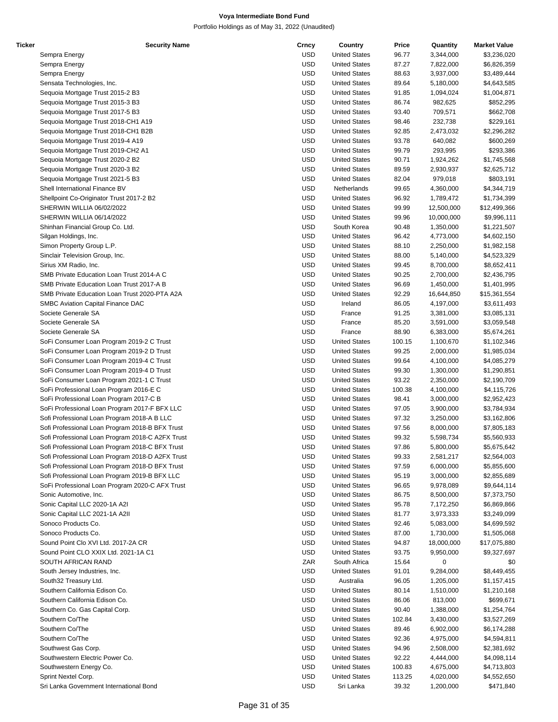| Ticker | <b>Security Name</b>                             | Crncy      | Country              | Price  | Quantity   | <b>Market Value</b> |
|--------|--------------------------------------------------|------------|----------------------|--------|------------|---------------------|
|        | Sempra Energy                                    | USD        | <b>United States</b> | 96.77  | 3,344,000  | \$3,236,020         |
|        | Sempra Energy                                    | USD        | <b>United States</b> | 87.27  | 7,822,000  | \$6,826,359         |
|        | Sempra Energy                                    | <b>USD</b> | <b>United States</b> | 88.63  | 3,937,000  | \$3,489,444         |
|        | Sensata Technologies, Inc.                       | <b>USD</b> | <b>United States</b> | 89.64  | 5,180,000  | \$4,643,585         |
|        |                                                  |            | <b>United States</b> |        |            |                     |
|        | Sequoia Mortgage Trust 2015-2 B3                 | USD        |                      | 91.85  | 1,094,024  | \$1,004,871         |
|        | Sequoia Mortgage Trust 2015-3 B3                 | <b>USD</b> | <b>United States</b> | 86.74  | 982,625    | \$852,295           |
|        | Sequoia Mortgage Trust 2017-5 B3                 | <b>USD</b> | <b>United States</b> | 93.40  | 709,571    | \$662,708           |
|        | Sequoia Mortgage Trust 2018-CH1 A19              | <b>USD</b> | <b>United States</b> | 98.46  | 232,738    | \$229,161           |
|        | Sequoia Mortgage Trust 2018-CH1 B2B              | USD        | <b>United States</b> | 92.85  | 2,473,032  | \$2,296,282         |
|        | Sequoia Mortgage Trust 2019-4 A19                | USD        | <b>United States</b> | 93.78  | 640,082    | \$600,269           |
|        | Sequoia Mortgage Trust 2019-CH2 A1               | <b>USD</b> | <b>United States</b> | 99.79  | 293,995    | \$293,386           |
|        | Sequoia Mortgage Trust 2020-2 B2                 | <b>USD</b> | <b>United States</b> | 90.71  | 1,924,262  | \$1,745,568         |
|        | Sequoia Mortgage Trust 2020-3 B2                 | USD        | <b>United States</b> | 89.59  | 2,930,937  | \$2,625,712         |
|        |                                                  |            |                      |        |            |                     |
|        | Sequoia Mortgage Trust 2021-5 B3                 | <b>USD</b> | <b>United States</b> | 82.04  | 979,018    | \$803,191           |
|        | Shell International Finance BV                   | <b>USD</b> | Netherlands          | 99.65  | 4,360,000  | \$4,344,719         |
|        | Shellpoint Co-Originator Trust 2017-2 B2         | <b>USD</b> | <b>United States</b> | 96.92  | 1,789,472  | \$1,734,399         |
|        | SHERWIN WILLIA 06/02/2022                        | USD        | <b>United States</b> | 99.99  | 12,500,000 | \$12,499,366        |
|        | SHERWIN WILLIA 06/14/2022                        | USD        | <b>United States</b> | 99.96  | 10,000,000 | \$9,996,111         |
|        | Shinhan Financial Group Co. Ltd.                 | USD        | South Korea          | 90.48  | 1,350,000  | \$1,221,507         |
|        | Silgan Holdings, Inc.                            | <b>USD</b> | <b>United States</b> | 96.42  | 4,773,000  | \$4,602,150         |
|        | Simon Property Group L.P.                        | USD        | <b>United States</b> | 88.10  | 2,250,000  | \$1,982,158         |
|        | Sinclair Television Group, Inc.                  | USD        | <b>United States</b> | 88.00  | 5,140,000  | \$4,523,329         |
|        |                                                  |            |                      |        |            |                     |
|        | Sirius XM Radio, Inc.                            | <b>USD</b> | <b>United States</b> | 99.45  | 8,700,000  | \$8,652,411         |
|        | SMB Private Education Loan Trust 2014-A C        | <b>USD</b> | <b>United States</b> | 90.25  | 2,700,000  | \$2,436,795         |
|        | SMB Private Education Loan Trust 2017-A B        | USD        | <b>United States</b> | 96.69  | 1,450,000  | \$1,401,995         |
|        | SMB Private Education Loan Trust 2020-PTA A2A    | USD        | <b>United States</b> | 92.29  | 16,644,850 | \$15,361,554        |
|        | SMBC Aviation Capital Finance DAC                | <b>USD</b> | Ireland              | 86.05  | 4,197,000  | \$3,611,493         |
|        | Societe Generale SA                              | <b>USD</b> | France               | 91.25  | 3,381,000  | \$3,085,131         |
|        | Societe Generale SA                              | USD        | France               | 85.20  | 3,591,000  | \$3,059,548         |
|        | Societe Generale SA                              | USD        | France               | 88.90  | 6,383,000  | \$5,674,261         |
|        |                                                  |            |                      |        |            |                     |
|        | SoFi Consumer Loan Program 2019-2 C Trust        | <b>USD</b> | <b>United States</b> | 100.15 | 1,100,670  | \$1,102,346         |
|        | SoFi Consumer Loan Program 2019-2 D Trust        | <b>USD</b> | <b>United States</b> | 99.25  | 2,000,000  | \$1,985,034         |
|        | SoFi Consumer Loan Program 2019-4 C Trust        | USD        | <b>United States</b> | 99.64  | 4,100,000  | \$4,085,279         |
|        | SoFi Consumer Loan Program 2019-4 D Trust        | USD        | <b>United States</b> | 99.30  | 1,300,000  | \$1,290,851         |
|        | SoFi Consumer Loan Program 2021-1 C Trust        | USD        | <b>United States</b> | 93.22  | 2,350,000  | \$2,190,709         |
|        | SoFi Professional Loan Program 2016-E C          | <b>USD</b> | <b>United States</b> | 100.38 | 4,100,000  | \$4,115,726         |
|        | SoFi Professional Loan Program 2017-C B          | USD        | <b>United States</b> | 98.41  | 3,000,000  | \$2,952,423         |
|        | SoFi Professional Loan Program 2017-F BFX LLC    | USD        | <b>United States</b> | 97.05  | 3,900,000  | \$3,784,934         |
|        | Sofi Professional Loan Program 2018-A B LLC      | <b>USD</b> | <b>United States</b> | 97.32  | 3,250,000  | \$3,162,806         |
|        |                                                  |            |                      |        |            |                     |
|        | Sofi Professional Loan Program 2018-B BFX Trust  | <b>USD</b> | <b>United States</b> | 97.56  | 8,000,000  | \$7,805,183         |
|        | Sofi Professional Loan Program 2018-C A2FX Trust | USD        | <b>United States</b> | 99.32  | 5,598,734  | \$5,560,933         |
|        | Sofi Professional Loan Program 2018-C BFX Trust  | <b>USD</b> | <b>United States</b> | 97.86  | 5,800,000  | \$5,675,642         |
|        | Sofi Professional Loan Program 2018-D A2FX Trust | USD        | <b>United States</b> | 99.33  | 2,581,217  | \$2,564,003         |
|        | Sofi Professional Loan Program 2018-D BFX Trust  | <b>USD</b> | <b>United States</b> | 97.59  | 6,000,000  | \$5,855,600         |
|        | Sofi Professional Loan Program 2019-B BFX LLC    | USD        | <b>United States</b> | 95.19  | 3,000,000  | \$2,855,689         |
|        | SoFi Professional Loan Program 2020-C AFX Trust  | USD        | <b>United States</b> | 96.65  | 9,978,089  | \$9,644,114         |
|        | Sonic Automotive, Inc.                           | USD        | <b>United States</b> | 86.75  | 8,500,000  | \$7,373,750         |
|        | Sonic Capital LLC 2020-1A A2I                    | USD        | <b>United States</b> | 95.78  | 7,172,250  | \$6,869,866         |
|        |                                                  |            |                      |        |            |                     |
|        | Sonic Capital LLC 2021-1A A2II                   | USD        | <b>United States</b> | 81.77  | 3,973,333  | \$3,249,099         |
|        | Sonoco Products Co.                              | USD        | <b>United States</b> | 92.46  | 5,083,000  | \$4,699,592         |
|        | Sonoco Products Co.                              | USD        | <b>United States</b> | 87.00  | 1,730,000  | \$1,505,068         |
|        | Sound Point Clo XVI Ltd. 2017-2A CR              | <b>USD</b> | <b>United States</b> | 94.87  | 18,000,000 | \$17,075,880        |
|        | Sound Point CLO XXIX Ltd. 2021-1A C1             | USD        | <b>United States</b> | 93.75  | 9,950,000  | \$9,327,697         |
|        | SOUTH AFRICAN RAND                               | ZAR        | South Africa         | 15.64  | 0          | \$0                 |
|        | South Jersey Industries, Inc.                    | USD        | <b>United States</b> | 91.01  | 9,284,000  | \$8,449,455         |
|        | South32 Treasury Ltd.                            | USD        | Australia            | 96.05  | 1,205,000  | \$1,157,415         |
|        |                                                  |            |                      |        |            |                     |
|        | Southern California Edison Co.                   | USD        | <b>United States</b> | 80.14  | 1,510,000  | \$1,210,168         |
|        | Southern California Edison Co.                   | USD        | <b>United States</b> | 86.06  | 813,000    | \$699,671           |
|        | Southern Co. Gas Capital Corp.                   | <b>USD</b> | <b>United States</b> | 90.40  | 1,388,000  | \$1,254,764         |
|        | Southern Co/The                                  | <b>USD</b> | <b>United States</b> | 102.84 | 3,430,000  | \$3,527,269         |
|        | Southern Co/The                                  | USD        | <b>United States</b> | 89.46  | 6,902,000  | \$6,174,288         |
|        | Southern Co/The                                  | USD        | <b>United States</b> | 92.36  | 4,975,000  | \$4,594,811         |
|        | Southwest Gas Corp.                              | USD        | <b>United States</b> | 94.96  | 2,508,000  | \$2,381,692         |
|        | Southwestern Electric Power Co.                  | USD        | <b>United States</b> | 92.22  | 4,444,000  | \$4,098,114         |
|        | Southwestern Energy Co.                          | USD        | <b>United States</b> |        |            | \$4,713,803         |
|        |                                                  |            |                      | 100.83 | 4,675,000  |                     |
|        | Sprint Nextel Corp.                              | USD        | <b>United States</b> | 113.25 | 4,020,000  | \$4,552,650         |
|        | Sri Lanka Government International Bond          | <b>USD</b> | Sri Lanka            | 39.32  | 1,200,000  | \$471,840           |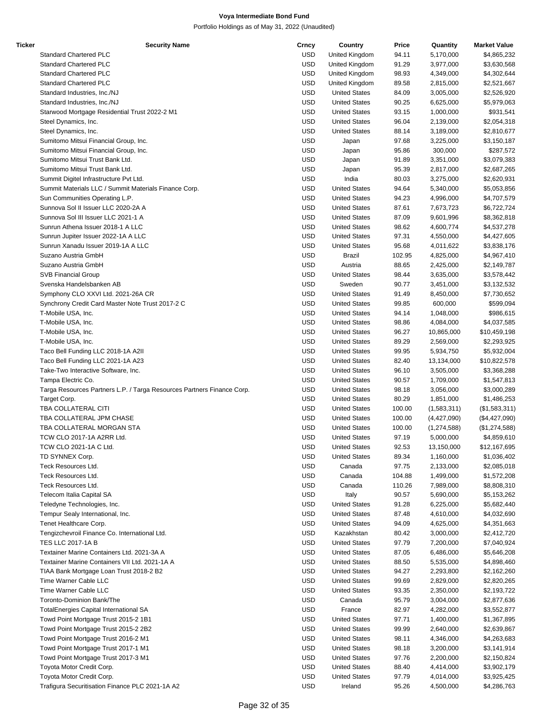| Ticker | <b>Security Name</b>                                                   | Crncy      | Country              | Price  | Quantity      | <b>Market Value</b> |
|--------|------------------------------------------------------------------------|------------|----------------------|--------|---------------|---------------------|
|        | <b>Standard Chartered PLC</b>                                          | <b>USD</b> | United Kingdom       | 94.11  | 5,170,000     | \$4,865,232         |
|        | <b>Standard Chartered PLC</b>                                          | <b>USD</b> | United Kingdom       | 91.29  | 3,977,000     | \$3,630,568         |
|        | <b>Standard Chartered PLC</b>                                          | <b>USD</b> | United Kingdom       | 98.93  | 4,349,000     | \$4,302,644         |
|        | <b>Standard Chartered PLC</b>                                          | <b>USD</b> | United Kingdom       | 89.58  | 2,815,000     | \$2,521,667         |
|        | Standard Industries, Inc./NJ                                           | <b>USD</b> | <b>United States</b> | 84.09  | 3,005,000     | \$2,526,920         |
|        | Standard Industries, Inc./NJ                                           | <b>USD</b> | <b>United States</b> | 90.25  | 6,625,000     | \$5,979,063         |
|        | Starwood Mortgage Residential Trust 2022-2 M1                          | <b>USD</b> | <b>United States</b> | 93.15  | 1,000,000     | \$931,541           |
|        | Steel Dynamics, Inc.                                                   | <b>USD</b> | <b>United States</b> | 96.04  | 2,139,000     | \$2,054,318         |
|        | Steel Dynamics, Inc.                                                   | <b>USD</b> | <b>United States</b> | 88.14  | 3,189,000     | \$2,810,677         |
|        |                                                                        | <b>USD</b> |                      |        |               |                     |
|        | Sumitomo Mitsui Financial Group, Inc.                                  |            | Japan                | 97.68  | 3,225,000     | \$3,150,187         |
|        | Sumitomo Mitsui Financial Group, Inc.                                  | <b>USD</b> | Japan                | 95.86  | 300,000       | \$287,572           |
|        | Sumitomo Mitsui Trust Bank Ltd.                                        | <b>USD</b> | Japan                | 91.89  | 3,351,000     | \$3,079,383         |
|        | Sumitomo Mitsui Trust Bank Ltd.                                        | <b>USD</b> | Japan                | 95.39  | 2,817,000     | \$2,687,265         |
|        | Summit Digitel Infrastructure Pvt Ltd.                                 | <b>USD</b> | India                | 80.03  | 3,275,000     | \$2,620,931         |
|        | Summit Materials LLC / Summit Materials Finance Corp.                  | <b>USD</b> | <b>United States</b> | 94.64  | 5,340,000     | \$5,053,856         |
|        | Sun Communities Operating L.P.                                         | <b>USD</b> | <b>United States</b> | 94.23  | 4,996,000     | \$4,707,579         |
|        | Sunnova Sol II Issuer LLC 2020-2A A                                    | <b>USD</b> | <b>United States</b> | 87.61  | 7,673,723     | \$6,722,724         |
|        | Sunnova Sol III Issuer LLC 2021-1 A                                    | <b>USD</b> | <b>United States</b> | 87.09  | 9,601,996     | \$8,362,818         |
|        | Sunrun Athena Issuer 2018-1 A LLC                                      | <b>USD</b> | <b>United States</b> | 98.62  | 4,600,774     | \$4,537,278         |
|        | Sunrun Jupiter Issuer 2022-1A A LLC                                    | <b>USD</b> | <b>United States</b> | 97.31  | 4,550,000     | \$4,427,605         |
|        | Sunrun Xanadu Issuer 2019-1A A LLC                                     | <b>USD</b> | <b>United States</b> | 95.68  | 4,011,622     | \$3,838,176         |
|        | Suzano Austria GmbH                                                    | <b>USD</b> | <b>Brazil</b>        | 102.95 | 4,825,000     | \$4,967,410         |
|        | Suzano Austria GmbH                                                    | <b>USD</b> | Austria              | 88.65  | 2,425,000     | \$2,149,787         |
|        | <b>SVB Financial Group</b>                                             | <b>USD</b> | <b>United States</b> | 98.44  | 3,635,000     | \$3,578,442         |
|        | Svenska Handelsbanken AB                                               | <b>USD</b> | Sweden               | 90.77  | 3,451,000     | \$3,132,532         |
|        | Symphony CLO XXVI Ltd. 2021-26A CR                                     | <b>USD</b> | <b>United States</b> | 91.49  | 8,450,000     | \$7,730,652         |
|        |                                                                        | <b>USD</b> | <b>United States</b> |        |               |                     |
|        | Synchrony Credit Card Master Note Trust 2017-2 C                       |            |                      | 99.85  | 600,000       | \$599,094           |
|        | T-Mobile USA, Inc.                                                     | <b>USD</b> | <b>United States</b> | 94.14  | 1,048,000     | \$986,615           |
|        | T-Mobile USA, Inc.                                                     | <b>USD</b> | <b>United States</b> | 98.86  | 4,084,000     | \$4,037,585         |
|        | T-Mobile USA, Inc.                                                     | <b>USD</b> | <b>United States</b> | 96.27  | 10,865,000    | \$10,459,198        |
|        | T-Mobile USA, Inc.                                                     | <b>USD</b> | <b>United States</b> | 89.29  | 2,569,000     | \$2,293,925         |
|        | Taco Bell Funding LLC 2018-1A A2II                                     | <b>USD</b> | <b>United States</b> | 99.95  | 5,934,750     | \$5,932,004         |
|        | Taco Bell Funding LLC 2021-1A A23                                      | <b>USD</b> | <b>United States</b> | 82.40  | 13,134,000    | \$10,822,578        |
|        | Take-Two Interactive Software, Inc.                                    | <b>USD</b> | <b>United States</b> | 96.10  | 3,505,000     | \$3,368,288         |
|        | Tampa Electric Co.                                                     | <b>USD</b> | <b>United States</b> | 90.57  | 1,709,000     | \$1,547,813         |
|        | Targa Resources Partners L.P. / Targa Resources Partners Finance Corp. | <b>USD</b> | <b>United States</b> | 98.18  | 3,056,000     | \$3,000,289         |
|        | Target Corp.                                                           | <b>USD</b> | <b>United States</b> | 80.29  | 1,851,000     | \$1,486,253         |
|        | TBA COLLATERAL CITI                                                    | <b>USD</b> | <b>United States</b> | 100.00 | (1,583,311)   | (\$1,583,311)       |
|        | TBA COLLATERAL JPM CHASE                                               | <b>USD</b> | <b>United States</b> | 100.00 | (4,427,090)   | (\$4,427,090)       |
|        | TBA COLLATERAL MORGAN STA                                              | <b>USD</b> | <b>United States</b> | 100.00 | (1, 274, 588) | (\$1,274,588)       |
|        | TCW CLO 2017-1A A2RR Ltd.                                              | <b>USD</b> | <b>United States</b> | 97.19  | 5,000,000     | \$4,859,610         |
|        | TCW CLO 2021-1A C Ltd.                                                 | <b>USD</b> | <b>United States</b> | 92.53  | 13,150,000    | \$12,167,695        |
|        | TD SYNNEX Corp.                                                        | <b>USD</b> | <b>United States</b> | 89.34  | 1,160,000     | \$1,036,402         |
|        | Teck Resources Ltd.                                                    | <b>USD</b> | Canada               | 97.75  | 2,133,000     | \$2,085,018         |
|        | Teck Resources Ltd.                                                    | <b>USD</b> | Canada               |        |               |                     |
|        |                                                                        |            |                      | 104.88 | 1,499,000     | \$1,572,208         |
|        | Teck Resources Ltd.                                                    | USD        | Canada               | 110.26 | 7,989,000     | \$8,808,310         |
|        | Telecom Italia Capital SA                                              | <b>USD</b> | Italy                | 90.57  | 5,690,000     | \$5,153,262         |
|        | Teledyne Technologies, Inc.                                            | <b>USD</b> | <b>United States</b> | 91.28  | 6,225,000     | \$5,682,440         |
|        | Tempur Sealy International, Inc.                                       | <b>USD</b> | <b>United States</b> | 87.48  | 4,610,000     | \$4,032,690         |
|        | Tenet Healthcare Corp.                                                 | <b>USD</b> | <b>United States</b> | 94.09  | 4,625,000     | \$4,351,663         |
|        | Tengizchevroil Finance Co. International Ltd.                          | <b>USD</b> | Kazakhstan           | 80.42  | 3,000,000     | \$2,412,720         |
|        | <b>TES LLC 2017-1A B</b>                                               | <b>USD</b> | <b>United States</b> | 97.79  | 7,200,000     | \$7,040,924         |
|        | Textainer Marine Containers Ltd. 2021-3A A                             | <b>USD</b> | <b>United States</b> | 87.05  | 6,486,000     | \$5,646,208         |
|        | Textainer Marine Containers VII Ltd. 2021-1A A                         | USD        | <b>United States</b> | 88.50  | 5,535,000     | \$4,898,460         |
|        | TIAA Bank Mortgage Loan Trust 2018-2 B2                                | <b>USD</b> | <b>United States</b> | 94.27  | 2,293,800     | \$2,162,260         |
|        | Time Warner Cable LLC                                                  | <b>USD</b> | <b>United States</b> | 99.69  | 2,829,000     | \$2,820,265         |
|        | Time Warner Cable LLC                                                  | <b>USD</b> | <b>United States</b> | 93.35  | 2,350,000     | \$2,193,722         |
|        | Toronto-Dominion Bank/The                                              | <b>USD</b> | Canada               | 95.79  | 3,004,000     | \$2,877,636         |
|        | TotalEnergies Capital International SA                                 | <b>USD</b> | France               | 82.97  | 4,282,000     | \$3,552,877         |
|        | Towd Point Mortgage Trust 2015-2 1B1                                   | <b>USD</b> | <b>United States</b> | 97.71  |               |                     |
|        |                                                                        |            |                      |        | 1,400,000     | \$1,367,895         |
|        | Towd Point Mortgage Trust 2015-2 2B2                                   | <b>USD</b> | <b>United States</b> | 99.99  | 2,640,000     | \$2,639,867         |
|        | Towd Point Mortgage Trust 2016-2 M1                                    | USD        | <b>United States</b> | 98.11  | 4,346,000     | \$4,263,683         |
|        | Towd Point Mortgage Trust 2017-1 M1                                    | <b>USD</b> | <b>United States</b> | 98.18  | 3,200,000     | \$3,141,914         |
|        | Towd Point Mortgage Trust 2017-3 M1                                    | <b>USD</b> | <b>United States</b> | 97.76  | 2,200,000     | \$2,150,824         |
|        | Toyota Motor Credit Corp.                                              | <b>USD</b> | <b>United States</b> | 88.40  | 4,414,000     | \$3,902,179         |
|        | Toyota Motor Credit Corp.                                              | <b>USD</b> | <b>United States</b> | 97.79  | 4,014,000     | \$3,925,425         |
|        | Trafigura Securitisation Finance PLC 2021-1A A2                        | <b>USD</b> | Ireland              | 95.26  | 4,500,000     | \$4,286,763         |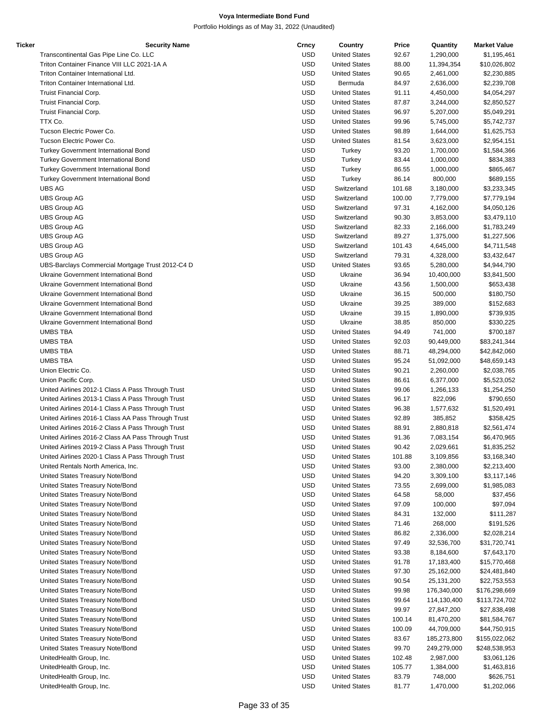| Ticker | <b>Security Name</b>                               | Crncy      | Country              | Price  | Quantity    | <b>Market Value</b> |
|--------|----------------------------------------------------|------------|----------------------|--------|-------------|---------------------|
|        | Transcontinental Gas Pipe Line Co. LLC             | <b>USD</b> | <b>United States</b> | 92.67  | 1,290,000   | \$1,195,461         |
|        | Triton Container Finance VIII LLC 2021-1A A        | <b>USD</b> | <b>United States</b> | 88.00  | 11,394,354  | \$10,026,802        |
|        | Triton Container International Ltd.                | <b>USD</b> | <b>United States</b> | 90.65  | 2,461,000   | \$2,230,885         |
|        | Triton Container International Ltd.                | <b>USD</b> | Bermuda              | 84.97  | 2,636,000   | \$2,239,708         |
|        | Truist Financial Corp.                             | <b>USD</b> | <b>United States</b> | 91.11  | 4,450,000   | \$4,054,297         |
|        | Truist Financial Corp.                             | <b>USD</b> | <b>United States</b> | 87.87  | 3,244,000   | \$2,850,527         |
|        | Truist Financial Corp.                             | <b>USD</b> | <b>United States</b> | 96.97  | 5,207,000   | \$5,049,291         |
|        | TTX Co.                                            | <b>USD</b> | <b>United States</b> | 99.96  | 5,745,000   | \$5,742,737         |
|        | Tucson Electric Power Co.                          | <b>USD</b> | <b>United States</b> | 98.89  | 1,644,000   | \$1,625,753         |
|        | Tucson Electric Power Co.                          | <b>USD</b> | <b>United States</b> | 81.54  | 3,623,000   | \$2,954,151         |
|        | <b>Turkey Government International Bond</b>        | <b>USD</b> | Turkey               | 93.20  | 1,700,000   | \$1,584,366         |
|        |                                                    | <b>USD</b> |                      |        |             | \$834,383           |
|        | Turkey Government International Bond               |            | Turkey               | 83.44  | 1,000,000   |                     |
|        | Turkey Government International Bond               | <b>USD</b> | Turkey               | 86.55  | 1,000,000   | \$865,467           |
|        | <b>Turkey Government International Bond</b>        | <b>USD</b> | Turkey               | 86.14  | 800,000     | \$689,155           |
|        | <b>UBS AG</b>                                      | <b>USD</b> | Switzerland          | 101.68 | 3,180,000   | \$3,233,345         |
|        | <b>UBS Group AG</b>                                | <b>USD</b> | Switzerland          | 100.00 | 7,779,000   | \$7,779,194         |
|        | <b>UBS Group AG</b>                                | <b>USD</b> | Switzerland          | 97.31  | 4,162,000   | \$4,050,126         |
|        | <b>UBS Group AG</b>                                | <b>USD</b> | Switzerland          | 90.30  | 3,853,000   | \$3,479,110         |
|        | <b>UBS Group AG</b>                                | <b>USD</b> | Switzerland          | 82.33  | 2,166,000   | \$1,783,249         |
|        | <b>UBS Group AG</b>                                | <b>USD</b> | Switzerland          | 89.27  | 1,375,000   | \$1,227,506         |
|        | <b>UBS Group AG</b>                                | <b>USD</b> | Switzerland          | 101.43 | 4,645,000   | \$4,711,548         |
|        | <b>UBS Group AG</b>                                | <b>USD</b> | Switzerland          | 79.31  | 4,328,000   | \$3,432,647         |
|        | UBS-Barclays Commercial Mortgage Trust 2012-C4 D   | <b>USD</b> | <b>United States</b> | 93.65  | 5,280,000   | \$4,944,790         |
|        | Ukraine Government International Bond              | <b>USD</b> | Ukraine              | 36.94  | 10,400,000  | \$3,841,500         |
|        | Ukraine Government International Bond              | <b>USD</b> | Ukraine              | 43.56  | 1,500,000   | \$653,438           |
|        | Ukraine Government International Bond              | <b>USD</b> | Ukraine              | 36.15  | 500,000     | \$180,750           |
|        | Ukraine Government International Bond              | <b>USD</b> | Ukraine              | 39.25  | 389,000     | \$152,683           |
|        | Ukraine Government International Bond              | <b>USD</b> | Ukraine              | 39.15  | 1,890,000   | \$739,935           |
|        | Ukraine Government International Bond              | <b>USD</b> | Ukraine              | 38.85  | 850,000     | \$330,225           |
|        | <b>UMBS TBA</b>                                    | <b>USD</b> | <b>United States</b> | 94.49  | 741,000     | \$700,187           |
|        | <b>UMBS TBA</b>                                    | <b>USD</b> |                      |        |             |                     |
|        |                                                    |            | <b>United States</b> | 92.03  | 90,449,000  | \$83,241,344        |
|        | <b>UMBS TBA</b>                                    | <b>USD</b> | <b>United States</b> | 88.71  | 48,294,000  | \$42,842,060        |
|        | <b>UMBS TBA</b>                                    | <b>USD</b> | <b>United States</b> | 95.24  | 51,092,000  | \$48,659,143        |
|        | Union Electric Co.                                 | <b>USD</b> | <b>United States</b> | 90.21  | 2,260,000   | \$2,038,765         |
|        | Union Pacific Corp.                                | <b>USD</b> | <b>United States</b> | 86.61  | 6,377,000   | \$5,523,052         |
|        | United Airlines 2012-1 Class A Pass Through Trust  | <b>USD</b> | <b>United States</b> | 99.06  | 1,266,133   | \$1,254,250         |
|        | United Airlines 2013-1 Class A Pass Through Trust  | <b>USD</b> | <b>United States</b> | 96.17  | 822,096     | \$790,650           |
|        | United Airlines 2014-1 Class A Pass Through Trust  | <b>USD</b> | <b>United States</b> | 96.38  | 1,577,632   | \$1,520,491         |
|        | United Airlines 2016-1 Class AA Pass Through Trust | <b>USD</b> | <b>United States</b> | 92.89  | 385,852     | \$358,425           |
|        | United Airlines 2016-2 Class A Pass Through Trust  | <b>USD</b> | <b>United States</b> | 88.91  | 2,880,818   | \$2,561,474         |
|        | United Airlines 2016-2 Class AA Pass Through Trust | <b>USD</b> | <b>United States</b> | 91.36  | 7,083,154   | \$6,470,965         |
|        | United Airlines 2019-2 Class A Pass Through Trust  | <b>USD</b> | <b>United States</b> | 90.42  | 2,029,661   | \$1,835,252         |
|        | United Airlines 2020-1 Class A Pass Through Trust  | USD        | <b>United States</b> | 101.88 | 3,109,856   | \$3,168,340         |
|        | United Rentals North America, Inc.                 | <b>USD</b> | <b>United States</b> | 93.00  | 2,380,000   | \$2,213,400         |
|        | United States Treasury Note/Bond                   | <b>USD</b> | <b>United States</b> | 94.20  | 3,309,100   | \$3,117,146         |
|        | United States Treasury Note/Bond                   | <b>USD</b> | <b>United States</b> | 73.55  | 2,699,000   | \$1,985,083         |
|        | United States Treasury Note/Bond                   | <b>USD</b> | <b>United States</b> | 64.58  | 58,000      | \$37,456            |
|        | United States Treasury Note/Bond                   | <b>USD</b> | <b>United States</b> | 97.09  | 100,000     | \$97,094            |
|        | United States Treasury Note/Bond                   | <b>USD</b> | <b>United States</b> | 84.31  | 132,000     | \$111,287           |
|        | United States Treasury Note/Bond                   | <b>USD</b> | <b>United States</b> | 71.46  | 268,000     | \$191,526           |
|        | United States Treasury Note/Bond                   | <b>USD</b> | <b>United States</b> | 86.82  | 2,336,000   | \$2,028,214         |
|        | United States Treasury Note/Bond                   | <b>USD</b> |                      |        |             |                     |
|        |                                                    |            | <b>United States</b> | 97.49  | 32,536,700  | \$31,720,741        |
|        | United States Treasury Note/Bond                   | <b>USD</b> | <b>United States</b> | 93.38  | 8,184,600   | \$7,643,170         |
|        | United States Treasury Note/Bond                   | USD        | <b>United States</b> | 91.78  | 17,183,400  | \$15,770,468        |
|        | United States Treasury Note/Bond                   | <b>USD</b> | <b>United States</b> | 97.30  | 25,162,000  | \$24,481,840        |
|        | United States Treasury Note/Bond                   | <b>USD</b> | <b>United States</b> | 90.54  | 25,131,200  | \$22,753,553        |
|        | United States Treasury Note/Bond                   | <b>USD</b> | <b>United States</b> | 99.98  | 176,340,000 | \$176,298,669       |
|        | United States Treasury Note/Bond                   | <b>USD</b> | <b>United States</b> | 99.64  | 114,130,400 | \$113,724,702       |
|        | United States Treasury Note/Bond                   | <b>USD</b> | <b>United States</b> | 99.97  | 27,847,200  | \$27,838,498        |
|        | United States Treasury Note/Bond                   | <b>USD</b> | <b>United States</b> | 100.14 | 81,470,200  | \$81,584,767        |
|        | United States Treasury Note/Bond                   | <b>USD</b> | <b>United States</b> | 100.09 | 44,709,000  | \$44,750,915        |
|        | United States Treasury Note/Bond                   | USD        | <b>United States</b> | 83.67  | 185,273,800 | \$155,022,062       |
|        | United States Treasury Note/Bond                   | <b>USD</b> | <b>United States</b> | 99.70  | 249,279,000 | \$248,538,953       |
|        | UnitedHealth Group, Inc.                           | <b>USD</b> | <b>United States</b> | 102.48 | 2,987,000   | \$3,061,126         |
|        | UnitedHealth Group, Inc.                           | <b>USD</b> | <b>United States</b> | 105.77 | 1,384,000   | \$1,463,816         |
|        | UnitedHealth Group, Inc.                           | <b>USD</b> | <b>United States</b> | 83.79  | 748,000     | \$626,751           |
|        | UnitedHealth Group, Inc.                           | <b>USD</b> | <b>United States</b> | 81.77  | 1,470,000   | \$1,202,066         |
|        |                                                    |            |                      |        |             |                     |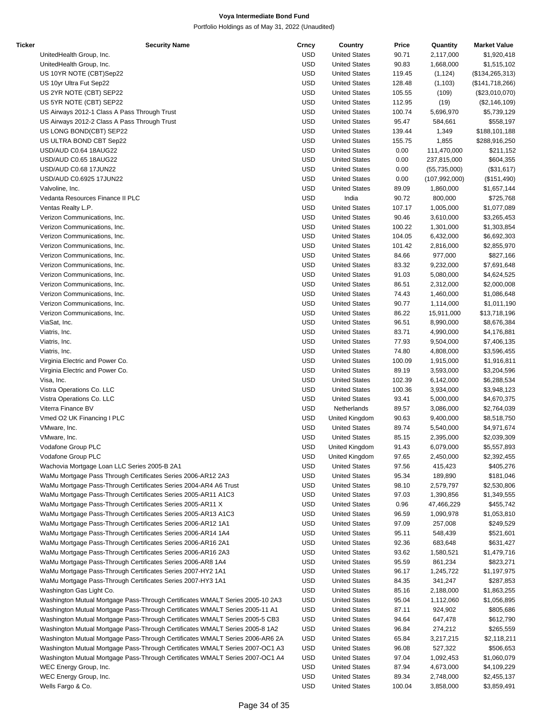| Ticker | <b>Security Name</b>                                                          | Crncy      | Country              | Price  | Quantity        | <b>Market Value</b> |
|--------|-------------------------------------------------------------------------------|------------|----------------------|--------|-----------------|---------------------|
|        | UnitedHealth Group, Inc.                                                      | <b>USD</b> | <b>United States</b> | 90.71  | 2,117,000       | \$1,920,418         |
|        | UnitedHealth Group, Inc.                                                      | <b>USD</b> | <b>United States</b> | 90.83  | 1,668,000       | \$1,515,102         |
|        | US 10YR NOTE (CBT)Sep22                                                       | <b>USD</b> | <b>United States</b> | 119.45 | (1, 124)        | (\$134, 265, 313)   |
|        | US 10yr Ultra Fut Sep22                                                       | <b>USD</b> | <b>United States</b> | 128.48 | (1, 103)        | (\$141,718,266)     |
|        | US 2YR NOTE (CBT) SEP22                                                       | <b>USD</b> | <b>United States</b> | 105.55 | (109)           | (\$23,010,070)      |
|        | US 5YR NOTE (CBT) SEP22                                                       | <b>USD</b> | <b>United States</b> | 112.95 | (19)            | (\$2,146,109)       |
|        | US Airways 2012-1 Class A Pass Through Trust                                  | <b>USD</b> | <b>United States</b> | 100.74 | 5,696,970       | \$5,739,129         |
|        | US Airways 2012-2 Class A Pass Through Trust                                  | <b>USD</b> | <b>United States</b> | 95.47  | 584,661         | \$558,197           |
|        |                                                                               |            |                      |        |                 |                     |
|        | US LONG BOND(CBT) SEP22                                                       | <b>USD</b> | <b>United States</b> | 139.44 | 1,349           | \$188,101,188       |
|        | US ULTRA BOND CBT Sep22                                                       | <b>USD</b> | <b>United States</b> | 155.75 | 1,855           | \$288,916,250       |
|        | USD/AUD C0.64 18AUG22                                                         | <b>USD</b> | <b>United States</b> | 0.00   | 111,470,000     | \$211,152           |
|        | USD/AUD C0.65 18AUG22                                                         | <b>USD</b> | <b>United States</b> | 0.00   | 237,815,000     | \$604,355           |
|        | USD/AUD C0.68 17JUN22                                                         | <b>USD</b> | <b>United States</b> | 0.00   | (55,735,000)    | (\$31,617)          |
|        | USD/AUD C0.6925 17JUN22                                                       | <b>USD</b> | <b>United States</b> | 0.00   | (107, 992, 000) | (\$151,490)         |
|        | Valvoline, Inc.                                                               | <b>USD</b> | <b>United States</b> | 89.09  | 1,860,000       | \$1,657,144         |
|        | Vedanta Resources Finance II PLC                                              | <b>USD</b> | India                | 90.72  | 800,000         | \$725,768           |
|        | Ventas Realty L.P.                                                            | <b>USD</b> | <b>United States</b> | 107.17 | 1,005,000       | \$1,077,089         |
|        | Verizon Communications, Inc.                                                  | <b>USD</b> | <b>United States</b> | 90.46  | 3,610,000       | \$3,265,453         |
|        | Verizon Communications, Inc.                                                  | <b>USD</b> | <b>United States</b> | 100.22 | 1,301,000       | \$1,303,854         |
|        | Verizon Communications, Inc.                                                  | <b>USD</b> | <b>United States</b> | 104.05 | 6,432,000       | \$6,692,303         |
|        | Verizon Communications, Inc.                                                  | <b>USD</b> | <b>United States</b> | 101.42 | 2,816,000       | \$2,855,970         |
|        | Verizon Communications, Inc.                                                  | <b>USD</b> | <b>United States</b> | 84.66  | 977,000         | \$827,166           |
|        | Verizon Communications, Inc.                                                  | <b>USD</b> | <b>United States</b> | 83.32  | 9,232,000       | \$7,691,648         |
|        |                                                                               | <b>USD</b> |                      |        |                 |                     |
|        | Verizon Communications, Inc.                                                  |            | <b>United States</b> | 91.03  | 5,080,000       | \$4,624,525         |
|        | Verizon Communications, Inc.                                                  | <b>USD</b> | <b>United States</b> | 86.51  | 2,312,000       | \$2,000,008         |
|        | Verizon Communications, Inc.                                                  | <b>USD</b> | <b>United States</b> | 74.43  | 1,460,000       | \$1,086,648         |
|        | Verizon Communications, Inc.                                                  | <b>USD</b> | <b>United States</b> | 90.77  | 1,114,000       | \$1,011,190         |
|        | Verizon Communications, Inc.                                                  | <b>USD</b> | <b>United States</b> | 86.22  | 15,911,000      | \$13,718,196        |
|        | ViaSat, Inc.                                                                  | <b>USD</b> | <b>United States</b> | 96.51  | 8,990,000       | \$8,676,384         |
|        | Viatris, Inc.                                                                 | <b>USD</b> | <b>United States</b> | 83.71  | 4,990,000       | \$4,176,881         |
|        | Viatris, Inc.                                                                 | <b>USD</b> | <b>United States</b> | 77.93  | 9,504,000       | \$7,406,135         |
|        | Viatris, Inc.                                                                 | <b>USD</b> | <b>United States</b> | 74.80  | 4,808,000       | \$3,596,455         |
|        | Virginia Electric and Power Co.                                               | <b>USD</b> | <b>United States</b> | 100.09 | 1,915,000       | \$1,916,811         |
|        | Virginia Electric and Power Co.                                               | <b>USD</b> | <b>United States</b> | 89.19  | 3,593,000       | \$3,204,596         |
|        | Visa, Inc.                                                                    | <b>USD</b> | <b>United States</b> | 102.39 | 6,142,000       | \$6,288,534         |
|        | Vistra Operations Co. LLC                                                     | <b>USD</b> | <b>United States</b> | 100.36 | 3,934,000       | \$3,948,123         |
|        | Vistra Operations Co. LLC                                                     | <b>USD</b> | <b>United States</b> | 93.41  | 5,000,000       | \$4,670,375         |
|        |                                                                               |            |                      |        |                 |                     |
|        | Viterra Finance BV                                                            | <b>USD</b> | Netherlands          | 89.57  | 3,086,000       | \$2,764,039         |
|        | Vmed O2 UK Financing I PLC                                                    | <b>USD</b> | United Kingdom       | 90.63  | 9,400,000       | \$8,518,750         |
|        | VMware, Inc.                                                                  | <b>USD</b> | <b>United States</b> | 89.74  | 5,540,000       | \$4,971,674         |
|        | VMware, Inc.                                                                  | <b>USD</b> | <b>United States</b> | 85.15  | 2,395,000       | \$2,039,309         |
|        | Vodafone Group PLC                                                            | <b>USD</b> | United Kingdom       | 91.43  | 6,079,000       | \$5,557,893         |
|        | Vodafone Group PLC                                                            | <b>USD</b> | United Kingdom       | 97.65  | 2,450,000       | \$2,392,455         |
|        | Wachovia Mortgage Loan LLC Series 2005-B 2A1                                  | <b>USD</b> | <b>United States</b> | 97.56  | 415,423         | \$405,276           |
|        | WaMu Mortgage Pass Through Certificates Series 2006-AR12 2A3                  | <b>USD</b> | <b>United States</b> | 95.34  | 189,890         | \$181,046           |
|        | WaMu Mortgage Pass-Through Certificates Series 2004-AR4 A6 Trust              | <b>USD</b> | <b>United States</b> | 98.10  | 2,579,797       | \$2,530,806         |
|        | WaMu Mortgage Pass-Through Certificates Series 2005-AR11 A1C3                 | <b>USD</b> | <b>United States</b> | 97.03  | 1,390,856       | \$1,349,555         |
|        | WaMu Mortgage Pass-Through Certificates Series 2005-AR11 X                    | <b>USD</b> | <b>United States</b> | 0.96   | 47,466,229      | \$455,742           |
|        | WaMu Mortgage Pass-Through Certificates Series 2005-AR13 A1C3                 | <b>USD</b> | <b>United States</b> | 96.59  | 1,090,978       | \$1,053,810         |
|        | WaMu Mortgage Pass-Through Certificates Series 2006-AR12 1A1                  | <b>USD</b> | <b>United States</b> | 97.09  | 257,008         | \$249,529           |
|        | WaMu Mortgage Pass-Through Certificates Series 2006-AR14 1A4                  | <b>USD</b> | <b>United States</b> | 95.11  | 548,439         | \$521,601           |
|        |                                                                               |            |                      |        |                 |                     |
|        | WaMu Mortgage Pass-Through Certificates Series 2006-AR16 2A1                  | <b>USD</b> | <b>United States</b> | 92.36  | 683,648         | \$631,427           |
|        | WaMu Mortgage Pass-Through Certificates Series 2006-AR16 2A3                  | <b>USD</b> | <b>United States</b> | 93.62  | 1,580,521       | \$1,479,716         |
|        | WaMu Mortgage Pass-Through Certificates Series 2006-AR8 1A4                   | <b>USD</b> | <b>United States</b> | 95.59  | 861,234         | \$823,271           |
|        | WaMu Mortgage Pass-Through Certificates Series 2007-HY2 1A1                   | <b>USD</b> | <b>United States</b> | 96.17  | 1,245,722       | \$1,197,975         |
|        | WaMu Mortgage Pass-Through Certificates Series 2007-HY3 1A1                   | <b>USD</b> | <b>United States</b> | 84.35  | 341,247         | \$287,853           |
|        | Washington Gas Light Co.                                                      | <b>USD</b> | <b>United States</b> | 85.16  | 2,188,000       | \$1,863,255         |
|        | Washington Mutual Mortgage Pass-Through Certificates WMALT Series 2005-10 2A3 | <b>USD</b> | <b>United States</b> | 95.04  | 1,112,060       | \$1,056,895         |
|        | Washington Mutual Mortgage Pass-Through Certificates WMALT Series 2005-11 A1  | <b>USD</b> | <b>United States</b> | 87.11  | 924,902         | \$805,686           |
|        | Washington Mutual Mortgage Pass-Through Certificates WMALT Series 2005-5 CB3  | <b>USD</b> | <b>United States</b> | 94.64  | 647,478         | \$612,790           |
|        | Washington Mutual Mortgage Pass-Through Certificates WMALT Series 2005-8 1A2  | <b>USD</b> | <b>United States</b> | 96.84  | 274,212         | \$265,559           |
|        | Washington Mutual Mortgage Pass-Through Certificates WMALT Series 2006-AR6 2A | <b>USD</b> | <b>United States</b> | 65.84  | 3,217,215       | \$2,118,211         |
|        | Washington Mutual Mortgage Pass-Through Certificates WMALT Series 2007-OC1 A3 | <b>USD</b> | <b>United States</b> | 96.08  | 527,322         | \$506,653           |
|        |                                                                               |            |                      |        |                 |                     |
|        | Washington Mutual Mortgage Pass-Through Certificates WMALT Series 2007-OC1 A4 | <b>USD</b> | <b>United States</b> | 97.04  | 1,092,453       | \$1,060,079         |
|        | WEC Energy Group, Inc.                                                        | <b>USD</b> | <b>United States</b> | 87.94  | 4,673,000       | \$4,109,229         |
|        | WEC Energy Group, Inc.                                                        | <b>USD</b> | <b>United States</b> | 89.34  | 2,748,000       | \$2,455,137         |
|        | Wells Fargo & Co.                                                             | <b>USD</b> | <b>United States</b> | 100.04 | 3,858,000       | \$3,859,491         |